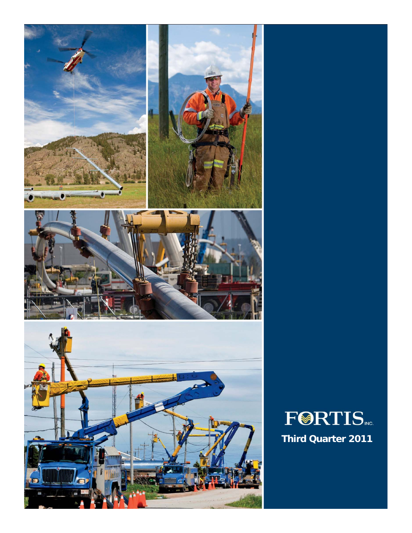

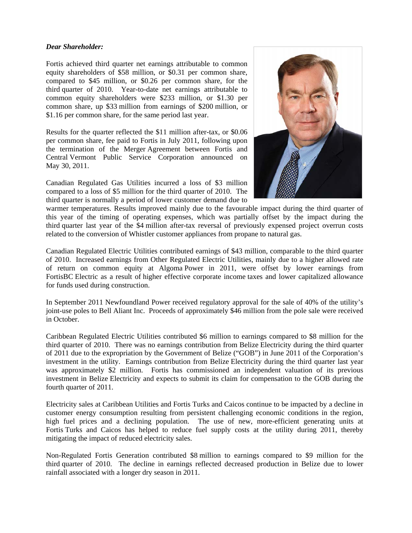### *Dear Shareholder:*

Fortis achieved third quarter net earnings attributable to common equity shareholders of \$58 million, or \$0.31 per common share, compared to \$45 million, or \$0.26 per common share, for the third quarter of 2010. Year-to-date net earnings attributable to common equity shareholders were \$233 million, or \$1.30 per common share, up \$33 million from earnings of \$200 million, or \$1.16 per common share, for the same period last year.

Results for the quarter reflected the \$11 million after-tax, or \$0.06 per common share, fee paid to Fortis in July 2011, following upon the termination of the Merger Agreement between Fortis and Central Vermont Public Service Corporation announced on May 30, 2011.

Canadian Regulated Gas Utilities incurred a loss of \$3 million compared to a loss of \$5 million for the third quarter of 2010. The third quarter is normally a period of lower customer demand due to



warmer temperatures. Results improved mainly due to the favourable impact during the third quarter of this year of the timing of operating expenses, which was partially offset by the impact during the third quarter last year of the \$4 million after-tax reversal of previously expensed project overrun costs related to the conversion of Whistler customer appliances from propane to natural gas.

Canadian Regulated Electric Utilities contributed earnings of \$43 million, comparable to the third quarter of 2010. Increased earnings from Other Regulated Electric Utilities, mainly due to a higher allowed rate of return on common equity at Algoma Power in 2011, were offset by lower earnings from FortisBC Electric as a result of higher effective corporate income taxes and lower capitalized allowance for funds used during construction.

In September 2011 Newfoundland Power received regulatory approval for the sale of 40% of the utility's joint-use poles to Bell Aliant Inc. Proceeds of approximately \$46 million from the pole sale were received in October.

Caribbean Regulated Electric Utilities contributed \$6 million to earnings compared to \$8 million for the third quarter of 2010. There was no earnings contribution from Belize Electricity during the third quarter of 2011 due to the expropriation by the Government of Belize ("GOB") in June 2011 of the Corporation's investment in the utility. Earnings contribution from Belize Electricity during the third quarter last year was approximately \$2 million. Fortis has commissioned an independent valuation of its previous investment in Belize Electricity and expects to submit its claim for compensation to the GOB during the fourth quarter of 2011.

Electricity sales at Caribbean Utilities and Fortis Turks and Caicos continue to be impacted by a decline in customer energy consumption resulting from persistent challenging economic conditions in the region, high fuel prices and a declining population. The use of new, more-efficient generating units at Fortis Turks and Caicos has helped to reduce fuel supply costs at the utility during 2011, thereby mitigating the impact of reduced electricity sales.

Non-Regulated Fortis Generation contributed \$8 million to earnings compared to \$9 million for the third quarter of 2010. The decline in earnings reflected decreased production in Belize due to lower rainfall associated with a longer dry season in 2011.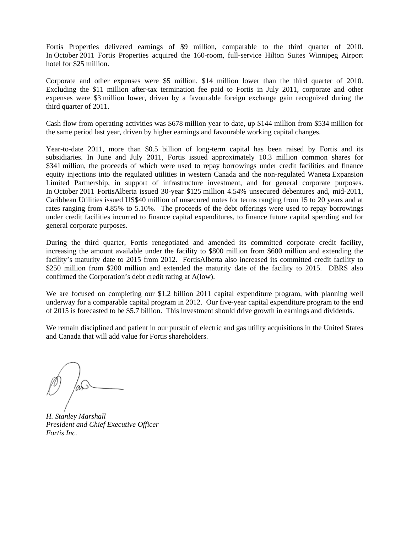Fortis Properties delivered earnings of \$9 million, comparable to the third quarter of 2010. In October 2011 Fortis Properties acquired the 160-room, full-service Hilton Suites Winnipeg Airport hotel for \$25 million.

Corporate and other expenses were \$5 million, \$14 million lower than the third quarter of 2010. Excluding the \$11 million after-tax termination fee paid to Fortis in July 2011, corporate and other expenses were \$3 million lower, driven by a favourable foreign exchange gain recognized during the third quarter of 2011.

Cash flow from operating activities was \$678 million year to date, up \$144 million from \$534 million for the same period last year, driven by higher earnings and favourable working capital changes.

Year-to-date 2011, more than \$0.5 billion of long-term capital has been raised by Fortis and its subsidiaries. In June and July 2011, Fortis issued approximately 10.3 million common shares for \$341 million, the proceeds of which were used to repay borrowings under credit facilities and finance equity injections into the regulated utilities in western Canada and the non-regulated Waneta Expansion Limited Partnership, in support of infrastructure investment, and for general corporate purposes. In October 2011 FortisAlberta issued 30-year \$125 million 4.54% unsecured debentures and, mid-2011, Caribbean Utilities issued US\$40 million of unsecured notes for terms ranging from 15 to 20 years and at rates ranging from 4.85% to 5.10%. The proceeds of the debt offerings were used to repay borrowings under credit facilities incurred to finance capital expenditures, to finance future capital spending and for general corporate purposes.

During the third quarter, Fortis renegotiated and amended its committed corporate credit facility, increasing the amount available under the facility to \$800 million from \$600 million and extending the facility's maturity date to 2015 from 2012. FortisAlberta also increased its committed credit facility to \$250 million from \$200 million and extended the maturity date of the facility to 2015. DBRS also confirmed the Corporation's debt credit rating at A(low).

We are focused on completing our \$1.2 billion 2011 capital expenditure program, with planning well underway for a comparable capital program in 2012. Our five-year capital expenditure program to the end of 2015 is forecasted to be \$5.7 billion. This investment should drive growth in earnings and dividends.

We remain disciplined and patient in our pursuit of electric and gas utility acquisitions in the United States and Canada that will add value for Fortis shareholders.

*H. Stanley Marshall President and Chief Executive Officer Fortis Inc.*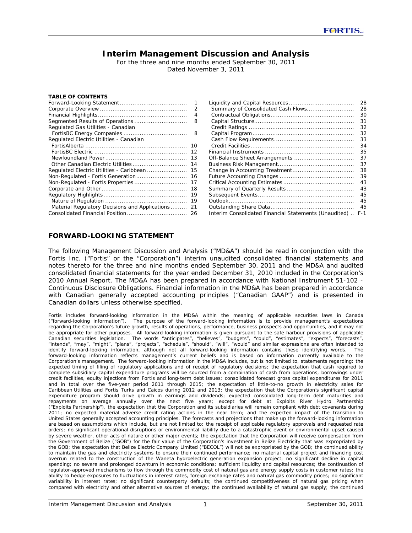## **Interim Management Discussion and Analysis**

For the three and nine months ended September 30, 2011 Dated November 3, 2011

#### **TABLE OF CONTENTS**

|                                                | 1  |
|------------------------------------------------|----|
|                                                | 2  |
|                                                | 4  |
|                                                | 8  |
| Regulated Gas Utilities - Canadian             |    |
|                                                | 8  |
| Regulated Electric Utilities - Canadian        |    |
|                                                | 10 |
|                                                | 12 |
|                                                | 13 |
|                                                | 14 |
| Regulated Electric Utilities - Caribbean       | 15 |
| Non-Regulated - Fortis Generation              | 16 |
| Non-Regulated - Fortis Properties              | 17 |
|                                                | 18 |
|                                                | 19 |
|                                                | 19 |
| Material Regulatory Decisions and Applications | 21 |
|                                                | 26 |

|                                                       | 28    |
|-------------------------------------------------------|-------|
| Summary of Consolidated Cash Flows                    | 28    |
|                                                       | 30    |
|                                                       | 31    |
|                                                       | 32    |
|                                                       | 32    |
|                                                       | 33    |
|                                                       | 34    |
|                                                       | 35    |
| Off-Balance Sheet Arrangements                        | 37    |
|                                                       | 37    |
|                                                       | 38    |
|                                                       | 39    |
|                                                       | 43    |
|                                                       | 43    |
|                                                       | 45    |
|                                                       | 45    |
|                                                       | 45    |
| Interim Consolidated Financial Statements (Unaudited) | $F-1$ |

#### **FORWARD-LOOKING STATEMENT**

The following Management Discussion and Analysis ("MD&A") should be read in conjunction with the Fortis Inc. ("Fortis" or the "Corporation") interim unaudited consolidated financial statements and notes thereto for the three and nine months ended September 30, 2011 and the MD&A and audited consolidated financial statements for the year ended December 31, 2010 included in the Corporation's 2010 Annual Report. The MD&A has been prepared in accordance with National Instrument 51-102 - *Continuous Disclosure Obligations.* Financial information in the MD&A has been prepared in accordance with Canadian generally accepted accounting principles ("Canadian GAAP") and is presented in Canadian dollars unless otherwise specified.

*Fortis includes forward-looking information in the MD&A within the meaning of applicable securities laws in Canada ("forward-looking information"). The purpose of the forward-looking information is to provide management's expectations regarding the Corporation's future growth, results of operations, performance, business prospects and opportunities, and it may not be appropriate for other purposes. All forward-looking information is given pursuant to the safe harbour provisions of applicable Canadian securities legislation. The words "anticipates", "believes", "budgets", "could", "estimates", "expects", "forecasts", "intends", "may", "might", "plans", "projects", "schedule", "should", "will", "would" and similar expressions are often intended to identify forward-looking information, although not all forward-looking information contains these identifying words. The*  forward-looking information reflects management's current beliefs and is based on information currently available to the *Corporation's management. The forward-looking information in the MD&A includes, but is not limited to, statements regarding: the expected timing of filing of regulatory applications and of receipt of regulatory decisions; the expectation that cash required to*  complete subsidiary capital expenditure programs will be sourced from a combination of cash from operations, borrowings under *credit facilities, equity injections from Fortis and long-term debt issues; consolidated forecast gross capital expenditures for 2011 and in total over the five-year period 2011 through 2015; the expectation of little-to-no growth in electricity sales for Caribbean Utilities and Fortis Turks and Caicos during 2012 and 2013; the expectation that the Corporation's significant capital expenditure program should drive growth in earnings and dividends; expected consolidated long-term debt maturities and repayments on average annually over the next five years; except for debt at Exploits River Hydro Partnership ("Exploits Partnership"), the expectation that the Corporation and its subsidiaries will remain compliant with debt covenants during 2011; no expected material adverse credit rating actions in the near term; and the expected impact of the transition to United States generally accepted accounting principles. The forecasts and projections that make up the forward-looking information are based on assumptions which include, but are not limited to: the receipt of applicable regulatory approvals and requested rate orders; no significant operational disruptions or environmental liability due to a catastrophic event or environmental upset caused by severe weather, other acts of nature or other major events; the expectation that the Corporation will receive compensation from the Government of Belize ("GOB") for the fair value of the Corporation's investment in Belize Electricity that was expropriated by the GOB; the expectation that Belize Electric Company Limited ("BECOL") will not be expropriated by the GOB; the continued ability to maintain the gas and electricity systems to ensure their continued performance; no material capital project and financing cost overrun related to the construction of the Waneta hydroelectric generation expansion project; no significant decline in capital* spending; no severe and prolonged downturn in economic conditions; sufficient liquidity and capital resources; the continuation of *regulator-approved mechanisms to flow through the commodity cost of natural gas and energy supply costs in customer rates; the ability to hedge exposures to fluctuations in interest rates, foreign exchange rates and natural gas commodity prices; no significant*  variability in interest rates; no significant counterparty defaults; the continued competitiveness of natural gas pricing when *compared with electricity and other alternative sources of energy; the continued availability of natural gas supply; the continued*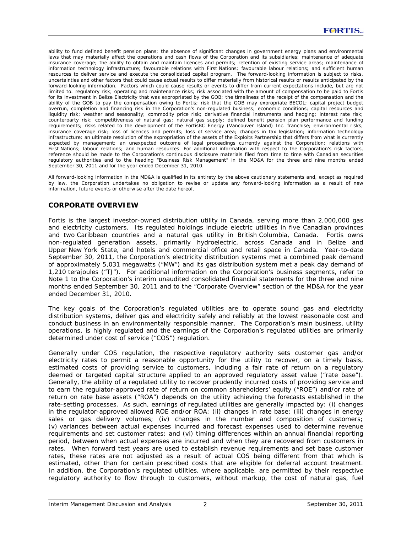*ability to fund defined benefit pension plans; the absence of significant changes in government energy plans and environmental*  laws that may materially affect the operations and cash flows of the Corporation and its subsidiaries; maintenance of adequate insurance coverage; the ability to obtain and maintain licences and permits; retention of existing service areas; maintenance of *information technology infrastructure; favourable relations with First Nations; favourable labour relations; and sufficient human resources to deliver service and execute the consolidated capital program. The forward-looking information is subject to risks, uncertainties and other factors that could cause actual results to differ materially from historical results or results anticipated by the forward-looking information. Factors which could cause results or events to differ from current expectations include, but are not limited to: regulatory risk; operating and maintenance risks; risk associated with the amount of compensation to be paid to Fortis*  for its investment in Belize Electricity that was expropriated by the GOB; the timeliness of the receipt of the compensation and the *ability of the GOB to pay the compensation owing to Fortis; risk that the GOB may expropriate BECOL; capital project budget overrun, completion and financing risk in the Corporation's non-regulated business; economic conditions; capital resources and liquidity risk; weather and seasonality; commodity price risk; derivative financial instruments and hedging; interest rate risk; counterparty risk; competitiveness of natural gas; natural gas supply; defined benefit pension plan performance and funding requirements; risks related to the development of the FortisBC Energy (Vancouver Island) Inc. franchise; environmental risks; insurance coverage risk; loss of licences and permits; loss of service area; changes in tax legislation; information technology infrastructure; an ultimate resolution of the expropriation of the assets of the Exploits Partnership that differs from what is currently expected by management; an unexpected outcome of legal proceedings currently against the Corporation; relations with First Nations; labour relations; and human resources. For additional information with respect to the Corporation's risk factors, reference should be made to the Corporation's continuous disclosure materials filed from time to time with Canadian securities regulatory authorities and to the heading "Business Risk Management" in the MD&A for the three and nine months ended September 30, 2011 and for the year ended December 31, 2010.* 

*All forward-looking information in the MD&A is qualified in its entirety by the above cautionary statements and, except as required by law, the Corporation undertakes no obligation to revise or update any forward-looking information as a result of new information, future events or otherwise after the date hereof.*

## **CORPORATE OVERVIEW**

Fortis is the largest investor-owned distribution utility in Canada, serving more than 2,000,000 gas and electricity customers. Its regulated holdings include electric utilities in five Canadian provinces and two Caribbean countries and a natural gas utility in British Columbia, Canada. Fortis owns non-regulated generation assets, primarily hydroelectric, across Canada and in Belize and Upper New York State, and hotels and commercial office and retail space in Canada. Year-to-date September 30, 2011, the Corporation's electricity distribution systems met a combined peak demand of approximately 5,031 megawatts ("MW") and its gas distribution system met a peak day demand of 1,210 terajoules ("TJ"). For additional information on the Corporation's business segments, refer to Note 1 to the Corporation's interim unaudited consolidated financial statements for the three and nine months ended September 30, 2011 and to the "Corporate Overview" section of the MD&A for the year ended December 31, 2010.

The key goals of the Corporation's regulated utilities are to operate sound gas and electricity distribution systems, deliver gas and electricity safely and reliably at the lowest reasonable cost and conduct business in an environmentally responsible manner. The Corporation's main business, utility operations, is highly regulated and the earnings of the Corporation's regulated utilities are primarily determined under cost of service ("COS") regulation.

Generally under COS regulation, the respective regulatory authority sets customer gas and/or electricity rates to permit a reasonable opportunity for the utility to recover, on a timely basis, estimated costs of providing service to customers, including a fair rate of return on a regulatory deemed or targeted capital structure applied to an approved regulatory asset value ("rate base"). Generally, the ability of a regulated utility to recover prudently incurred costs of providing service and to earn the regulator-approved rate of return on common shareholders' equity ("ROE") and/or rate of return on rate base assets ("ROA") depends on the utility achieving the forecasts established in the rate-setting processes. As such, earnings of regulated utilities are generally impacted by: (i) changes in the regulator-approved allowed ROE and/or ROA; (ii) changes in rate base; (iii) changes in energy sales or gas delivery volumes; (iv) changes in the number and composition of customers; (v) variances between actual expenses incurred and forecast expenses used to determine revenue requirements and set customer rates; and (vi) timing differences within an annual financial reporting period, between when actual expenses are incurred and when they are recovered from customers in rates. When forward test years are used to establish revenue requirements and set base customer rates, these rates are not adjusted as a result of actual COS being different from that which is estimated, other than for certain prescribed costs that are eligible for deferral account treatment. In addition, the Corporation's regulated utilities, where applicable, are permitted by their respective regulatory authority to flow through to customers, without markup, the cost of natural gas, fuel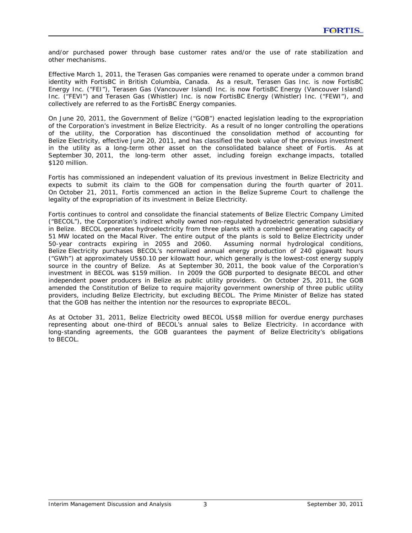and/or purchased power through base customer rates and/or the use of rate stabilization and other mechanisms.

Effective March 1, 2011, the Terasen Gas companies were renamed to operate under a common brand identity with FortisBC in British Columbia, Canada. As a result, Terasen Gas Inc. is now FortisBC Energy Inc. ("FEI"), Terasen Gas (Vancouver Island) Inc. is now FortisBC Energy (Vancouver Island) Inc. ("FEVI") and Terasen Gas (Whistler) Inc. is now FortisBC Energy (Whistler) Inc. ("FEWI"), and collectively are referred to as the FortisBC Energy companies.

On June 20, 2011, the Government of Belize ("GOB") enacted legislation leading to the expropriation of the Corporation's investment in Belize Electricity. As a result of no longer controlling the operations of the utility, the Corporation has discontinued the consolidation method of accounting for Belize Electricity, effective June 20, 2011, and has classified the book value of the previous investment in the utility as a long-term other asset on the consolidated balance sheet of Fortis. As at September 30, 2011, the long-term other asset, including foreign exchange impacts, totalled \$120 million.

Fortis has commissioned an independent valuation of its previous investment in Belize Electricity and expects to submit its claim to the GOB for compensation during the fourth quarter of 2011. On October 21, 2011, Fortis commenced an action in the Belize Supreme Court to challenge the legality of the expropriation of its investment in Belize Electricity.

Fortis continues to control and consolidate the financial statements of Belize Electric Company Limited ("BECOL"), the Corporation's indirect wholly owned non-regulated hydroelectric generation subsidiary in Belize. BECOL generates hydroelectricity from three plants with a combined generating capacity of 51 MW located on the Macal River. The entire output of the plants is sold to Belize Electricity under 50-year contracts expiring in 2055 and 2060. Assuming normal hydrological conditions, Belize Electricity purchases BECOL's normalized annual energy production of 240 gigawatt hours ("GWh") at approximately US\$0.10 per kilowatt hour, which generally is the lowest-cost energy supply source in the country of Belize. As at September 30, 2011, the book value of the Corporation's investment in BECOL was \$159 million. In 2009 the GOB purported to designate BECOL and other independent power producers in Belize as public utility providers. On October 25, 2011, the GOB amended the Constitution of Belize to require majority government ownership of three public utility providers, including Belize Electricity, but excluding BECOL. The Prime Minister of Belize has stated that the GOB has neither the intention nor the resources to expropriate BECOL.

As at October 31, 2011, Belize Electricity owed BECOL US\$8 million for overdue energy purchases representing about one-third of BECOL's annual sales to Belize Electricity. In accordance with long-standing agreements, the GOB guarantees the payment of Belize Electricity's obligations to BECOL.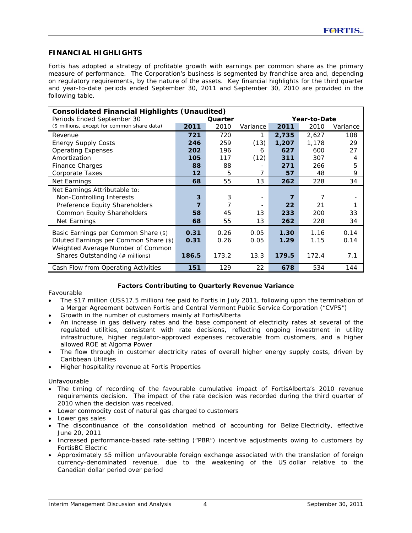## **FINANCIAL HIGHLIGHTS**

Fortis has adopted a strategy of profitable growth with earnings per common share as the primary measure of performance. The Corporation's business is segmented by franchise area and, depending on regulatory requirements, by the nature of the assets. Key financial highlights for the third quarter and year-to-date periods ended September 30, 2011 and September 30, 2010 are provided in the following table.

| <b>Consolidated Financial Highlights (Unaudited)</b> |                         |       |          |       |       |          |  |  |
|------------------------------------------------------|-------------------------|-------|----------|-------|-------|----------|--|--|
| Periods Ended September 30                           | Quarter<br>Year-to-Date |       |          |       |       |          |  |  |
| (\$ millions, except for common share data)          | 2011                    | 2010  | Variance | 2011  | 2010  | Variance |  |  |
| Revenue                                              | 721                     | 720   | 1        | 2,735 | 2,627 | 108      |  |  |
| <b>Energy Supply Costs</b>                           | 246                     | 259   | (13)     | 1,207 | 1,178 | 29       |  |  |
| <b>Operating Expenses</b>                            | 202                     | 196   | 6        | 627   | 600   | 27       |  |  |
| Amortization                                         | 105                     | 117   | (12)     | 311   | 307   | 4        |  |  |
| <b>Finance Charges</b>                               | 88                      | 88    |          | 271   | 266   | 5        |  |  |
| Corporate Taxes                                      | 12                      | 5     | 7        | 57    | 48    | 9        |  |  |
| Net Earnings                                         | 68                      | 55    | 13       | 262   | 228   | 34       |  |  |
| Net Earnings Attributable to:                        |                         |       |          |       |       |          |  |  |
| Non-Controlling Interests                            | 3                       | 3     |          | 7     |       |          |  |  |
| Preference Equity Shareholders                       | 7                       | 7     |          | 22    | 21    |          |  |  |
| <b>Common Equity Shareholders</b>                    | 58                      | 45    | 13       | 233   | 200   | 33       |  |  |
| Net Earnings                                         | 68                      | 55    | 13       | 262   | 228   | 34       |  |  |
| Basic Earnings per Common Share (\$)                 | 0.31                    | 0.26  | 0.05     | 1.30  | 1.16  | 0.14     |  |  |
| Diluted Earnings per Common Share (\$)               | 0.31                    | 0.26  | 0.05     | 1.29  | 1.15  | 0.14     |  |  |
| Weighted Average Number of Common                    |                         |       |          |       |       |          |  |  |
| Shares Outstanding (# millions)                      | 186.5                   | 173.2 | 13.3     | 179.5 | 172.4 | 7.1      |  |  |
| Cash Flow from Operating Activities                  | 151                     | 129   | 22       | 678   | 534   | 144      |  |  |

### **Factors Contributing to Quarterly Revenue Variance**

### *Favourable*

- The \$17 million (US\$17.5 million) fee paid to Fortis in July 2011, following upon the termination of a Merger Agreement between Fortis and Central Vermont Public Service Corporation ("CVPS")
- Growth in the number of customers mainly at FortisAlberta
- An increase in gas delivery rates and the base component of electricity rates at several of the regulated utilities, consistent with rate decisions, reflecting ongoing investment in utility infrastructure, higher regulator-approved expenses recoverable from customers, and a higher allowed ROE at Algoma Power
- The flow through in customer electricity rates of overall higher energy supply costs, driven by Caribbean Utilities
- Higher hospitality revenue at Fortis Properties

### *Unfavourable*

- The timing of recording of the favourable cumulative impact of FortisAlberta's 2010 revenue requirements decision. The impact of the rate decision was recorded during the third quarter of 2010 when the decision was received.
- Lower commodity cost of natural gas charged to customers
- Lower gas sales
- The discontinuance of the consolidation method of accounting for Belize Electricity, effective June 20, 2011
- Increased performance-based rate-setting ("PBR") incentive adjustments owing to customers by FortisBC Electric
- Approximately \$5 million unfavourable foreign exchange associated with the translation of foreign currency-denominated revenue, due to the weakening of the US dollar relative to the Canadian dollar period over period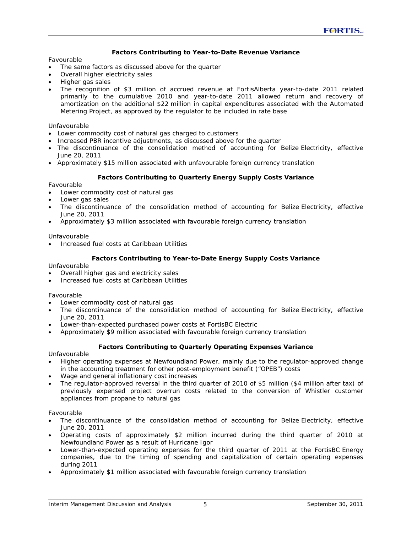### **Factors Contributing to Year-to-Date Revenue Variance**

#### *Favourable*

- The same factors as discussed above for the quarter
- Overall higher electricity sales
- Higher gas sales
- The recognition of \$3 million of accrued revenue at FortisAlberta year-to-date 2011 related primarily to the cumulative 2010 and year-to-date 2011 allowed return and recovery of amortization on the additional \$22 million in capital expenditures associated with the Automated Metering Project, as approved by the regulator to be included in rate base

### *Unfavourable*

- Lower commodity cost of natural gas charged to customers
- Increased PBR incentive adjustments, as discussed above for the quarter
- The discontinuance of the consolidation method of accounting for Belize Electricity, effective June 20, 2011
- Approximately \$15 million associated with unfavourable foreign currency translation

### **Factors Contributing to Quarterly Energy Supply Costs Variance**

#### *Favourable*

- Lower commodity cost of natural gas
- Lower gas sales
- The discontinuance of the consolidation method of accounting for Belize Electricity, effective June 20, 2011
- Approximately \$3 million associated with favourable foreign currency translation

#### *Unfavourable*

• Increased fuel costs at Caribbean Utilities

#### **Factors Contributing to Year-to-Date Energy Supply Costs Variance**

#### *Unfavourable*

- Overall higher gas and electricity sales
- Increased fuel costs at Caribbean Utilities

#### *Favourable*

- Lower commodity cost of natural gas
- The discontinuance of the consolidation method of accounting for Belize Electricity, effective June 20, 2011
- Lower-than-expected purchased power costs at FortisBC Electric
- Approximately \$9 million associated with favourable foreign currency translation

### **Factors Contributing to Quarterly Operating Expenses Variance**

#### *Unfavourable*

- Higher operating expenses at Newfoundland Power, mainly due to the regulator-approved change in the accounting treatment for other post-employment benefit ("OPEB") costs
- Wage and general inflationary cost increases
- The regulator-approved reversal in the third quarter of 2010 of \$5 million (\$4 million after tax) of previously expensed project overrun costs related to the conversion of Whistler customer appliances from propane to natural gas

#### *Favourable*

- The discontinuance of the consolidation method of accounting for Belize Electricity, effective June 20, 2011
- Operating costs of approximately \$2 million incurred during the third quarter of 2010 at Newfoundland Power as a result of Hurricane Igor
- Lower-than-expected operating expenses for the third quarter of 2011 at the FortisBC Energy companies, due to the timing of spending and capitalization of certain operating expenses during 2011
- Approximately \$1 million associated with favourable foreign currency translation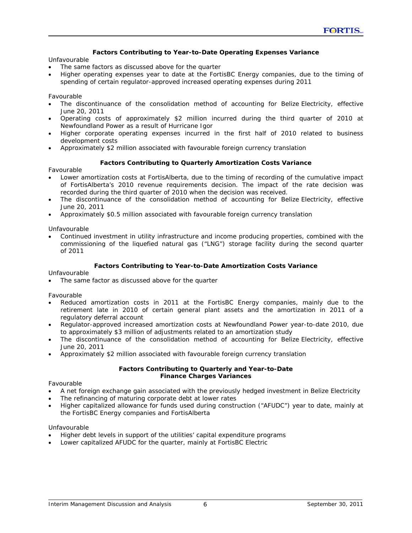### **Factors Contributing to Year-to-Date Operating Expenses Variance**

### *Unfavourable*

- The same factors as discussed above for the quarter
- Higher operating expenses year to date at the FortisBC Energy companies, due to the timing of spending of certain regulator-approved increased operating expenses during 2011

### *Favourable*

- The discontinuance of the consolidation method of accounting for Belize Electricity, effective June 20, 2011
- Operating costs of approximately \$2 million incurred during the third quarter of 2010 at Newfoundland Power as a result of Hurricane Igor
- Higher corporate operating expenses incurred in the first half of 2010 related to business development costs
- Approximately \$2 million associated with favourable foreign currency translation

### **Factors Contributing to Quarterly Amortization Costs Variance**

### *Favourable*

- Lower amortization costs at FortisAlberta, due to the timing of recording of the cumulative impact of FortisAlberta's 2010 revenue requirements decision. The impact of the rate decision was recorded during the third quarter of 2010 when the decision was received.
- The discontinuance of the consolidation method of accounting for Belize Electricity, effective June 20, 2011
- Approximately \$0.5 million associated with favourable foreign currency translation

#### *Unfavourable*

• Continued investment in utility infrastructure and income producing properties, combined with the commissioning of the liquefied natural gas ("LNG") storage facility during the second quarter of 2011

### **Factors Contributing to Year-to-Date Amortization Costs Variance**

#### *Unfavourable*

The same factor as discussed above for the quarter

#### *Favourable*

- Reduced amortization costs in 2011 at the FortisBC Energy companies, mainly due to the retirement late in 2010 of certain general plant assets and the amortization in 2011 of a regulatory deferral account
- Regulator-approved increased amortization costs at Newfoundland Power year-to-date 2010, due to approximately \$3 million of adjustments related to an amortization study
- The discontinuance of the consolidation method of accounting for Belize Electricity, effective June 20, 2011
- Approximately \$2 million associated with favourable foreign currency translation

### **Factors Contributing to Quarterly and Year-to-Date Finance Charges Variances**

#### *Favourable*

- A net foreign exchange gain associated with the previously hedged investment in Belize Electricity
- The refinancing of maturing corporate debt at lower rates
- Higher capitalized allowance for funds used during construction ("AFUDC") year to date, mainly at the FortisBC Energy companies and FortisAlberta

#### *Unfavourable*

- Higher debt levels in support of the utilities' capital expenditure programs
- Lower capitalized AFUDC for the quarter, mainly at FortisBC Electric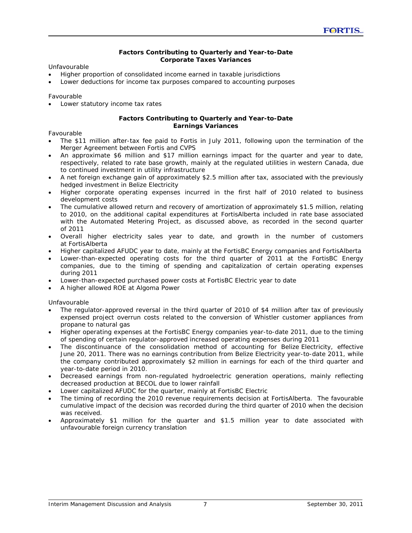### **Factors Contributing to Quarterly and Year-to-Date Corporate Taxes Variances**

*Unfavourable* 

- Higher proportion of consolidated income earned in taxable jurisdictions
- Lower deductions for income tax purposes compared to accounting purposes

#### *Favourable*

• Lower statutory income tax rates

#### **Factors Contributing to Quarterly and Year-to-Date Earnings Variances**

*Favourable* 

- The \$11 million after-tax fee paid to Fortis in July 2011, following upon the termination of the Merger Agreement between Fortis and CVPS
- An approximate \$6 million and \$17 million earnings impact for the quarter and year to date, respectively, related to rate base growth, mainly at the regulated utilities in western Canada, due to continued investment in utility infrastructure
- A net foreign exchange gain of approximately \$2.5 million after tax, associated with the previously hedged investment in Belize Electricity
- Higher corporate operating expenses incurred in the first half of 2010 related to business development costs
- The cumulative allowed return and recovery of amortization of approximately \$1.5 million, relating to 2010, on the additional capital expenditures at FortisAlberta included in rate base associated with the Automated Metering Project, as discussed above, as recorded in the second quarter of 2011
- Overall higher electricity sales year to date, and growth in the number of customers at FortisAlberta
- Higher capitalized AFUDC year to date, mainly at the FortisBC Energy companies and FortisAlberta
- Lower-than-expected operating costs for the third quarter of 2011 at the FortisBC Energy companies, due to the timing of spending and capitalization of certain operating expenses during 2011
- Lower-than-expected purchased power costs at FortisBC Electric year to date
- A higher allowed ROE at Algoma Power

### *Unfavourable*

- The regulator-approved reversal in the third quarter of 2010 of \$4 million after tax of previously expensed project overrun costs related to the conversion of Whistler customer appliances from propane to natural gas
- Higher operating expenses at the FortisBC Energy companies year-to-date 2011, due to the timing of spending of certain regulator-approved increased operating expenses during 2011
- The discontinuance of the consolidation method of accounting for Belize Electricity, effective June 20, 2011. There was no earnings contribution from Belize Electricity year-to-date 2011, while the company contributed approximately \$2 million in earnings for each of the third quarter and year-to-date period in 2010.
- Decreased earnings from non-regulated hydroelectric generation operations, mainly reflecting decreased production at BECOL due to lower rainfall
- Lower capitalized AFUDC for the quarter, mainly at FortisBC Electric
- The timing of recording the 2010 revenue requirements decision at FortisAlberta. The favourable cumulative impact of the decision was recorded during the third quarter of 2010 when the decision was received.
- Approximately \$1 million for the quarter and \$1.5 million year to date associated with unfavourable foreign currency translation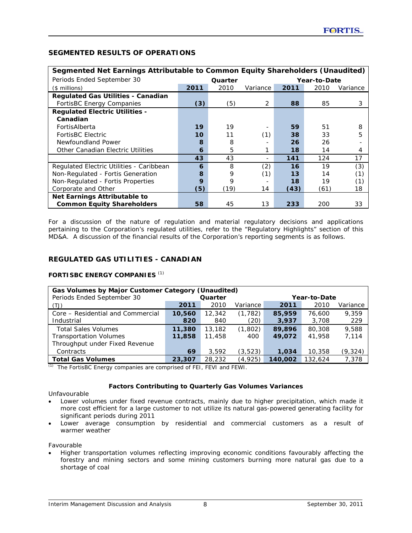## **SEGMENTED RESULTS OF OPERATIONS**

| Segmented Net Earnings Attributable to Common Equity Shareholders (Unaudited) |                         |      |          |      |      |          |  |  |
|-------------------------------------------------------------------------------|-------------------------|------|----------|------|------|----------|--|--|
| Periods Ended September 30                                                    | Quarter<br>Year-to-Date |      |          |      |      |          |  |  |
| $($$ millions)                                                                | 2011                    | 2010 | Variance | 2011 | 2010 | Variance |  |  |
| <b>Regulated Gas Utilities - Canadian</b>                                     |                         |      |          |      |      |          |  |  |
| FortisBC Energy Companies                                                     | (3)                     | (5)  | 2        | 88   | 85   | 3        |  |  |
| <b>Regulated Electric Utilities -</b>                                         |                         |      |          |      |      |          |  |  |
| Canadian                                                                      |                         |      |          |      |      |          |  |  |
| FortisAlberta                                                                 | 19                      | 19   |          | 59   | 51   | 8        |  |  |
| <b>FortisBC Electric</b>                                                      | 10                      | 11   | (1)      | 38   | 33   | 5        |  |  |
| Newfoundland Power                                                            | 8                       | 8    |          | 26   | 26   |          |  |  |
| Other Canadian Electric Utilities                                             | 6                       | 5    |          | 18   | 14   | 4        |  |  |
|                                                                               | 43                      | 43   |          | 141  | 124  | 17       |  |  |
| Regulated Electric Utilities - Caribbean                                      | 6                       | 8    | (2)      | 16   | 19   | (3)      |  |  |
| Non-Regulated - Fortis Generation                                             | 8                       | 9    | (1)      | 13   | 14   | (1)      |  |  |
| Non-Regulated - Fortis Properties                                             | 9                       | 9    |          | 18   | 19   | (1)      |  |  |
| Corporate and Other                                                           | (5)                     | (19) | 14       | (43) | (61) | 18       |  |  |
| Net Earnings Attributable to                                                  |                         |      |          |      |      |          |  |  |
| <b>Common Equity Shareholders</b>                                             | 58                      | 45   | 13       | 233  | 200  | 33       |  |  |

### **Segmented Net Earnings Attributable to Common Equity Shareholders (Unaudited)**

For a discussion of the nature of regulation and material regulatory decisions and applications pertaining to the Corporation's regulated utilities, refer to the "Regulatory Highlights" section of this MD&A. A discussion of the financial results of the Corporation's reporting segments is as follows.

## **REGULATED GAS UTILITIES - CANADIAN**

### **FORTISBC ENERGY COMPANIES** *(1)*

| Gas Volumes by Major Customer Category (Unaudited)           |        |         |          |              |         |          |  |  |  |  |  |
|--------------------------------------------------------------|--------|---------|----------|--------------|---------|----------|--|--|--|--|--|
| Periods Ended September 30                                   |        | Quarter |          | Year-to-Date |         |          |  |  |  |  |  |
| (TJ)                                                         | 2011   | 2010    | Variance | 2011         | 2010    | Variance |  |  |  |  |  |
| Core - Residential and Commercial                            | 10,560 | 12,342  | (1, 782) | 85,959       | 76,600  | 9.359    |  |  |  |  |  |
| Industrial                                                   | 820    | 840     | (20)     | 3,937        | 3,708   | 229      |  |  |  |  |  |
| <b>Total Sales Volumes</b>                                   | 11,380 | 13,182  | (1,802)  | 89,896       | 80,308  | 9.588    |  |  |  |  |  |
| <b>Transportation Volumes</b>                                | 11,858 | 11,458  | 400      | 49,072       | 41,958  | 7,114    |  |  |  |  |  |
| Throughput under Fixed Revenue                               |        |         |          |              |         |          |  |  |  |  |  |
| Contracts                                                    | 69     | 3,592   | (3, 523) | 1,034        | 10,358  | (9, 324) |  |  |  |  |  |
| <b>Total Gas Volumes</b><br>$\mathcal{L} \times \mathcal{N}$ | 23,307 | 28,232  | (4,925)  | 140,002      | 132,624 | 7,378    |  |  |  |  |  |

*(1)* The FortisBC Energy companies are comprised of FEI, FEVI and FEWI.

### **Factors Contributing to Quarterly Gas Volumes Variances**

#### *Unfavourable*

- Lower volumes under fixed revenue contracts, mainly due to higher precipitation, which made it more cost efficient for a large customer to not utilize its natural gas-powered generating facility for significant periods during 2011
- Lower average consumption by residential and commercial customers as a result of warmer weather

*Favourable* 

• Higher transportation volumes reflecting improving economic conditions favourably affecting the forestry and mining sectors and some mining customers burning more natural gas due to a shortage of coal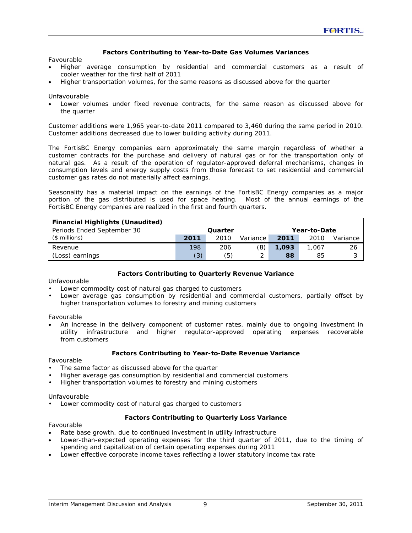### **Factors Contributing to Year-to-Date Gas Volumes Variances**

#### *Favourable*

- Higher average consumption by residential and commercial customers as a result of cooler weather for the first half of 2011
- Higher transportation volumes, for the same reasons as discussed above for the quarter

#### *Unfavourable*

• Lower volumes under fixed revenue contracts, for the same reason as discussed above for the quarter

Customer additions were 1,965 year-to-date 2011 compared to 3,460 during the same period in 2010. Customer additions decreased due to lower building activity during 2011.

The FortisBC Energy companies earn approximately the same margin regardless of whether a customer contracts for the purchase and delivery of natural gas or for the transportation only of natural gas. As a result of the operation of regulator-approved deferral mechanisms, changes in consumption levels and energy supply costs from those forecast to set residential and commercial customer gas rates do not materially affect earnings.

Seasonality has a material impact on the earnings of the FortisBC Energy companies as a major portion of the gas distributed is used for space heating. Most of the annual earnings of the FortisBC Energy companies are realized in the first and fourth quarters.

| <b>Financial Highlights (Unaudited)</b> |      |              |          |       |       |          |
|-----------------------------------------|------|--------------|----------|-------|-------|----------|
| Periods Ended September 30              |      | Year-to-Date |          |       |       |          |
| $($$ millions)                          | 2011 | 2010         | Variance | 2011  | 2010  | Variance |
| Revenue                                 | 198  | 206          | (8)      | 1,093 | 1.067 | 26       |
| (Loss) earnings                         | (3)  | (5)          |          | 88    | 85    | っ<br>ັ   |

### **Factors Contributing to Quarterly Revenue Variance**

### *Unfavourable*

- Lower commodity cost of natural gas charged to customers
- Lower average gas consumption by residential and commercial customers, partially offset by higher transportation volumes to forestry and mining customers

#### *Favourable*

• An increase in the delivery component of customer rates, mainly due to ongoing investment in utility infrastructure and higher regulator-approved operating expenses recoverable from customers

### **Factors Contributing to Year-to-Date Revenue Variance**

#### *Favourable*

- The same factor as discussed above for the quarter
- Higher average gas consumption by residential and commercial customers
- Higher transportation volumes to forestry and mining customers

#### *Unfavourable*

• Lower commodity cost of natural gas charged to customers

### **Factors Contributing to Quarterly Loss Variance**

#### *Favourable*

- Rate base growth, due to continued investment in utility infrastructure
- Lower-than-expected operating expenses for the third quarter of 2011, due to the timing of spending and capitalization of certain operating expenses during 2011
- Lower effective corporate income taxes reflecting a lower statutory income tax rate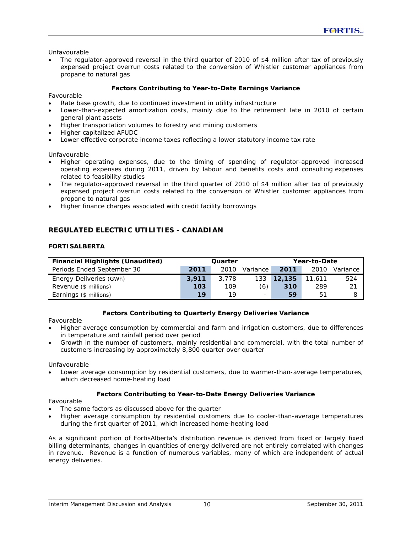### *Unfavourable*

• The regulator-approved reversal in the third quarter of 2010 of \$4 million after tax of previously expensed project overrun costs related to the conversion of Whistler customer appliances from propane to natural gas

### **Factors Contributing to Year-to-Date Earnings Variance**

#### *Favourable*

- Rate base growth, due to continued investment in utility infrastructure
- Lower-than-expected amortization costs, mainly due to the retirement late in 2010 of certain general plant assets
- Higher transportation volumes to forestry and mining customers
- Higher capitalized AFUDC
- Lower effective corporate income taxes reflecting a lower statutory income tax rate

### *Unfavourable*

- Higher operating expenses, due to the timing of spending of regulator-approved increased operating expenses during 2011, driven by labour and benefits costs and consulting expenses related to feasibility studies
- The regulator-approved reversal in the third quarter of 2010 of \$4 million after tax of previously expensed project overrun costs related to the conversion of Whistler customer appliances from propane to natural gas
- Higher finance charges associated with credit facility borrowings

## **REGULATED ELECTRIC UTILITIES - CANADIAN**

### **FORTISALBERTA**

| <b>Financial Highlights (Unaudited)</b> |       | Quarter |          |         | Year-to-Date |          |
|-----------------------------------------|-------|---------|----------|---------|--------------|----------|
| Periods Ended September 30              | 2011  | 2010    | Variance | 2011    | 2010         | Variance |
| Energy Deliveries (GWh)                 | 3.911 | 3,778   | 133      | 12, 135 | 11.611       | 524      |
| Revenue (\$ millions)                   | 103   | 109     | (6)      | 310     | 289          | 21       |
| Earnings (\$ millions)                  | 19    | 19      | -        | 59      | 51           |          |

### **Factors Contributing to Quarterly Energy Deliveries Variance**

*Favourable* 

- Higher average consumption by commercial and farm and irrigation customers, due to differences in temperature and rainfall period over period
- Growth in the number of customers, mainly residential and commercial, with the total number of customers increasing by approximately 8,800 quarter over quarter

#### *Unfavourable*

• Lower average consumption by residential customers, due to warmer-than-average temperatures, which decreased home-heating load

### **Factors Contributing to Year-to-Date Energy Deliveries Variance**

### *Favourable*

- The same factors as discussed above for the quarter
- Higher average consumption by residential customers due to cooler-than-average temperatures during the first quarter of 2011, which increased home-heating load

As a significant portion of FortisAlberta's distribution revenue is derived from fixed or largely fixed billing determinants, changes in quantities of energy delivered are not entirely correlated with changes in revenue. Revenue is a function of numerous variables, many of which are independent of actual energy deliveries.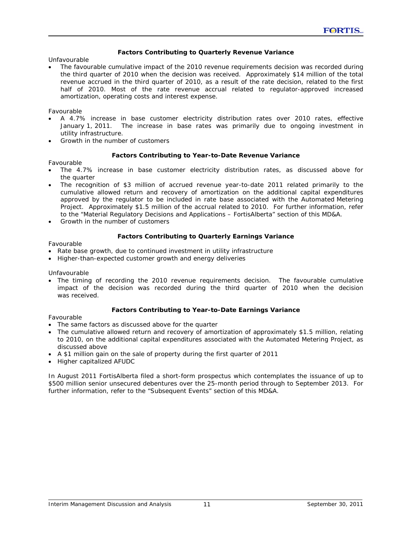### **Factors Contributing to Quarterly Revenue Variance**

*Unfavourable* 

• The favourable cumulative impact of the 2010 revenue requirements decision was recorded during the third quarter of 2010 when the decision was received. Approximately \$14 million of the total revenue accrued in the third quarter of 2010, as a result of the rate decision, related to the first half of 2010. Most of the rate revenue accrual related to regulator-approved increased amortization, operating costs and interest expense.

### *Favourable*

- A 4.7% increase in base customer electricity distribution rates over 2010 rates, effective January 1, 2011. The increase in base rates was primarily due to ongoing investment in utility infrastructure.
- Growth in the number of customers

### **Factors Contributing to Year-to-Date Revenue Variance**

### *Favourable*

- The 4.7% increase in base customer electricity distribution rates, as discussed above for the quarter
- The recognition of \$3 million of accrued revenue year-to-date 2011 related primarily to the cumulative allowed return and recovery of amortization on the additional capital expenditures approved by the regulator to be included in rate base associated with the Automated Metering Project. Approximately \$1.5 million of the accrual related to 2010. For further information, refer to the "Material Regulatory Decisions and Applications – FortisAlberta" section of this MD&A.
- Growth in the number of customers

### **Factors Contributing to Quarterly Earnings Variance**

*Favourable* 

- Rate base growth, due to continued investment in utility infrastructure
- Higher-than-expected customer growth and energy deliveries

### *Unfavourable*

• The timing of recording the 2010 revenue requirements decision. The favourable cumulative impact of the decision was recorded during the third quarter of 2010 when the decision was received.

### **Factors Contributing to Year-to-Date Earnings Variance**

### *Favourable*

- The same factors as discussed above for the quarter
- The cumulative allowed return and recovery of amortization of approximately \$1.5 million, relating to 2010, on the additional capital expenditures associated with the Automated Metering Project, as discussed above
- A \$1 million gain on the sale of property during the first quarter of 2011
- Higher capitalized AFUDC

In August 2011 FortisAlberta filed a short-form prospectus which contemplates the issuance of up to \$500 million senior unsecured debentures over the 25-month period through to September 2013. For further information, refer to the "Subsequent Events" section of this MD&A.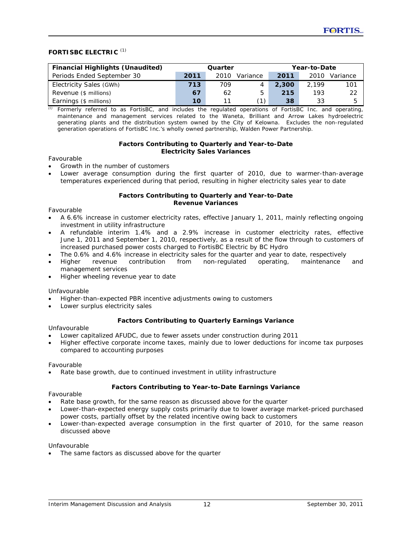### **FORTISBC ELECTRIC** *(1)*

| <b>Financial Highlights (Unaudited)</b> | Quarter |      |          | Year-to-Date |       |          |  |  |
|-----------------------------------------|---------|------|----------|--------------|-------|----------|--|--|
| Periods Ended September 30              | 2011    | 2010 | Variance | 2011         | 2010  | Variance |  |  |
| Electricity Sales (GWh)                 | 713     | 709  |          | 2,300        | 2.199 | 101      |  |  |
| Revenue (\$ millions)                   | 67      | 62   | 5        | 215          | 193   | 22       |  |  |
| Earnings (\$ millions)                  | 10.     | 11   |          | 38           | 33    | 5        |  |  |

*(1)* Formerly referred to as FortisBC, and includes the regulated operations of FortisBC Inc. and operating, maintenance and management services related to the Waneta, Brilliant and Arrow Lakes hydroelectric generating plants and the distribution system owned by the City of Kelowna. Excludes the non-regulated generation operations of FortisBC Inc.'s wholly owned partnership, Walden Power Partnership.

#### **Factors Contributing to Quarterly and Year-to-Date Electricity Sales Variances**

### *Favourable*

- Growth in the number of customers
- Lower average consumption during the first quarter of 2010, due to warmer-than-average temperatures experienced during that period, resulting in higher electricity sales year to date

#### **Factors Contributing to Quarterly and Year-to-Date Revenue Variances**

#### *Favourable*

- A 6.6% increase in customer electricity rates, effective January 1, 2011, mainly reflecting ongoing investment in utility infrastructure
- A refundable interim 1.4% and a 2.9% increase in customer electricity rates, effective June 1, 2011 and September 1, 2010, respectively, as a result of the flow through to customers of increased purchased power costs charged to FortisBC Electric by BC Hydro
- The 0.6% and 4.6% increase in electricity sales for the quarter and year to date, respectively
- Higher revenue contribution from non-regulated operating, maintenance and management services
- Higher wheeling revenue year to date

#### *Unfavourable*

- Higher-than-expected PBR incentive adjustments owing to customers
- Lower surplus electricity sales

### **Factors Contributing to Quarterly Earnings Variance**

#### *Unfavourable*

- Lower capitalized AFUDC, due to fewer assets under construction during 2011
- Higher effective corporate income taxes, mainly due to lower deductions for income tax purposes compared to accounting purposes

#### *Favourable*

• Rate base growth, due to continued investment in utility infrastructure

### **Factors Contributing to Year-to-Date Earnings Variance**

#### *Favourable*

- Rate base growth, for the same reason as discussed above for the quarter
- Lower-than-expected energy supply costs primarily due to lower average market-priced purchased power costs, partially offset by the related incentive owing back to customers
- Lower-than-expected average consumption in the first quarter of 2010, for the same reason discussed above

#### *Unfavourable*

The same factors as discussed above for the quarter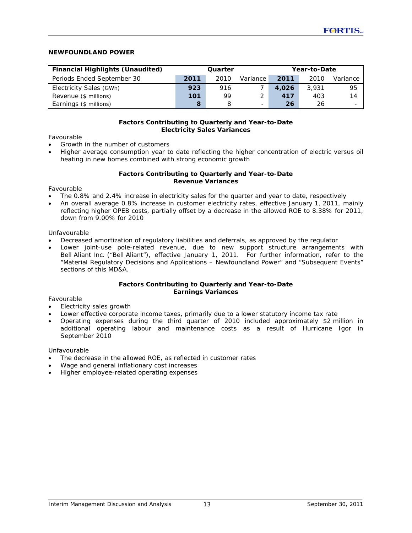### **NEWFOUNDLAND POWER**

| <b>Financial Highlights (Unaudited)</b> | Year-to-Date<br>Quarter |      |                          |       |       |                          |
|-----------------------------------------|-------------------------|------|--------------------------|-------|-------|--------------------------|
| Periods Ended September 30              | 2011                    | 2010 | Variance                 | 2011  | 2010  | Variance                 |
| Electricity Sales (GWh)                 | 923                     | 916  |                          | 4,026 | 3.931 | 95                       |
| Revenue (\$ millions)                   | 101                     | 99   |                          | 417   | 403   | 14                       |
| Earnings (\$ millions)                  |                         |      | $\overline{\phantom{m}}$ | 26    | 26    | $\overline{\phantom{m}}$ |

#### **Factors Contributing to Quarterly and Year-to-Date Electricity Sales Variances**

### *Favourable*

- Growth in the number of customers
- Higher average consumption year to date reflecting the higher concentration of electric versus oil heating in new homes combined with strong economic growth

#### **Factors Contributing to Quarterly and Year-to-Date Revenue Variances**

### *Favourable*

- The 0.8% and 2.4% increase in electricity sales for the quarter and year to date, respectively
- An overall average 0.8% increase in customer electricity rates, effective January 1, 2011, mainly reflecting higher OPEB costs, partially offset by a decrease in the allowed ROE to 8.38% for 2011, down from 9.00% for 2010

#### *Unfavourable*

- Decreased amortization of regulatory liabilities and deferrals, as approved by the regulator
- Lower joint-use pole-related revenue, due to new support structure arrangements with Bell Aliant Inc. ("Bell Aliant"), effective January 1, 2011. For further information, refer to the "Material Regulatory Decisions and Applications – Newfoundland Power" and "Subsequent Events" sections of this MD&A.

#### **Factors Contributing to Quarterly and Year-to-Date Earnings Variances**

### *Favourable*

- Electricity sales growth
- Lower effective corporate income taxes, primarily due to a lower statutory income tax rate
- Operating expenses during the third quarter of 2010 included approximately \$2 million in additional operating labour and maintenance costs as a result of Hurricane Igor in September 2010

### *Unfavourable*

- The decrease in the allowed ROE, as reflected in customer rates
- Wage and general inflationary cost increases
- Higher employee-related operating expenses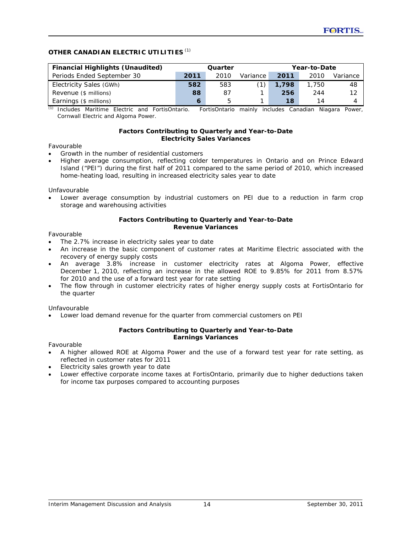## **OTHER CANADIAN ELECTRIC UTILITIES** *(1)*

| <b>Financial Highlights (Unaudited)</b> | Year-to-Date<br>Quarter |      |          |       |       |          |
|-----------------------------------------|-------------------------|------|----------|-------|-------|----------|
| Periods Ended September 30              | 2011                    | 2010 | Variance | 2011  | 2010  | Variance |
| Electricity Sales (GWh)                 | 582                     | 583  |          | 1.798 | 1,750 | 48       |
| Revenue (\$ millions)                   | 88                      | 87   |          | 256   | 244   | 12       |
| Earnings (\$ millions)                  |                         | .h   |          | 18    | 14    |          |

*(1)* Includes Maritime Electric and FortisOntario. FortisOntario mainly includes Canadian Niagara Power, Cornwall Electric and Algoma Power.

#### **Factors Contributing to Quarterly and Year-to-Date Electricity Sales Variances**

### *Favourable*

- Growth in the number of residential customers
- Higher average consumption, reflecting colder temperatures in Ontario and on Prince Edward Island ("PEI") during the first half of 2011 compared to the same period of 2010, which increased home-heating load, resulting in increased electricity sales year to date

#### *Unfavourable*

• Lower average consumption by industrial customers on PEI due to a reduction in farm crop storage and warehousing activities

#### **Factors Contributing to Quarterly and Year-to-Date Revenue Variances**

#### *Favourable*

- The 2.7% increase in electricity sales year to date
- An increase in the basic component of customer rates at Maritime Electric associated with the recovery of energy supply costs
- An average 3.8% increase in customer electricity rates at Algoma Power, effective December 1, 2010, reflecting an increase in the allowed ROE to 9.85% for 2011 from 8.57% for 2010 and the use of a forward test year for rate setting
- The flow through in customer electricity rates of higher energy supply costs at FortisOntario for the quarter

### *Unfavourable*

• Lower load demand revenue for the quarter from commercial customers on PEI

#### **Factors Contributing to Quarterly and Year-to-Date Earnings Variances**

#### *Favourable*

- A higher allowed ROE at Algoma Power and the use of a forward test year for rate setting, as reflected in customer rates for 2011
- Electricity sales growth year to date
- Lower effective corporate income taxes at FortisOntario, primarily due to higher deductions taken for income tax purposes compared to accounting purposes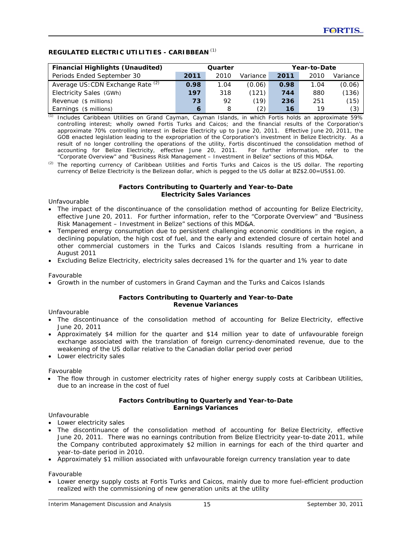## **REGULATED ELECTRIC UTILITIES - CARIBBEAN** *(1)*

| <b>Financial Highlights (Unaudited)</b> | Quarter |      |          |      | Year-to-Date |          |
|-----------------------------------------|---------|------|----------|------|--------------|----------|
| Periods Ended September 30              | 2011    | 2010 | Variance | 2011 | 2010         | Variance |
| Average US: CDN Exchange Rate (2)       | 0.98    | 1.04 | (0.06)   | 0.98 | 1.04         | (0.06)   |
| Electricity Sales (GWh)                 | 197     | 318  | (121)    | 744  | 880          | (136)    |
| Revenue (\$ millions)                   | 73      | 92   | (19)     | 236  | 251          | (15)     |
| Earnings (\$ millions)                  | 6       | 8    | (2)      | 16   | 19           | (3)      |

*(1)* Includes Caribbean Utilities on Grand Cayman, Cayman Islands, in which Fortis holds an approximate 59% controlling interest; wholly owned Fortis Turks and Caicos; and the financial results of the Corporation's approximate 70% controlling interest in Belize Electricity up to June 20, 2011. Effective June 20, 2011, the GOB enacted legislation leading to the expropriation of the Corporation's investment in Belize Electricity. As a result of no longer controlling the operations of the utility, Fortis discontinued the consolidation method of accounting for Belize Electricity, effective June 20, 2011. For further information, refer to the "Corporate Overview" and "Business Risk Management – Investment in Belize" sections of this MD&A.

*(2)* The reporting currency of Caribbean Utilities and Fortis Turks and Caicos is the US dollar. The reporting currency of Belize Electricity is the Belizean dollar, which is pegged to the US dollar at BZ\$2.00=US\$1.00.

#### **Factors Contributing to Quarterly and Year-to-Date Electricity Sales Variances**

#### *Unfavourable*

- The impact of the discontinuance of the consolidation method of accounting for Belize Electricity, effective June 20, 2011. For further information, refer to the "Corporate Overview" and "Business Risk Management – Investment in Belize" sections of this MD&A.
- Tempered energy consumption due to persistent challenging economic conditions in the region, a declining population, the high cost of fuel, and the early and extended closure of certain hotel and other commercial customers in the Turks and Caicos Islands resulting from a hurricane in August 2011
- Excluding Belize Electricity, electricity sales decreased 1% for the quarter and 1% year to date

### *Favourable*

• Growth in the number of customers in Grand Cayman and the Turks and Caicos Islands

#### **Factors Contributing to Quarterly and Year-to-Date Revenue Variances**

### *Unfavourable*

- The discontinuance of the consolidation method of accounting for Belize Electricity, effective June 20, 2011
- Approximately \$4 million for the quarter and \$14 million year to date of unfavourable foreign exchange associated with the translation of foreign currency-denominated revenue, due to the weakening of the US dollar relative to the Canadian dollar period over period
- Lower electricity sales

### *Favourable*

• The flow through in customer electricity rates of higher energy supply costs at Caribbean Utilities, due to an increase in the cost of fuel

#### **Factors Contributing to Quarterly and Year-to-Date Earnings Variances**

### *Unfavourable*

- Lower electricity sales
- The discontinuance of the consolidation method of accounting for Belize Electricity, effective June 20, 2011. There was no earnings contribution from Belize Electricity year-to-date 2011, while the Company contributed approximately \$2 million in earnings for each of the third quarter and year-to-date period in 2010.
- Approximately \$1 million associated with unfavourable foreign currency translation year to date

### *Favourable*

• Lower energy supply costs at Fortis Turks and Caicos, mainly due to more fuel-efficient production realized with the commissioning of new generation units at the utility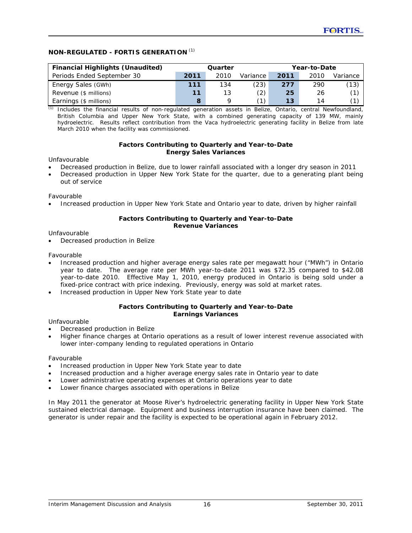## **NON-REGULATED - FORTIS GENERATION** *(1)*

| <b>Financial Highlights (Unaudited)</b> | Year-to-Date<br>Quarter |      |          |      |      |          |
|-----------------------------------------|-------------------------|------|----------|------|------|----------|
| Periods Ended September 30              | 2011                    | 2010 | Variance | 2011 | 2010 | Variance |
| Energy Sales (GWh)                      | 111                     | 134  | (23)     | 277  | 290  | (13)     |
| Revenue (\$ millions)                   | 11                      | 13   | (2)      | 25   | 26   |          |
| Earnings (\$ millions)                  |                         |      | ั1`      | 13   | 14   |          |

*(1)* Includes the financial results of non-regulated generation assets in Belize, Ontario, central Newfoundland, British Columbia and Upper New York State, with a combined generating capacity of 139 MW, mainly hydroelectric. Results reflect contribution from the Vaca hydroelectric generating facility in Belize from late March 2010 when the facility was commissioned.

### **Factors Contributing to Quarterly and Year-to-Date Energy Sales Variances**

#### *Unfavourable*

- Decreased production in Belize, due to lower rainfall associated with a longer dry season in 2011
- Decreased production in Upper New York State for the quarter, due to a generating plant being out of service

### *Favourable*

• Increased production in Upper New York State and Ontario year to date, driven by higher rainfall

### **Factors Contributing to Quarterly and Year-to-Date Revenue Variances**

### *Unfavourable*

• Decreased production in Belize

#### *Favourable*

- Increased production and higher average energy sales rate per megawatt hour ("MWh") in Ontario year to date. The average rate per MWh year-to-date 2011 was \$72.35 compared to \$42.08 year-to-date 2010. Effective May 1, 2010, energy produced in Ontario is being sold under a fixed-price contract with price indexing. Previously, energy was sold at market rates.
- Increased production in Upper New York State year to date

#### **Factors Contributing to Quarterly and Year-to-Date Earnings Variances**

#### *Unfavourable*

- Decreased production in Belize
- Higher finance charges at Ontario operations as a result of lower interest revenue associated with lower inter-company lending to regulated operations in Ontario

#### *Favourable*

- Increased production in Upper New York State year to date
- Increased production and a higher average energy sales rate in Ontario year to date
- Lower administrative operating expenses at Ontario operations year to date
- Lower finance charges associated with operations in Belize

In May 2011 the generator at Moose River's hydroelectric generating facility in Upper New York State sustained electrical damage. Equipment and business interruption insurance have been claimed. The generator is under repair and the facility is expected to be operational again in February 2012.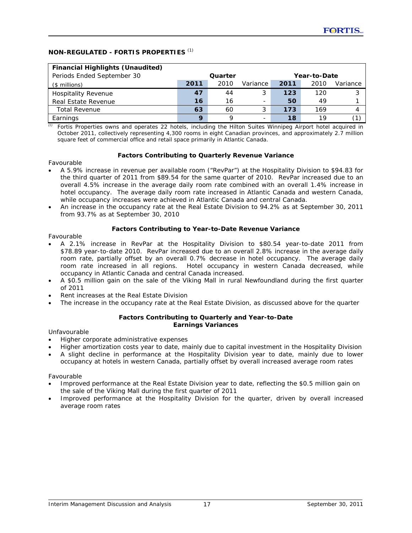## **NON-REGULATED - FORTIS PROPERTIES** *(1)*

| <b>Financial Highlights (Unaudited)</b> |                         |      |          |      |      |          |
|-----------------------------------------|-------------------------|------|----------|------|------|----------|
| Periods Ended September 30              | Quarter<br>Year-to-Date |      |          |      |      |          |
| $($$ millions)                          | 2011                    | 2010 | Variance | 2011 | 2010 | Variance |
| <b>Hospitality Revenue</b>              | 47                      | 44   | 3        | 123  | 120  | 3        |
| Real Estate Revenue                     | 16                      | 16   |          | 50   | 49   |          |
| <b>Total Revenue</b>                    | 63                      | 60   |          | 173  | 169  |          |
| Earnings                                | $\mathbf Q$             |      |          | 18   | 19   |          |

Fortis Properties owns and operates 22 hotels, including the Hilton Suites Winnipeg Airport hotel acquired in October 2011, collectively representing 4,300 rooms in eight Canadian provinces, and approximately 2.7 million square feet of commercial office and retail space primarily in Atlantic Canada.

### **Factors Contributing to Quarterly Revenue Variance**

### *Favourable*

- A 5.9% increase in revenue per available room ("RevPar") at the Hospitality Division to \$94.83 for the third quarter of 2011 from \$89.54 for the same quarter of 2010. RevPar increased due to an overall 4.5% increase in the average daily room rate combined with an overall 1.4% increase in hotel occupancy. The average daily room rate increased in Atlantic Canada and western Canada, while occupancy increases were achieved in Atlantic Canada and central Canada.
- An increase in the occupancy rate at the Real Estate Division to 94.2% as at September 30, 2011 from 93.7% as at September 30, 2010

### **Factors Contributing to Year-to-Date Revenue Variance**

### *Favourable*

- A 2.1% increase in RevPar at the Hospitality Division to \$80.54 year-to-date 2011 from \$78.89 year-to-date 2010. RevPar increased due to an overall 2.8% increase in the average daily room rate, partially offset by an overall 0.7% decrease in hotel occupancy. The average daily room rate increased in all regions. Hotel occupancy in western Canada decreased, while occupancy in Atlantic Canada and central Canada increased.
- A \$0.5 million gain on the sale of the Viking Mall in rural Newfoundland during the first quarter of 2011
- Rent increases at the Real Estate Division
- The increase in the occupancy rate at the Real Estate Division, as discussed above for the quarter

### **Factors Contributing to Quarterly and Year-to-Date Earnings Variances**

### *Unfavourable*

- Higher corporate administrative expenses
- Higher amortization costs year to date, mainly due to capital investment in the Hospitality Division
- A slight decline in performance at the Hospitality Division year to date, mainly due to lower occupancy at hotels in western Canada, partially offset by overall increased average room rates

### *Favourable*

- Improved performance at the Real Estate Division year to date, reflecting the \$0.5 million gain on the sale of the Viking Mall during the first quarter of 2011
- Improved performance at the Hospitality Division for the quarter, driven by overall increased average room rates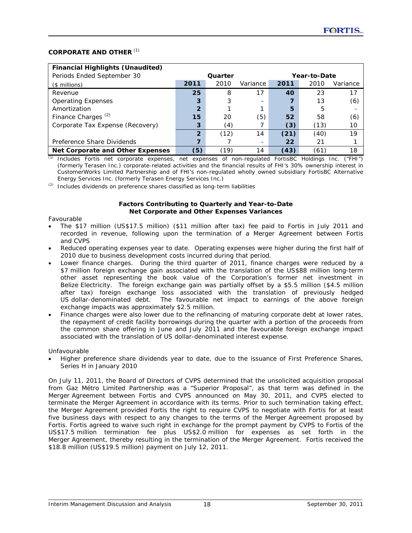### **CORPORATE AND OTHER** *(1)*

| <b>Financial Highlights (Unaudited)</b> |                |         |                              |      |              |          |  |
|-----------------------------------------|----------------|---------|------------------------------|------|--------------|----------|--|
| Periods Ended September 30              |                | Quarter |                              |      | Year-to-Date |          |  |
| $($$ millions)                          | 2011           | 2010    | Variance                     | 2011 | 2010         | Variance |  |
| Revenue                                 | 25             | 8       | 17                           | 40   | 23           | 17       |  |
| <b>Operating Expenses</b>               | 3              | 3       |                              |      | 13           | (6)      |  |
| Amortization                            | $\overline{2}$ |         |                              | 5    | 5            | -        |  |
| Finance Charges <sup>(2)</sup>          | 15             | 20      | (5)                          | 52   | 58           | (6)      |  |
| Corporate Tax Expense (Recovery)        | 3              | (4)     |                              | (3)  | (13)         | 10       |  |
|                                         | 2              | (12)    | 14                           | (21) | (40)         | 19       |  |
| Preference Share Dividends              |                |         | $\qquad \qquad \blacksquare$ | 22   | 21           |          |  |
| Net Corporate and Other Expenses        | (5)            | (19)    | 14                           | (43) | (61)         | 18       |  |

*(1)* Includes Fortis net corporate expenses, net expenses of non-regulated FortisBC Holdings Inc. ("FHI") (formerly Terasen Inc.) corporate-related activities and the financial results of FHI's 30% ownership interest in CustomerWorks Limited Partnership and of FHI's non-regulated wholly owned subsidiary FortisBC Alternative Energy Services Inc. (formerly Terasen Energy Services Inc.)

*(2)* Includes dividends on preference shares classified as long-term liabilities

#### **Factors Contributing to Quarterly and Year-to-Date Net Corporate and Other Expenses Variances**

#### *Favourable*

- The \$17 million (US\$17.5 million) (\$11 million after tax) fee paid to Fortis in July 2011 and recorded in revenue, following upon the termination of a Merger Agreement between Fortis and CVPS
- Reduced operating expenses year to date. Operating expenses were higher during the first half of 2010 due to business development costs incurred during that period.
- Lower finance charges. During the third quarter of 2011, finance charges were reduced by a \$7 million foreign exchange gain associated with the translation of the US\$88 million long-term other asset representing the book value of the Corporation's former net investment in Belize Electricity. The foreign exchange gain was partially offset by a \$5.5 million (\$4.5 million after tax) foreign exchange loss associated with the translation of previously hedged US dollar-denominated debt. The favourable net impact to earnings of the above foreign exchange impacts was approximately \$2.5 million.
- Finance charges were also lower due to the refinancing of maturing corporate debt at lower rates, the repayment of credit facility borrowings during the quarter with a portion of the proceeds from the common share offering in June and July 2011 and the favourable foreign exchange impact associated with the translation of US dollar-denominated interest expense.

### *Unfavourable*

• Higher preference share dividends year to date, due to the issuance of First Preference Shares, Series H in January 2010

On July 11, 2011, the Board of Directors of CVPS determined that the unsolicited acquisition proposal from Gaz Métro Limited Partnership was a "Superior Proposal", as that term was defined in the Merger Agreement between Fortis and CVPS announced on May 30, 2011, and CVPS elected to terminate the Merger Agreement in accordance with its terms. Prior to such termination taking effect, the Merger Agreement provided Fortis the right to require CVPS to negotiate with Fortis for at least five business days with respect to any changes to the terms of the Merger Agreement proposed by Fortis. Fortis agreed to waive such right in exchange for the prompt payment by CVPS to Fortis of the US\$17.5 million termination fee plus US\$2.0 million for expenses as set forth in the Merger Agreement, thereby resulting in the termination of the Merger Agreement. Fortis received the \$18.8 million (US\$19.5 million) payment on July 12, 2011.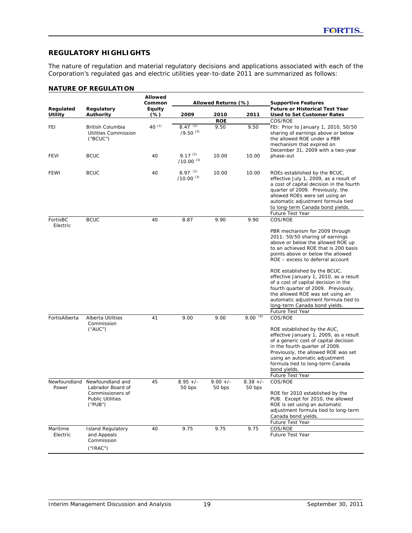## **REGULATORY HIGHLIGHTS**

The nature of regulation and material regulatory decisions and applications associated with each of the Corporation's regulated gas and electric utilities year-to-date 2011 are summarized as follows:

### **NATURE OF REGULATION**

|                             | <b>Allowed</b><br>Common<br>Allowed Returns (%)                                                 |                  |                                | <b>Supportive Features</b> |                      |                                                                                                                                                                                                                                                                                                                                                                                                                                                                                                                   |
|-----------------------------|-------------------------------------------------------------------------------------------------|------------------|--------------------------------|----------------------------|----------------------|-------------------------------------------------------------------------------------------------------------------------------------------------------------------------------------------------------------------------------------------------------------------------------------------------------------------------------------------------------------------------------------------------------------------------------------------------------------------------------------------------------------------|
| Regulated<br><b>Utility</b> | Regulatory<br><b>Authority</b>                                                                  | Equity<br>$(\%)$ | 2009                           | 2010                       | 2011                 | <b>Future or Historical Test Year</b><br><b>Used to Set Customer Rates</b>                                                                                                                                                                                                                                                                                                                                                                                                                                        |
|                             |                                                                                                 |                  |                                | <b>ROE</b>                 |                      | COS/ROE                                                                                                                                                                                                                                                                                                                                                                                                                                                                                                           |
| FEI                         | British Columbia<br><b>Utilities Commission</b><br>("B CUC")                                    | 40 $(1)$         | $8.47^{(2)}$<br>$(9.50)^{(3)}$ | 9.50                       | 9.50                 | FEI: Prior to January 1, 2010, 50/50<br>sharing of earnings above or below<br>the allowed ROE under a PBR<br>mechanism that expired on<br>December 31, 2009 with a two-year                                                                                                                                                                                                                                                                                                                                       |
| <b>FEVI</b>                 | <b>BCUC</b>                                                                                     | 40               | $9.17^{(2)}$<br>$/10.00^{(3)}$ | 10.00                      | 10.00                | phase-out                                                                                                                                                                                                                                                                                                                                                                                                                                                                                                         |
| <b>FEWI</b>                 | <b>BCUC</b>                                                                                     | 40               | $897^{(2)}$<br>$/10.00^{(3)}$  | 10.00                      | 10.00                | ROEs established by the BCUC,<br>effective July 1, 2009, as a result of<br>a cost of capital decision in the fourth<br>quarter of 2009. Previously, the<br>allowed ROEs were set using an<br>automatic adjustment formula tied<br>to long-term Canada bond yields.                                                                                                                                                                                                                                                |
| FortisBC                    | <b>BCUC</b>                                                                                     | 40               |                                | 9.90                       | 9.90                 | Future Test Year<br>COS/ROE                                                                                                                                                                                                                                                                                                                                                                                                                                                                                       |
| Electric                    |                                                                                                 |                  | 8.87                           |                            | $9.00^{(4)}$         | PBR mechanism for 2009 through<br>2011: 50/50 sharing of earnings<br>above or below the allowed ROE up<br>to an achieved ROE that is 200 basis<br>points above or below the allowed<br>ROE - excess to deferral account<br>ROE established by the BCUC,<br>effective January 1, 2010, as a result<br>of a cost of capital decision in the<br>fourth quarter of 2009. Previously,<br>the allowed ROE was set using an<br>automatic adjustment formula tied to<br>long-term Canada bond yields.<br>Future Test Year |
| FortisAlberta               | Alberta Utilities<br>Commission<br>$(^{\prime}$ AUC $^{\prime\prime}$                           | 41               | 9.00                           | 9.00                       |                      | COS/ROE<br>ROE established by the AUC,<br>effective January 1, 2009, as a result<br>of a generic cost of capital decision<br>in the fourth quarter of 2009.<br>Previously, the allowed ROE was set<br>using an automatic adjustment<br>formula tied to long-term Canada<br>bond yields.<br>Future Test Year                                                                                                                                                                                                       |
| Newfoundland<br>Power       | Newfoundland and<br>Labrador Board of<br>Commissioners of<br><b>Public Utilities</b><br>("PUB") | 45               | $8.95 +/-$<br>50 bps           | $9.00 +/-$<br>50 bps       | $8.38 +/-$<br>50 bps | COS/ROE<br>ROE for 2010 established by the<br>PUB. Except for 2010, the allowed<br>ROE is set using an automatic<br>adjustment formula tied to long-term<br>Canada bond yields.<br>Future Test Year                                                                                                                                                                                                                                                                                                               |
| Maritime<br>Electric        | <b>Island Regulatory</b><br>and Appeals<br>Commission<br>(''IRAC")                              | 40               | 9.75                           | 9.75                       | 9.75                 | COS/ROE<br><b>Future Test Year</b>                                                                                                                                                                                                                                                                                                                                                                                                                                                                                |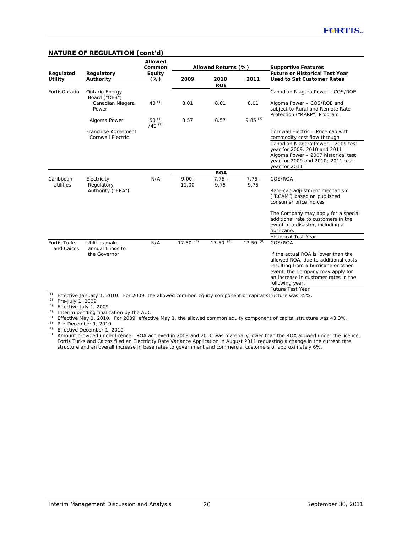| Regulated<br><b>Utility</b><br>FortisOntario | Regulatory<br>Authority<br>Ontario Energy<br>Board ("OEB")<br>Canadian Niagara<br>Power<br>Algoma Power<br>Franchise Agreement | Equity<br>$(\%)$<br>40 $(5)$<br>50 $(6)$<br>$/40^{(7)}$ | 2009<br>8.01<br>8.57 | 2010<br><b>ROE</b><br>8.01 | 2011<br>8.01     | <b>Future or Historical Test Year</b><br><b>Used to Set Customer Rates</b><br>Canadian Niagara Power - COS/ROE<br>Algoma Power - COS/ROE and   |
|----------------------------------------------|--------------------------------------------------------------------------------------------------------------------------------|---------------------------------------------------------|----------------------|----------------------------|------------------|------------------------------------------------------------------------------------------------------------------------------------------------|
|                                              |                                                                                                                                |                                                         |                      |                            |                  |                                                                                                                                                |
|                                              |                                                                                                                                |                                                         |                      |                            |                  |                                                                                                                                                |
|                                              |                                                                                                                                |                                                         |                      |                            |                  |                                                                                                                                                |
|                                              |                                                                                                                                |                                                         |                      |                            |                  | subject to Rural and Remote Rate<br>Protection ("RRRP") Program                                                                                |
|                                              |                                                                                                                                |                                                         |                      | 8.57                       | $9.85^{(7)}$     |                                                                                                                                                |
|                                              | Cornwall Electric                                                                                                              |                                                         |                      |                            |                  | Cornwall Electric - Price cap with<br>commodity cost flow through                                                                              |
|                                              |                                                                                                                                |                                                         |                      |                            |                  | Canadian Niagara Power - 2009 test<br>year for 2009, 2010 and 2011<br>Algoma Power - 2007 historical test<br>year for 2009 and 2010; 2011 test |
|                                              |                                                                                                                                |                                                         |                      |                            |                  | year for 2011                                                                                                                                  |
|                                              |                                                                                                                                |                                                         |                      | <b>ROA</b>                 |                  |                                                                                                                                                |
| Caribbean<br><b>Utilities</b>                | Electricity<br>Regulatory                                                                                                      | N/A                                                     | $9.00 -$<br>11.00    | $7.75 -$<br>9.75           | $7.75 -$<br>9.75 | COS/ROA                                                                                                                                        |
|                                              | Authority ("ERA")                                                                                                              |                                                         |                      |                            |                  | Rate-cap adjustment mechanism<br>("RCAM") based on published<br>consumer price indices                                                         |
|                                              |                                                                                                                                |                                                         |                      |                            |                  | The Company may apply for a special<br>additional rate to customers in the<br>event of a disaster, including a<br>hurricane.                   |
|                                              |                                                                                                                                |                                                         |                      |                            |                  | <b>Historical Test Year</b>                                                                                                                    |
| <b>Fortis Turks</b><br>and Caicos            | Utilities make<br>annual filings to                                                                                            | N/A                                                     | 17.50 $\sqrt{(8)}$   | (8)<br>17.50               | $17.50^{(8)}$    | COS/ROA                                                                                                                                        |
|                                              | the Governor                                                                                                                   |                                                         |                      |                            |                  | If the actual ROA is lower than the                                                                                                            |
|                                              |                                                                                                                                |                                                         |                      |                            |                  | allowed ROA, due to additional costs                                                                                                           |
|                                              |                                                                                                                                |                                                         |                      |                            |                  | resulting from a hurricane or other                                                                                                            |
|                                              |                                                                                                                                |                                                         |                      |                            |                  | event, the Company may apply for                                                                                                               |
|                                              |                                                                                                                                |                                                         |                      |                            |                  | an increase in customer rates in the<br>following year.                                                                                        |
| (1)                                          |                                                                                                                                |                                                         |                      |                            |                  | Future Test Year                                                                                                                               |

#### **NATURE OF REGULATION (cont'd)**

*(1)* Effective January 1, 2010. For 2009, the allowed common equity component of capital structure was 35%.

*(2)* Pre-July 1, 2009

*(3)* Effective July 1, 2009

*(4)* Interim pending finalization by the AUC

*(5)* Effective May 1, 2010. For 2009, effective May 1, the allowed common equity component of capital structure was 43.3%.

*(6)* Pre-December 1, 2010

*(7)* Effective December 1, 2010

*(8)* Amount provided under licence. ROA achieved in 2009 and 2010 was materially lower than the ROA allowed under the licence. Fortis Turks and Caicos filed an Electricity Rate Variance Application in August 2011 requesting a change in the current rate structure and an overall increase in base rates to government and commercial customers of approximately 6%.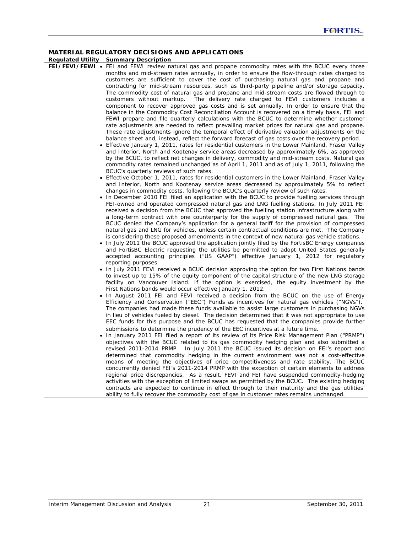**Regulated Utility Summary Description** 

- **FEI/FEVI/FEWI**  FEI and FEWI review natural gas and propane commodity rates with the BCUC every three months and mid-stream rates annually, in order to ensure the flow-through rates charged to customers are sufficient to cover the cost of purchasing natural gas and propane and contracting for mid-stream resources, such as third-party pipeline and/or storage capacity. The commodity cost of natural gas and propane and mid-stream costs are flowed through to customers without markup. The delivery rate charged to FEVI customers includes a component to recover approved gas costs and is set annually. In order to ensure that the balance in the Commodity Cost Reconciliation Account is recovered on a timely basis, FEI and FEWI prepare and file quarterly calculations with the BCUC to determine whether customer rate adjustments are needed to reflect prevailing market prices for natural gas and propane. These rate adjustments ignore the temporal effect of derivative valuation adjustments on the balance sheet and, instead, reflect the forward forecast of gas costs over the recovery period.
	- Effective January 1, 2011, rates for residential customers in the Lower Mainland, Fraser Valley and Interior, North and Kootenay service areas decreased by approximately 6%, as approved by the BCUC, to reflect net changes in delivery, commodity and mid-stream costs. Natural gas commodity rates remained unchanged as of April 1, 2011 and as of July 1, 2011, following the BCUC's quarterly reviews of such rates.
	- Effective October 1, 2011, rates for residential customers in the Lower Mainland, Fraser Valley and Interior, North and Kootenay service areas decreased by approximately 5% to reflect changes in commodity costs, following the BCUC's quarterly review of such rates.
	- In December 2010 FEI filed an application with the BCUC to provide fuelling services through FEI-owned and operated compressed natural gas and LNG fuelling stations. In July 2011 FEI received a decision from the BCUC that approved the fuelling station infrastructure along with a long-term contract with one counterparty for the supply of compressed natural gas. The BCUC denied the Company's application for a general tariff for the provision of compressed natural gas and LNG for vehicles, unless certain contractual conditions are met. The Company is considering these proposed amendments in the context of new natural gas vehicle stations.
	- In July 2011 the BCUC approved the application jointly filed by the FortisBC Energy companies and FortisBC Electric requesting the utilities be permitted to adopt United States generally accepted accounting principles ("US GAAP") effective January 1, 2012 for regulatory reporting purposes.
	- In July 2011 FEVI received a BCUC decision approving the option for two First Nations bands to invest up to 15% of the equity component of the capital structure of the new LNG storage facility on Vancouver Island. If the option is exercised, the equity investment by the First Nations bands would occur effective January 1, 2012.
	- In August 2011 FEI and FEVI received a decision from the BCUC on the use of Energy Efficiency and Conservation ("EEC") Funds as incentives for natural gas vehicles ("NGVs"). The companies had made these funds available to assist large customers in purchasing NGVs in lieu of vehicles fueled by diesel. The decision determined that it was not appropriate to use EEC funds for this purpose and the BCUC has requested that the companies provide further submissions to determine the prudency of the EEC incentives at a future time.
	- In January 2011 FEI filed a report of its review of its Price Risk Management Plan ("PRMP") objectives with the BCUC related to its gas commodity hedging plan and also submitted a revised 2011-2014 PRMP. In July 2011 the BCUC issued its decision on FEI's report and determined that commodity hedging in the current environment was not a cost-effective means of meeting the objectives of price competitiveness and rate stability. The BCUC concurrently denied FEI's 2011-2014 PRMP with the exception of certain elements to address regional price discrepancies. As a result, FEVI and FEI have suspended commodity-hedging activities with the exception of limited swaps as permitted by the BCUC. The existing hedging contracts are expected to continue in effect through to their maturity and the gas utilities' ability to fully recover the commodity cost of gas in customer rates remains unchanged.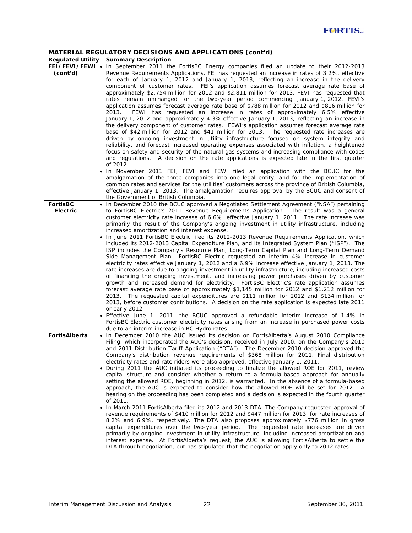|                 | <b>Regulated Utility Summary Description</b>                                                       |
|-----------------|----------------------------------------------------------------------------------------------------|
|                 | FEI/FEVI/FEWI • In September 2011 the FortisBC Energy companies filed an update to their 2012-2013 |
| (cont'd)        | Revenue Requirements Applications. FEI has requested an increase in rates of 3.2%, effective       |
|                 | for each of January 1, 2012 and January 1, 2013, reflecting an increase in the delivery            |
|                 | component of customer rates. FEI's application assumes forecast average rate base of               |
|                 | approximately \$2,754 million for 2012 and \$2,811 million for 2013. FEVI has requested that       |
|                 | rates remain unchanged for the two-year period commencing January 1, 2012. FEVI's                  |
|                 | application assumes forecast average rate base of \$788 million for 2012 and \$816 million for     |
|                 | FEWI has requested an increase in rates of approximately 6.5% effective<br>2013.                   |
|                 |                                                                                                    |
|                 | January 1, 2012 and approximately 4.3% effective January 1, 2013, reflecting an increase in        |
|                 | the delivery component of customer rates. FEWI's application assumes forecast average rate         |
|                 | base of \$42 million for 2012 and \$41 million for 2013. The requested rate increases are          |
|                 | driven by ongoing investment in utility infrastructure focused on system integrity and             |
|                 | reliability, and forecast increased operating expenses associated with inflation, a heightened     |
|                 | focus on safety and security of the natural gas systems and increasing compliance with codes       |
|                 | and regulations. A decision on the rate applications is expected late in the first quarter         |
|                 | of 2012.                                                                                           |
|                 | • In November 2011 FEI, FEVI and FEWI filed an application with the BCUC for the                   |
|                 | amalgamation of the three companies into one legal entity, and for the implementation of           |
|                 | common rates and services for the utilities' customers across the province of British Columbia,    |
|                 | effective January 1, 2013. The amalgamation requires approval by the BCUC and consent of           |
|                 | the Government of British Columbia.                                                                |
| <b>FortisBC</b> | • In December 2010 the BCUC approved a Negotiated Settlement Agreement ("NSA") pertaining          |
| <b>Electric</b> | to FortisBC Electric's 2011 Revenue Requirements Application. The result was a general             |
|                 | customer electricity rate increase of 6.6%, effective January 1, 2011. The rate increase was       |
|                 | primarily the result of the Company's ongoing investment in utility infrastructure, including      |
|                 | increased amortization and interest expense.                                                       |
|                 | • In June 2011 FortisBC Electric filed its 2012-2013 Revenue Requirements Application, which       |
|                 |                                                                                                    |
|                 | included its 2012-2013 Capital Expenditure Plan, and its Integrated System Plan ("ISP"). The       |
|                 | ISP includes the Company's Resource Plan, Long-Term Capital Plan and Long-Term Demand              |
|                 | Side Management Plan. FortisBC Electric requested an interim 4% increase in customer               |
|                 | electricity rates effective January 1, 2012 and a 6.9% increase effective January 1, 2013. The     |
|                 | rate increases are due to ongoing investment in utility infrastructure, including increased costs  |
|                 | of financing the ongoing investment, and increasing power purchases driven by customer             |
|                 | growth and increased demand for electricity. FortisBC Electric's rate application assumes          |
|                 | forecast average rate base of approximately \$1,145 million for 2012 and \$1,212 million for       |
|                 | 2013. The requested capital expenditures are \$111 million for 2012 and \$134 million for          |
|                 | 2013, before customer contributions. A decision on the rate application is expected late 2011      |
|                 | or early 2012.                                                                                     |
|                 | • Effective June 1, 2011, the BCUC approved a refundable interim increase of 1.4% in               |
|                 | FortisBC Electric customer electricity rates arising from an increase in purchased power costs     |
|                 | due to an interim increase in BC Hydro rates.                                                      |
| FortisAlberta   | • In December 2010 the AUC issued its decision on FortisAlberta's August 2010 Compliance           |
|                 | Filing, which incorporated the AUC's decision, received in July 2010, on the Company's 2010        |
|                 | and 2011 Distribution Tariff Application ("DTA"). The December 2010 decision approved the          |
|                 | Company's distribution revenue requirements of \$368 million for 2011. Final distribution          |
|                 | electricity rates and rate riders were also approved, effective January 1, 2011.                   |
|                 | During 2011 the AUC initiated its proceeding to finalize the allowed ROE for 2011, review          |
|                 | capital structure and consider whether a return to a formula-based approach for annually           |
|                 |                                                                                                    |
|                 | setting the allowed ROE, beginning in 2012, is warranted. In the absence of a formula-based        |
|                 | approach, the AUC is expected to consider how the allowed ROE will be set for 2012. A              |
|                 | hearing on the proceeding has been completed and a decision is expected in the fourth quarter      |
|                 | of 2011.                                                                                           |
|                 | • In March 2011 FortisAlberta filed its 2012 and 2013 DTA. The Company requested approval of       |
|                 | revenue requirements of \$410 million for 2012 and \$447 million for 2013, for rate increases of   |
|                 | 8.2% and 6.9%, respectively. The DTA also proposes approximately \$776 million in gross            |
|                 | capital expenditures over the two-year period. The requested rate increases are driven             |
|                 | primarily by ongoing investment in utility infrastructure, including increased amortization and    |
|                 | interest expense. At FortisAlberta's request, the AUC is allowing FortisAlberta to settle the      |
|                 | DTA through negotiation, but has stipulated that the negotiation apply only to 2012 rates.         |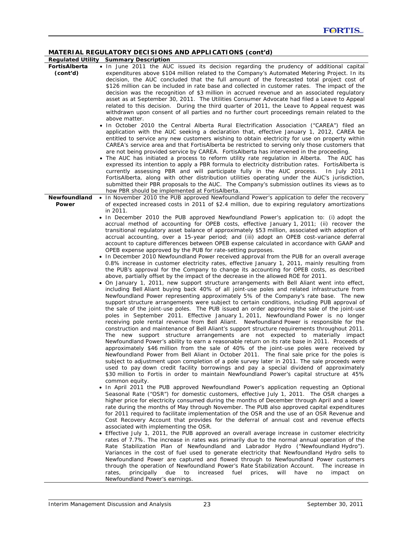|                           | <b>Regulated Utility Summary Description</b>                                                                                                                                                                                                                                                                                                                                                                                                                                                                                                                                                                                                                                                                                                                                                                                                                                                                                                                                                                                                                                                                                                                                                                                                                                                                                                                                                                                                                                                                                                                                                                                                                                                                                                                                                                                                                                                                                                                                                                                                                                                                                                                                                                                                                                                                                                                                                                                                                                                                      |
|---------------------------|-------------------------------------------------------------------------------------------------------------------------------------------------------------------------------------------------------------------------------------------------------------------------------------------------------------------------------------------------------------------------------------------------------------------------------------------------------------------------------------------------------------------------------------------------------------------------------------------------------------------------------------------------------------------------------------------------------------------------------------------------------------------------------------------------------------------------------------------------------------------------------------------------------------------------------------------------------------------------------------------------------------------------------------------------------------------------------------------------------------------------------------------------------------------------------------------------------------------------------------------------------------------------------------------------------------------------------------------------------------------------------------------------------------------------------------------------------------------------------------------------------------------------------------------------------------------------------------------------------------------------------------------------------------------------------------------------------------------------------------------------------------------------------------------------------------------------------------------------------------------------------------------------------------------------------------------------------------------------------------------------------------------------------------------------------------------------------------------------------------------------------------------------------------------------------------------------------------------------------------------------------------------------------------------------------------------------------------------------------------------------------------------------------------------------------------------------------------------------------------------------------------------|
| FortisAlberta<br>(cont'd) | . In June 2011 the AUC issued its decision regarding the prudency of additional capital<br>expenditures above \$104 million related to the Company's Automated Metering Project. In its<br>decision, the AUC concluded that the full amount of the forecasted total project cost of<br>\$126 million can be included in rate base and collected in customer rates. The impact of the<br>decision was the recognition of \$3 million in accrued revenue and an associated regulatory<br>asset as at September 30, 2011. The Utilities Consumer Advocate had filed a Leave to Appeal<br>related to this decision. During the third quarter of 2011, the Leave to Appeal request was<br>withdrawn upon consent of all parties and no further court proceedings remain related to the<br>above matter.                                                                                                                                                                                                                                                                                                                                                                                                                                                                                                                                                                                                                                                                                                                                                                                                                                                                                                                                                                                                                                                                                                                                                                                                                                                                                                                                                                                                                                                                                                                                                                                                                                                                                                                |
|                           | • In October 2010 the Central Alberta Rural Electrification Association ("CAREA") filed an<br>application with the AUC seeking a declaration that, effective January 1, 2012, CAREA be<br>entitled to service any new customers wishing to obtain electricity for use on property within<br>CAREA's service area and that FortisAlberta be restricted to serving only those customers that<br>are not being provided service by CAREA. FortisAlberta has intervened in the proceeding.<br>• The AUC has initiated a process to reform utility rate regulation in Alberta. The AUC has<br>expressed its intention to apply a PBR formula to electricity distribution rates. FortisAlberta is<br>currently assessing PBR and will participate fully in the AUC process.<br>In July $2011$<br>FortisAlberta, along with other distribution utilities operating under the AUC's jurisdiction,<br>submitted their PBR proposals to the AUC. The Company's submission outlines its views as to<br>how PBR should be implemented at FortisAlberta.                                                                                                                                                                                                                                                                                                                                                                                                                                                                                                                                                                                                                                                                                                                                                                                                                                                                                                                                                                                                                                                                                                                                                                                                                                                                                                                                                                                                                                                                       |
| Newfoundland              | • In November 2010 the PUB approved Newfoundland Power's application to defer the recovery                                                                                                                                                                                                                                                                                                                                                                                                                                                                                                                                                                                                                                                                                                                                                                                                                                                                                                                                                                                                                                                                                                                                                                                                                                                                                                                                                                                                                                                                                                                                                                                                                                                                                                                                                                                                                                                                                                                                                                                                                                                                                                                                                                                                                                                                                                                                                                                                                        |
| Power                     | of expected increased costs in 2011 of \$2.4 million, due to expiring regulatory amortizations<br>in 2011.<br>• In December 2010 the PUB approved Newfoundland Power's application to: (i) adopt the<br>accrual method of accounting for OPEB costs, effective January 1, 2011; (ii) recover the<br>transitional regulatory asset balance of approximately \$53 million, associated with adoption of<br>accrual accounting, over a 15-year period; and (iii) adopt an OPEB cost-variance deferral<br>account to capture differences between OPEB expense calculated in accordance with GAAP and<br>OPEB expense approved by the PUB for rate-setting purposes.<br>• In December 2010 Newfoundland Power received approval from the PUB for an overall average<br>0.8% increase in customer electricity rates, effective January 1, 2011, mainly resulting from<br>the PUB's approval for the Company to change its accounting for OPEB costs, as described<br>above, partially offset by the impact of the decrease in the allowed ROE for 2011.<br>• On January 1, 2011, new support structure arrangements with Bell Aliant went into effect,<br>including Bell Aliant buying back 40% of all joint-use poles and related infrastructure from<br>Newfoundland Power representing approximately 5% of the Company's rate base. The new<br>support structure arrangements were subject to certain conditions, including PUB approval of<br>the sale of the joint-use poles. The PUB issued an order approving the sale of the joint-use<br>poles in September 2011. Effective January 1, 2011, Newfoundland Power is no longer<br>receiving pole rental revenue from Bell Aliant. Newfoundland Power is responsible for the<br>construction and maintenance of Bell Aliant's support structure requirements throughout 2011.<br>The new support structure arrangements are not expected to materially impact<br>Newfoundland Power's ability to earn a reasonable return on its rate base in 2011. Proceeds of<br>approximately \$46 million from the sale of 40% of the joint-use poles were received by<br>Newfoundland Power from Bell Aliant in October 2011. The final sale price for the poles is<br>subject to adjustment upon completion of a pole survey later in 2011. The sale proceeds were<br>used to pay down credit facility borrowings and pay a special dividend of approximately<br>\$30 million to Fortis in order to maintain Newfoundland Power's capital structure at 45%<br>common equity. |
|                           | . In April 2011 the PUB approved Newfoundland Power's application requesting an Optional<br>Seasonal Rate ("OSR") for domestic customers, effective July 1, 2011. The OSR charges a<br>higher price for electricity consumed during the months of December through April and a lower<br>rate during the months of May through November. The PUB also approved capital expenditures<br>for 2011 required to facilitate implementation of the OSR and the use of an OSR Revenue and<br>Cost Recovery Account that provides for the deferral of annual cost and revenue effects<br>associated with implementing the OSR.<br>• Effective July 1, 2011, the PUB approved an overall average increase in customer electricity<br>rates of 7.7%. The increase in rates was primarily due to the normal annual operation of the<br>Rate Stabilization Plan of Newfoundland and Labrador Hydro ("Newfoundland Hydro").<br>Variances in the cost of fuel used to generate electricity that Newfoundland Hydro sells to<br>Newfoundland Power are captured and flowed through to Newfoundland Power customers<br>through the operation of Newfoundland Power's Rate Stabilization Account.<br>The increase in<br>principally<br>due<br>to<br>increased<br>fuel<br>will<br>have<br>rates,<br>prices,<br>impact<br>no<br>on<br>Newfoundland Power's earnings.                                                                                                                                                                                                                                                                                                                                                                                                                                                                                                                                                                                                                                                                                                                                                                                                                                                                                                                                                                                                                                                                                                                                                                  |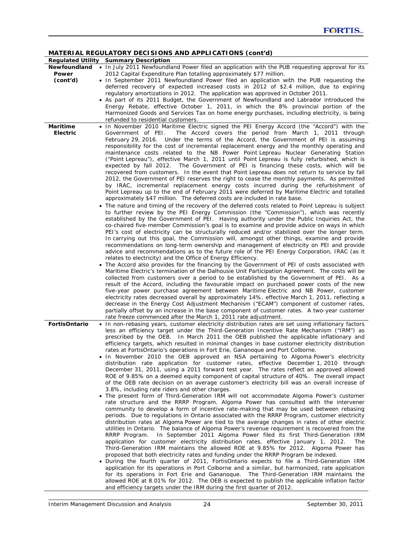|                      | MATERIAL REGULATORY DECISIONS AND APPLICATIONS (cont'd)                                             |
|----------------------|-----------------------------------------------------------------------------------------------------|
|                      | Regulated Utility Summary Description                                                               |
| Newfoundland         | . In July 2011 Newfoundland Power filed an application with the PUB requesting approval for its     |
| Power                | 2012 Capital Expenditure Plan totalling approximately \$77 million.                                 |
| (cont'd)             | . In September 2011 Newfoundland Power filed an application with the PUB requesting the             |
|                      | deferred recovery of expected increased costs in 2012 of \$2.4 million, due to expiring             |
|                      | regulatory amortizations in 2012. The application was approved in October 2011.                     |
|                      | • As part of its 2011 Budget, the Government of Newfoundland and Labrador introduced the            |
|                      | Energy Rebate, effective October 1, 2011, in which the 8% provincial portion of the                 |
|                      | Harmonized Goods and Services Tax on home energy purchases, including electricity, is being         |
|                      | refunded to residential customers.                                                                  |
| <b>Maritime</b>      | . In November 2010 Maritime Electric signed the PEI Energy Accord (the "Accord") with the           |
| <b>Electric</b>      |                                                                                                     |
|                      | Government of PEI.<br>The Accord covers the period from March 1, 2011 through                       |
|                      | February 29, 2016. Under the terms of the Accord, the Government of PEI is assuming                 |
|                      | responsibility for the cost of incremental replacement energy and the monthly operating and         |
|                      | maintenance costs related to the NB Power Point Lepreau Nuclear Generating Station                  |
|                      | ("Point Lepreau"), effective March 1, 2011 until Point Lepreau is fully refurbished, which is       |
|                      | expected by fall 2012. The Government of PEI is financing these costs, which will be                |
|                      | recovered from customers. In the event that Point Lepreau does not return to service by fall        |
|                      | 2012, the Government of PEI reserves the right to cease the monthly payments. As permitted          |
|                      | by IRAC, incremental replacement energy costs incurred during the refurbishment of                  |
|                      | Point Lepreau up to the end of February 2011 were deferred by Maritime Electric and totalled        |
|                      | approximately \$47 million. The deferred costs are included in rate base.                           |
|                      | • The nature and timing of the recovery of the deferred costs related to Point Lepreau is subject   |
|                      | to further review by the PEI Energy Commission (the "Commission"), which was recently               |
|                      | established by the Government of PEI. Having authority under the Public Inquiries Act, the          |
|                      | co-chaired five-member Commission's goal is to examine and provide advice on ways in which          |
|                      | PEI's cost of electricity can be structurally reduced and/or stabilized over the longer term.       |
|                      | In carrying out this goal, the Commission will, amongst other things, examine and provide           |
|                      |                                                                                                     |
|                      | recommendations on long-term ownership and management of electricity on PEI and provide             |
|                      | advice and recommendations as to the future role of the PEI Energy Corporation, IRAC (as it         |
|                      | relates to electricity) and the Office of Energy Efficiency.                                        |
|                      | • The Accord also provides for the financing by the Government of PEI of costs associated with      |
|                      | Maritime Electric's termination of the Dalhousie Unit Participation Agreement. The costs will be    |
|                      | collected from customers over a period to be established by the Government of PEI. As a             |
|                      | result of the Accord, including the favourable impact on purchased power costs of the new           |
|                      | five-year power purchase agreement between Maritime Electric and NB Power, customer                 |
|                      | electricity rates decreased overall by approximately 14%, effective March 1, 2011, reflecting a     |
|                      | decrease in the Energy Cost Adjustment Mechanism ("ECAM") component of customer rates,              |
|                      | partially offset by an increase in the base component of customer rates. A two-year customer        |
|                      | rate freeze commenced after the March 1, 2011 rate adjustment.                                      |
| <b>FortisOntario</b> | • In non-rebasing years, customer electricity distribution rates are set using inflationary factors |
|                      | less an efficiency target under the Third-Generation Incentive Rate Mechanism ("IRM") as            |
|                      | prescribed by the OEB. In March 2011 the OEB published the applicable inflationary and              |
|                      | efficiency targets, which resulted in minimal changes in base customer electricity distribution     |
|                      | rates at FortisOntario's operations in Fort Erie, Gananoque and Port Colborne.                      |
|                      | • In November 2010 the OEB approved an NSA pertaining to Algoma Power's electricity                 |
|                      | distribution rate application for customer rates, effective December 1, 2010 through                |
|                      | December 31, 2011, using a 2011 forward test year. The rates reflect an approved allowed            |
|                      | ROE of 9.85% on a deemed equity component of capital structure of 40%. The overall impact           |
|                      | of the OEB rate decision on an average customer's electricity bill was an overall increase of       |
|                      | 3.8%, including rate riders and other charges.                                                      |
|                      | • The present form of Third-Generation IRM will not accommodate Algoma Power's customer             |
|                      |                                                                                                     |
|                      | rate structure and the RRRP Program. Algoma Power has consulted with the intervener                 |
|                      | community to develop a form of incentive rate-making that may be used between rebasing              |
|                      | periods. Due to regulations in Ontario associated with the RRRP Program, customer electricity       |
|                      | distribution rates at Algoma Power are tied to the average changes in rates of other electric       |
|                      | utilities in Ontario. The balance of Algoma Power's revenue requirement is recovered from the       |
|                      | RRRP Program. In September 2011 Algoma Power filed its first Third-Generation IRM                   |
|                      | application for customer electricity distribution rates, effective January 1, 2012.<br>The          |
|                      | Third-Generation IRM maintains the allowed ROE at 9.85% for 2012. Algoma Power has                  |
|                      | proposed that both electricity rates and funding under the RRRP Program be indexed.                 |
|                      | • During the fourth quarter of 2011, FortisOntario expects to file a Third-Generation IRM           |
|                      | application for its operations in Port Colborne and a similar, but harmonized, rate application     |
|                      | for its operations in Fort Erie and Gananoque. The Third-Generation IRM maintains the               |
|                      | allowed ROE at 8.01% for 2012. The OEB is expected to publish the applicable inflation factor       |
|                      | and efficiency targets under the IRM during the first quarter of 2012.                              |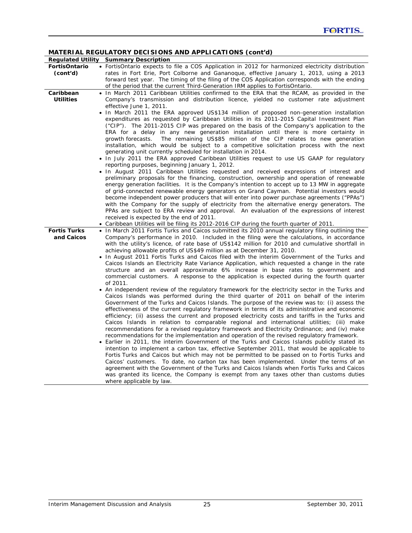| <b>Regulated Utility</b>          | <b>Summary Description</b>                                                                                                                                                                                                                                                                                                                                                                                                                                                                                                                                                                                                                                                                                                                                                                                                                                                                                                                                                                                                                                                                                                                                                                                                                                                                                                                                                                                                                                                                                                                                                                                                                 |
|-----------------------------------|--------------------------------------------------------------------------------------------------------------------------------------------------------------------------------------------------------------------------------------------------------------------------------------------------------------------------------------------------------------------------------------------------------------------------------------------------------------------------------------------------------------------------------------------------------------------------------------------------------------------------------------------------------------------------------------------------------------------------------------------------------------------------------------------------------------------------------------------------------------------------------------------------------------------------------------------------------------------------------------------------------------------------------------------------------------------------------------------------------------------------------------------------------------------------------------------------------------------------------------------------------------------------------------------------------------------------------------------------------------------------------------------------------------------------------------------------------------------------------------------------------------------------------------------------------------------------------------------------------------------------------------------|
| <b>FortisOntario</b>              | • FortisOntario expects to file a COS Application in 2012 for harmonized electricity distribution                                                                                                                                                                                                                                                                                                                                                                                                                                                                                                                                                                                                                                                                                                                                                                                                                                                                                                                                                                                                                                                                                                                                                                                                                                                                                                                                                                                                                                                                                                                                          |
| (cont'd)                          | rates in Fort Erie, Port Colborne and Gananoque, effective January 1, 2013, using a 2013                                                                                                                                                                                                                                                                                                                                                                                                                                                                                                                                                                                                                                                                                                                                                                                                                                                                                                                                                                                                                                                                                                                                                                                                                                                                                                                                                                                                                                                                                                                                                   |
|                                   | forward test year. The timing of the filing of the COS Application corresponds with the ending                                                                                                                                                                                                                                                                                                                                                                                                                                                                                                                                                                                                                                                                                                                                                                                                                                                                                                                                                                                                                                                                                                                                                                                                                                                                                                                                                                                                                                                                                                                                             |
|                                   | of the period that the current Third-Generation IRM applies to FortisOntario.                                                                                                                                                                                                                                                                                                                                                                                                                                                                                                                                                                                                                                                                                                                                                                                                                                                                                                                                                                                                                                                                                                                                                                                                                                                                                                                                                                                                                                                                                                                                                              |
| Caribbean                         | • In March 2011 Caribbean Utilities confirmed to the ERA that the RCAM, as provided in the                                                                                                                                                                                                                                                                                                                                                                                                                                                                                                                                                                                                                                                                                                                                                                                                                                                                                                                                                                                                                                                                                                                                                                                                                                                                                                                                                                                                                                                                                                                                                 |
| <b>Utilities</b>                  | Company's transmission and distribution licence, yielded no customer rate adjustment                                                                                                                                                                                                                                                                                                                                                                                                                                                                                                                                                                                                                                                                                                                                                                                                                                                                                                                                                                                                                                                                                                                                                                                                                                                                                                                                                                                                                                                                                                                                                       |
|                                   | effective June 1, 2011.                                                                                                                                                                                                                                                                                                                                                                                                                                                                                                                                                                                                                                                                                                                                                                                                                                                                                                                                                                                                                                                                                                                                                                                                                                                                                                                                                                                                                                                                                                                                                                                                                    |
|                                   | • In March 2011 the ERA approved US\$134 million of proposed non-generation installation<br>expenditures as requested by Caribbean Utilities in its 2011-2015 Capital Investment Plan<br>("CIP"). The 2011-2015 CIP was prepared on the basis of the Company's application to the<br>ERA for a delay in any new generation installation until there is more certainty in<br>The remaining US\$85 million of the CIP relates to new generation<br>growth forecasts.<br>installation, which would be subject to a competitive solicitation process with the next<br>generating unit currently scheduled for installation in 2014.                                                                                                                                                                                                                                                                                                                                                                                                                                                                                                                                                                                                                                                                                                                                                                                                                                                                                                                                                                                                            |
|                                   | • In July 2011 the ERA approved Caribbean Utilities request to use US GAAP for regulatory                                                                                                                                                                                                                                                                                                                                                                                                                                                                                                                                                                                                                                                                                                                                                                                                                                                                                                                                                                                                                                                                                                                                                                                                                                                                                                                                                                                                                                                                                                                                                  |
| <b>Fortis Turks</b><br>and Caicos | reporting purposes, beginning January 1, 2012.<br>• In August 2011 Caribbean Utilities requested and received expressions of interest and<br>preliminary proposals for the financing, construction, ownership and operation of renewable<br>energy generation facilities. It is the Company's intention to accept up to 13 MW in aggregate<br>of grid-connected renewable energy generators on Grand Cayman. Potential investors would<br>become independent power producers that will enter into power purchase agreements ("PPAs")<br>with the Company for the supply of electricity from the alternative energy generators. The<br>PPAs are subject to ERA review and approval. An evaluation of the expressions of interest<br>received is expected by the end of 2011.<br>• Caribbean Utilities will be filing its 2012-2016 CIP during the fourth quarter of 2011.<br>• In March 2011 Fortis Turks and Caicos submitted its 2010 annual regulatory filing outlining the<br>Company's performance in 2010. Included in the filing were the calculations, in accordance<br>with the utility's licence, of rate base of US\$142 million for 2010 and cumulative shortfall in<br>achieving allowable profits of US\$49 million as at December 31, 2010.<br>• In August 2011 Fortis Turks and Caicos filed with the interim Government of the Turks and<br>Caicos Islands an Electricity Rate Variance Application, which requested a change in the rate<br>structure and an overall approximate 6% increase in base rates to government and<br>commercial customers. A response to the application is expected during the fourth quarter |
|                                   | of 2011.<br>• An independent review of the regulatory framework for the electricity sector in the Turks and<br>Caicos Islands was performed during the third quarter of 2011 on behalf of the interim<br>Government of the Turks and Caicos Islands. The purpose of the review was to: (i) assess the<br>effectiveness of the current regulatory framework in terms of its administrative and economic<br>efficiency; (ii) assess the current and proposed electricity costs and tariffs in the Turks and<br>Caicos Islands in relation to comparable regional and international utilities; (iii) make<br>recommendations for a revised regulatory framework and <i>Electricity Ordinance</i> ; and (iv) make<br>recommendations for the implementation and operation of the revised regulatory framework.<br>• Earlier in 2011, the interim Government of the Turks and Caicos Islands publicly stated its<br>intention to implement a carbon tax, effective September 2011, that would be applicable to<br>Fortis Turks and Caicos but which may not be permitted to be passed on to Fortis Turks and<br>Caicos' customers. To date, no carbon tax has been implemented. Under the terms of an<br>agreement with the Government of the Turks and Caicos Islands when Fortis Turks and Caicos<br>was granted its licence, the Company is exempt from any taxes other than customs duties<br>where applicable by law.                                                                                                                                                                                                                      |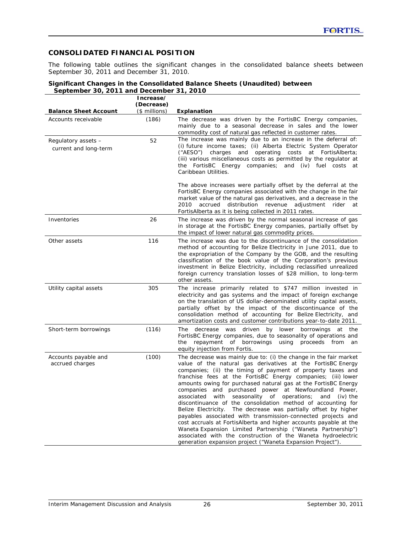## **CONSOLIDATED FINANCIAL POSITION**

The following table outlines the significant changes in the consolidated balance sheets between September 30, 2011 and December 31, 2010.

#### **Significant Changes in the Consolidated Balance Sheets (Unaudited) between September 30, 2011 and December 31, 2010**

| <b>Balance Sheet Account</b>                 | Increase/<br>(Decrease)<br>$($$ millions) | Explanation                                                                                                                                                                                                                                                                                                                                                                                                                                                                                                                                                                                                                                                                                                                                                                                                                                                                                                                                  |
|----------------------------------------------|-------------------------------------------|----------------------------------------------------------------------------------------------------------------------------------------------------------------------------------------------------------------------------------------------------------------------------------------------------------------------------------------------------------------------------------------------------------------------------------------------------------------------------------------------------------------------------------------------------------------------------------------------------------------------------------------------------------------------------------------------------------------------------------------------------------------------------------------------------------------------------------------------------------------------------------------------------------------------------------------------|
| Accounts receivable                          | (186)                                     | The decrease was driven by the FortisBC Energy companies,<br>mainly due to a seasonal decrease in sales and the lower<br>commodity cost of natural gas reflected in customer rates.                                                                                                                                                                                                                                                                                                                                                                                                                                                                                                                                                                                                                                                                                                                                                          |
| Regulatory assets -<br>current and long-term | 52                                        | The increase was mainly due to an increase in the deferral of:<br>(i) future income taxes; (ii) Alberta Electric System Operator<br>("AESO") charges and operating costs at FortisAlberta;<br>(iii) various miscellaneous costs as permitted by the regulator at<br>the FortisBC Energy companies;<br>and (iv) fuel costs at<br>Caribbean Utilities.                                                                                                                                                                                                                                                                                                                                                                                                                                                                                                                                                                                         |
|                                              |                                           | The above increases were partially offset by the deferral at the<br>FortisBC Energy companies associated with the change in the fair<br>market value of the natural gas derivatives, and a decrease in the<br>accrued distribution revenue<br>2010<br>adjustment<br>rider<br>at<br>FortisAlberta as it is being collected in 2011 rates.                                                                                                                                                                                                                                                                                                                                                                                                                                                                                                                                                                                                     |
| Inventories                                  | 26                                        | The increase was driven by the normal seasonal increase of gas<br>in storage at the FortisBC Energy companies, partially offset by<br>the impact of lower natural gas commodity prices.                                                                                                                                                                                                                                                                                                                                                                                                                                                                                                                                                                                                                                                                                                                                                      |
| Other assets                                 | 116                                       | The increase was due to the discontinuance of the consolidation<br>method of accounting for Belize Electricity in June 2011, due to<br>the expropriation of the Company by the GOB, and the resulting<br>classification of the book value of the Corporation's previous<br>investment in Belize Electricity, including reclassified unrealized<br>foreign currency translation losses of \$28 million, to long-term<br>other assets.                                                                                                                                                                                                                                                                                                                                                                                                                                                                                                         |
| Utility capital assets                       | 305                                       | The increase primarily related to \$747 million invested in<br>electricity and gas systems and the impact of foreign exchange<br>on the translation of US dollar-denominated utility capital assets,<br>partially offset by the impact of the discontinuance of the<br>consolidation method of accounting for Belize Electricity, and<br>amortization costs and customer contributions year-to-date 2011.                                                                                                                                                                                                                                                                                                                                                                                                                                                                                                                                    |
| Short-term borrowings                        | (116)                                     | decrease was driven by lower<br>borrowings<br>The<br>at<br>the<br>FortisBC Energy companies, due to seasonality of operations and<br>repayment of borrowings using<br>proceeds from<br>the<br>an<br>equity injection from Fortis.                                                                                                                                                                                                                                                                                                                                                                                                                                                                                                                                                                                                                                                                                                            |
| Accounts payable and<br>accrued charges      | (100)                                     | The decrease was mainly due to: (i) the change in the fair market<br>value of the natural gas derivatives at the FortisBC Energy<br>companies; (ii) the timing of payment of property taxes and<br>franchise fees at the FortisBC Energy companies; (iii) lower<br>amounts owing for purchased natural gas at the FortisBC Energy<br>companies and purchased power at Newfoundland Power,<br>associated<br>seasonality of<br>operations;<br>$(iv)$ the<br>with<br>and<br>discontinuance of the consolidation method of accounting for<br>The decrease was partially offset by higher<br>Belize Electricity.<br>payables associated with transmission-connected projects and<br>cost accruals at FortisAlberta and higher accounts payable at the<br>Waneta Expansion Limited Partnership ("Waneta Partnership")<br>associated with the construction of the Waneta hydroelectric<br>generation expansion project ("Waneta Expansion Project") |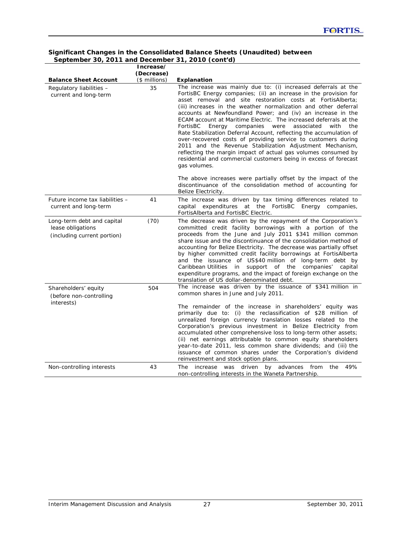|                                                                                | Increase/      |                                                                                                                                                                                                                                                                                                                                                                                                                                                                                                                                                                                                                                                                                                                                                                                                                                        |
|--------------------------------------------------------------------------------|----------------|----------------------------------------------------------------------------------------------------------------------------------------------------------------------------------------------------------------------------------------------------------------------------------------------------------------------------------------------------------------------------------------------------------------------------------------------------------------------------------------------------------------------------------------------------------------------------------------------------------------------------------------------------------------------------------------------------------------------------------------------------------------------------------------------------------------------------------------|
|                                                                                | (Decrease)     |                                                                                                                                                                                                                                                                                                                                                                                                                                                                                                                                                                                                                                                                                                                                                                                                                                        |
| <b>Balance Sheet Account</b>                                                   | $($$ millions) | Explanation                                                                                                                                                                                                                                                                                                                                                                                                                                                                                                                                                                                                                                                                                                                                                                                                                            |
| Regulatory liabilities -<br>current and long-term                              | 35             | The increase was mainly due to: (i) increased deferrals at the<br>FortisBC Energy companies; (ii) an increase in the provision for<br>asset removal and site restoration costs at FortisAlberta;<br>(iii) increases in the weather normalization and other deferral<br>accounts at Newfoundland Power; and (iv) an increase in the<br>ECAM account at Maritime Electric. The increased deferrals at the<br>FortisBC<br>associated<br>Energy companies<br>were<br>with<br>the<br>Rate Stabilization Deferral Account, reflecting the accumulation of<br>over-recovered costs of providing service to customers during<br>2011 and the Revenue Stabilization Adjustment Mechanism,<br>reflecting the margin impact of actual gas volumes consumed by<br>residential and commercial customers being in excess of forecast<br>gas volumes. |
|                                                                                |                | The above increases were partially offset by the impact of the<br>discontinuance of the consolidation method of accounting for<br>Belize Electricity.                                                                                                                                                                                                                                                                                                                                                                                                                                                                                                                                                                                                                                                                                  |
| Future income tax liabilities -<br>current and long-term                       | 41             | The increase was driven by tax timing differences related to<br>capital expenditures at the FortisBC<br>Energy companies,<br>FortisAlberta and FortisBC Electric.                                                                                                                                                                                                                                                                                                                                                                                                                                                                                                                                                                                                                                                                      |
| Long-term debt and capital<br>lease obligations<br>(including current portion) | (70)           | The decrease was driven by the repayment of the Corporation's<br>committed credit facility borrowings with a portion of the<br>proceeds from the June and July 2011 \$341 million common<br>share issue and the discontinuance of the consolidation method of<br>accounting for Belize Electricity. The decrease was partially offset<br>by higher committed credit facility borrowings at FortisAlberta<br>and the issuance of US\$40 million of long-term debt by<br>Caribbean Utilities<br>in<br>support of the<br>companies'<br>capital<br>expenditure programs, and the impact of foreign exchange on the<br>translation of US dollar-denominated debt.                                                                                                                                                                           |
| Shareholders' equity<br>(before non-controlling<br>interests)                  | 504            | The increase was driven by the issuance of \$341 million in<br>common shares in June and July 2011.                                                                                                                                                                                                                                                                                                                                                                                                                                                                                                                                                                                                                                                                                                                                    |
|                                                                                |                | The remainder of the increase in shareholders' equity was<br>primarily due to: (i) the reclassification of \$28 million of<br>unrealized foreign currency translation losses related to the<br>Corporation's previous investment in Belize Electricity from<br>accumulated other comprehensive loss to long-term other assets;<br>(ii) net earnings attributable to common equity shareholders<br>year-to-date 2011, less common share dividends; and (iii) the<br>issuance of common shares under the Corporation's dividend<br>reinvestment and stock option plans.                                                                                                                                                                                                                                                                  |
| Non-controlling interests                                                      | 43             | 49%<br>increase was driven<br>by advances from<br>The<br>the<br>non-controlling interests in the Waneta Partnership.                                                                                                                                                                                                                                                                                                                                                                                                                                                                                                                                                                                                                                                                                                                   |

### **Significant Changes in the Consolidated Balance Sheets (Unaudited) between September 30, 2011 and December 31, 2010 (cont'd)**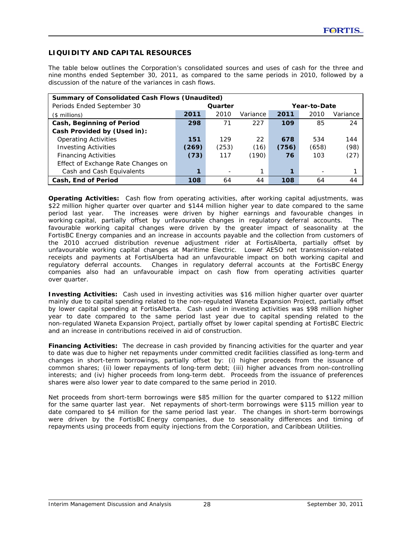## **LIQUIDITY AND CAPITAL RESOURCES**

The table below outlines the Corporation's consolidated sources and uses of cash for the three and nine months ended September 30, 2011, as compared to the same periods in 2010, followed by a discussion of the nature of the variances in cash flows.

| <b>Summary of Consolidated Cash Flows (Unaudited)</b> |                         |       |          |       |       |          |  |
|-------------------------------------------------------|-------------------------|-------|----------|-------|-------|----------|--|
| Periods Ended September 30                            | Quarter<br>Year-to-Date |       |          |       |       |          |  |
| $($$ millions)                                        | 2011                    | 2010  | Variance | 2011  | 2010  | Variance |  |
| Cash, Beginning of Period                             | 298                     | 71    | 227      | 109   | 85    | 24       |  |
| Cash Provided by (Used in):                           |                         |       |          |       |       |          |  |
| <b>Operating Activities</b>                           | 151                     | 129   | 22       | 678   | 534   | 144      |  |
| <b>Investing Activities</b>                           | (269)                   | (253) | (16)     | (756) | (658) | (98)     |  |
| <b>Financing Activities</b>                           | (73)                    | 117   | (190)    | 76    | 103   | (27)     |  |
| Effect of Exchange Rate Changes on                    |                         |       |          |       |       |          |  |
| Cash and Cash Equivalents                             |                         |       |          |       |       |          |  |
| Cash, End of Period                                   | 108                     | 64    | 44       | 108   | 64    | 44       |  |

**Operating Activities:** Cash flow from operating activities, after working capital adjustments, was \$22 million higher quarter over quarter and \$144 million higher year to date compared to the same period last year. The increases were driven by higher earnings and favourable changes in working capital, partially offset by unfavourable changes in regulatory deferral accounts. The favourable working capital changes were driven by the greater impact of seasonality at the FortisBC Energy companies and an increase in accounts payable and the collection from customers of the 2010 accrued distribution revenue adjustment rider at FortisAlberta, partially offset by unfavourable working capital changes at Maritime Electric. Lower AESO net transmission-related receipts and payments at FortisAlberta had an unfavourable impact on both working capital and regulatory deferral accounts. Changes in regulatory deferral accounts at the FortisBC Energy companies also had an unfavourable impact on cash flow from operating activities quarter over quarter.

**Investing Activities:** Cash used in investing activities was \$16 million higher quarter over quarter mainly due to capital spending related to the non-regulated Waneta Expansion Project, partially offset by lower capital spending at FortisAlberta. Cash used in investing activities was \$98 million higher year to date compared to the same period last year due to capital spending related to the non-regulated Waneta Expansion Project, partially offset by lower capital spending at FortisBC Electric and an increase in contributions received in aid of construction.

**Financing Activities:**The decrease in cash provided by financing activities for the quarter and year to date was due to higher net repayments under committed credit facilities classified as long-term and changes in short-term borrowings, partially offset by: (i) higher proceeds from the issuance of common shares; (ii) lower repayments of long-term debt; (iii) higher advances from non-controlling interests; and (iv) higher proceeds from long-term debt. Proceeds from the issuance of preferences shares were also lower year to date compared to the same period in 2010.

Net proceeds from short-term borrowings were \$85 million for the quarter compared to \$122 million for the same quarter last year. Net repayments of short-term borrowings were \$115 million year to date compared to \$4 million for the same period last year. The changes in short-term borrowings were driven by the FortisBC Energy companies, due to seasonality differences and timing of repayments using proceeds from equity injections from the Corporation, and Caribbean Utilities.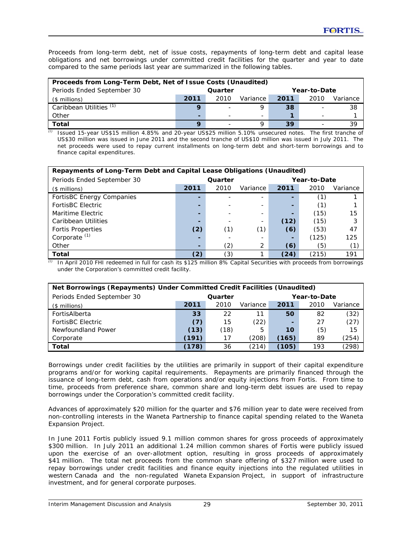Proceeds from long-term debt, net of issue costs, repayments of long-term debt and capital lease obligations and net borrowings under committed credit facilities for the quarter and year to date compared to the same periods last year are summarized in the following tables.

| Proceeds from Long-Term Debt, Net of Issue Costs (Unaudited) |         |      |          |      |              |          |  |  |  |
|--------------------------------------------------------------|---------|------|----------|------|--------------|----------|--|--|--|
| Periods Ended September 30                                   | Quarter |      |          |      | Year-to-Date |          |  |  |  |
| (\$ millions)                                                | 2011    | 2010 | Variance | 2011 | 2010         | Variance |  |  |  |
| Caribbean Utilities (1)                                      |         |      |          | 38   |              | 38       |  |  |  |
| Other                                                        |         |      | ÷        |      |              |          |  |  |  |
| <b>Total</b>                                                 |         |      |          | 39   |              | 39       |  |  |  |

*(1)* Issued 15-year US\$15 million 4.85% and 20-year US\$25 million 5.10% unsecured notes. The first tranche of US\$30 million was issued in June 2011 and the second tranche of US\$10 million was issued in July 2011. The net proceeds were used to repay current installments on long-term debt and short-term borrowings and to finance capital expenditures.

| Repayments of Long-Term Debt and Capital Lease Obligations (Unaudited) |         |      |          |              |       |          |  |  |
|------------------------------------------------------------------------|---------|------|----------|--------------|-------|----------|--|--|
| Periods Ended September 30                                             | Quarter |      |          | Year-to-Date |       |          |  |  |
| $($$ millions)                                                         | 2011    | 2010 | Variance | 2011         | 2010  | Variance |  |  |
| FortisBC Energy Companies                                              |         |      |          |              | (1)   |          |  |  |
| <b>FortisBC Electric</b>                                               |         |      |          |              | (1)   |          |  |  |
| Maritime Electric                                                      |         |      |          |              | (15)  | 15       |  |  |
| Caribbean Utilities                                                    |         |      | -        | (12)         | (15)  | 3        |  |  |
| <b>Fortis Properties</b>                                               | (2)     | (1)  | (1)      | (6)          | (53)  | 47       |  |  |
| Corporate $(1)$                                                        |         |      |          |              | (125) | 125      |  |  |
| Other                                                                  |         | (2)  | 2        | (6)          | (5)   | (1)      |  |  |
| Total                                                                  | (2)     | (3)  |          | (24)         | (215) | 191      |  |  |

 $\overline{a}$  In April 2010 FHI redeemed in full for cash its \$125 million 8% Capital Securities with proceeds from borrowings under the Corporation's committed credit facility.

| Net Borrowings (Repayments) Under Committed Credit Facilities (Unaudited) |         |      |          |       |              |       |  |  |
|---------------------------------------------------------------------------|---------|------|----------|-------|--------------|-------|--|--|
| Periods Ended September 30                                                | Quarter |      |          |       | Year-to-Date |       |  |  |
| $($$ millions)                                                            | 2011    | 2010 | Variance |       |              |       |  |  |
| FortisAlberta                                                             | 33      | 22   | 11       | 50    | 82           | (32)  |  |  |
| <b>FortisBC Electric</b>                                                  | (7)     | 15   | (22)     |       | 27           | (27)  |  |  |
| Newfoundland Power                                                        | (13)    | (18) | 5        | 10    | (5)          | 15    |  |  |
| Corporate                                                                 | (191)   | 17   | (208)    | (165) | 89           | (254) |  |  |
| <b>Total</b>                                                              | (178)   | 36   | (214)    | (105) | 193          | (298) |  |  |

Borrowings under credit facilities by the utilities are primarily in support of their capital expenditure programs and/or for working capital requirements. Repayments are primarily financed through the issuance of long-term debt, cash from operations and/or equity injections from Fortis. From time to time, proceeds from preference share, common share and long-term debt issues are used to repay borrowings under the Corporation's committed credit facility.

Advances of approximately \$20 million for the quarter and \$76 million year to date were received from non-controlling interests in the Waneta Partnership to finance capital spending related to the Waneta Expansion Project.

In June 2011 Fortis publicly issued 9.1 million common shares for gross proceeds of approximately \$300 million. In July 2011 an additional 1.24 million common shares of Fortis were publicly issued upon the exercise of an over-allotment option, resulting in gross proceeds of approximately \$41 million. The total net proceeds from the common share offering of \$327 million were used to repay borrowings under credit facilities and finance equity injections into the regulated utilities in western Canada and the non-regulated Waneta Expansion Project, in support of infrastructure investment, and for general corporate purposes.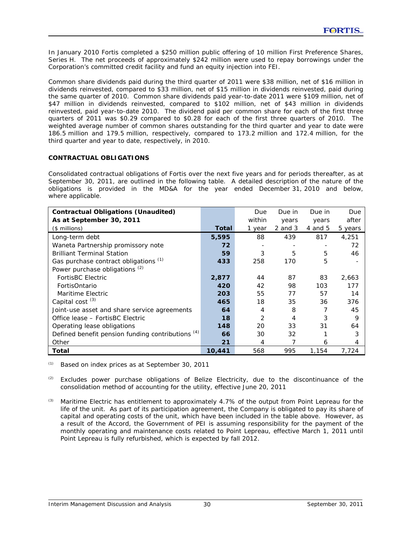In January 2010 Fortis completed a \$250 million public offering of 10 million First Preference Shares, Series H. The net proceeds of approximately \$242 million were used to repay borrowings under the Corporation's committed credit facility and fund an equity injection into FEI.

Common share dividends paid during the third quarter of 2011 were \$38 million, net of \$16 million in dividends reinvested, compared to \$33 million, net of \$15 million in dividends reinvested, paid during the same quarter of 2010. Common share dividends paid year-to-date 2011 were \$109 million, net of \$47 million in dividends reinvested, compared to \$102 million, net of \$43 million in dividends reinvested, paid year-to-date 2010. The dividend paid per common share for each of the first three quarters of 2011 was \$0.29 compared to \$0.28 for each of the first three quarters of 2010. The weighted average number of common shares outstanding for the third quarter and year to date were 186.5 million and 179.5 million, respectively, compared to 173.2 million and 172.4 million, for the third quarter and year to date, respectively, in 2010.

### **CONTRACTUAL OBLIGATIONS**

Consolidated contractual obligations of Fortis over the next five years and for periods thereafter, as at September 30, 2011, are outlined in the following table. A detailed description of the nature of the obligations is provided in the MD&A for the year ended December 31, 2010 and below, where applicable.

| <b>Contractual Obligations (Unaudited)</b>        |        | Due    | Due in      | Due in  | Due     |
|---------------------------------------------------|--------|--------|-------------|---------|---------|
| As at September 30, 2011                          |        | within | years       | years   | after   |
| $($$ millions)                                    | Total  | 1 year | $2$ and $3$ | 4 and 5 | 5 years |
| Long-term debt                                    | 5,595  | 88     | 439         | 817     | 4,251   |
| Waneta Partnership promissory note                | 72     |        |             |         | 72      |
| <b>Brilliant Terminal Station</b>                 | 59     | 3      | 5           | 5       | 46      |
| Gas purchase contract obligations (1)             | 433    | 258    | 170         | 5       |         |
| Power purchase obligations $(2)$                  |        |        |             |         |         |
| FortisBC Electric                                 | 2,877  | 44     | 87          | 83      | 2,663   |
| FortisOntario                                     | 420    | 42     | 98          | 103     | 177     |
| Maritime Electric                                 | 203    | 55     | 77          | 57      | 14      |
| Capital cost $(3)$                                | 465    | 18     | 35          | 36      | 376     |
| Joint-use asset and share service agreements      | 64     | 4      | 8           |         | 45      |
| Office lease – FortisBC Electric                  | 18     | 2      | 4           | 3       | 9       |
| Operating lease obligations                       | 148    | 20     | 33          | 31      | 64      |
| Defined benefit pension funding contributions (4) | 66     | 30     | 32          |         | 3       |
| Other                                             | 21     | 4      |             | 6       | 4       |
| Total                                             | 10,441 | 568    | 995         | 1,154   | 7,724   |

*(1)* Based on index prices as at September 30, 2011

- *(2)* Excludes power purchase obligations of Belize Electricity, due to the discontinuance of the consolidation method of accounting for the utility, effective June 20, 2011
- *(3)* Maritime Electric has entitlement to approximately 4.7% of the output from Point Lepreau for the life of the unit. As part of its participation agreement, the Company is obligated to pay its share of capital and operating costs of the unit, which have been included in the table above. However, as a result of the Accord, the Government of PEI is assuming responsibility for the payment of the monthly operating and maintenance costs related to Point Lepreau, effective March 1, 2011 until Point Lepreau is fully refurbished, which is expected by fall 2012.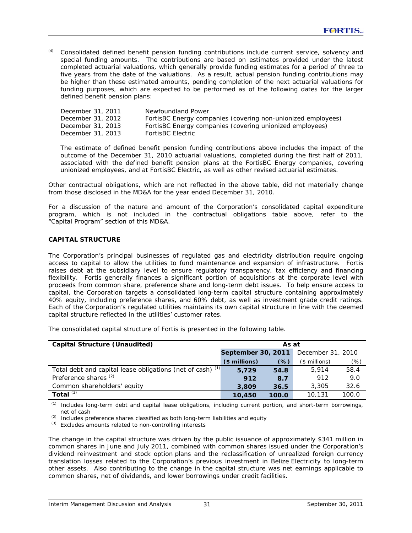*(4)* Consolidated defined benefit pension funding contributions include current service, solvency and special funding amounts. The contributions are based on estimates provided under the latest completed actuarial valuations, which generally provide funding estimates for a period of three to five years from the date of the valuations. As a result, actual pension funding contributions may be higher than these estimated amounts, pending completion of the next actuarial valuations for funding purposes, which are expected to be performed as of the following dates for the larger defined benefit pension plans:

| December 31, 2011 | Newfoundland Power                                           |
|-------------------|--------------------------------------------------------------|
| December 31, 2012 | FortisBC Energy companies (covering non-unionized employees) |
| December 31, 2013 | FortisBC Energy companies (covering unionized employees)     |
| December 31, 2013 | FortisBC Electric                                            |

The estimate of defined benefit pension funding contributions above includes the impact of the outcome of the December 31, 2010 actuarial valuations, completed during the first half of 2011, associated with the defined benefit pension plans at the FortisBC Energy companies, covering unionized employees, and at FortisBC Electric, as well as other revised actuarial estimates.

Other contractual obligations, which are not reflected in the above table, did not materially change from those disclosed in the MD&A for the year ended December 31, 2010.

For a discussion of the nature and amount of the Corporation's consolidated capital expenditure program, which is not included in the contractual obligations table above, refer to the "Capital Program" section of this MD&A.

### **CAPITAL STRUCTURE**

The Corporation's principal businesses of regulated gas and electricity distribution require ongoing access to capital to allow the utilities to fund maintenance and expansion of infrastructure. Fortis raises debt at the subsidiary level to ensure regulatory transparency, tax efficiency and financing flexibility. Fortis generally finances a significant portion of acquisitions at the corporate level with proceeds from common share, preference share and long-term debt issues. To help ensure access to capital, the Corporation targets a consolidated long-term capital structure containing approximately 40% equity, including preference shares, and 60% debt, as well as investment grade credit ratings. Each of the Corporation's regulated utilities maintains its own capital structure in line with the deemed capital structure reflected in the utilities' customer rates.

The consolidated capital structure of Fortis is presented in the following table.

| <b>Capital Structure (Unaudited)</b>                       | As at              |       |                   |       |  |
|------------------------------------------------------------|--------------------|-------|-------------------|-------|--|
|                                                            | September 30, 2011 |       | December 31, 2010 |       |  |
|                                                            | $$$ millions)      | (%)   | $($$ millions)    | (%)   |  |
| Total debt and capital lease obligations (net of cash) (1) | 5,729              | 54.8  | 5.914             | 58.4  |  |
| Preference shares $(2)$                                    | 912                | 8.7   | 912               | 9.0   |  |
| Common shareholders' equity                                | 3,809              | 36.5  | 3,305             | 32.6  |  |
| Total $(3)$                                                | 10,450             | 100.0 | 10,131            | 100.0 |  |

*(1)* Includes long-term debt and capital lease obligations, including current portion, and short-term borrowings, net of cash

*(2)* Includes preference shares classified as both long-term liabilities and equity

*(3)* Excludes amounts related to non-controlling interests

The change in the capital structure was driven by the public issuance of approximately \$341 million in common shares in June and July 2011, combined with common shares issued under the Corporation's dividend reinvestment and stock option plans and the reclassification of unrealized foreign currency translation losses related to the Corporation's previous investment in Belize Electricity to long-term other assets. Also contributing to the change in the capital structure was net earnings applicable to common shares, net of dividends, and lower borrowings under credit facilities.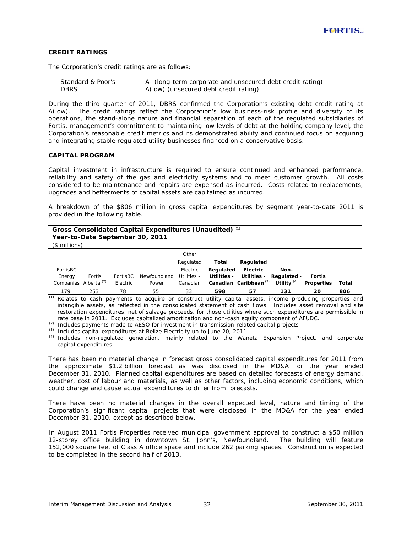### **CREDIT RATINGS**

The Corporation's credit ratings are as follows:

| Standard & Poor's | A- (long-term corporate and unsecured debt credit rating) |
|-------------------|-----------------------------------------------------------|
| <b>DBRS</b>       | A(low) (unsecured debt credit rating)                     |

During the third quarter of 2011, DBRS confirmed the Corporation's existing debt credit rating at A(low). The credit ratings reflect the Corporation's low business-risk profile and diversity of its operations, the stand-alone nature and financial separation of each of the regulated subsidiaries of Fortis, management's commitment to maintaining low levels of debt at the holding company level, the Corporation's reasonable credit metrics and its demonstrated ability and continued focus on acquiring and integrating stable regulated utility businesses financed on a conservative basis.

#### **CAPITAL PROGRAM**

Capital investment in infrastructure is required to ensure continued and enhanced performance, reliability and safety of the gas and electricity systems and to meet customer growth. All costs considered to be maintenance and repairs are expensed as incurred. Costs related to replacements, upgrades and betterments of capital assets are capitalized as incurred.

A breakdown of the \$806 million in gross capital expenditures by segment year-to-date 2011 is provided in the following table.

| Gross Consolidated Capital Expenditures (Unaudited) (1)<br>Year-to-Date September 30, 2011<br>$($$ millions) |        |          |              |             |             |                                   |               |                   |       |
|--------------------------------------------------------------------------------------------------------------|--------|----------|--------------|-------------|-------------|-----------------------------------|---------------|-------------------|-------|
|                                                                                                              |        |          |              | Other       |             |                                   |               |                   |       |
|                                                                                                              |        |          |              | Regulated   | Total       | Regulated                         |               |                   |       |
| FortisBC                                                                                                     |        |          |              | Electric    | Regulated   | Electric                          | Non-          |                   |       |
| Energy                                                                                                       | Fortis | FortisBC | Newfoundland | Utilities - | Utilities - | Utilities -                       | Regulated -   | Fortis            |       |
| Companies Alberta <sup>(2)</sup>                                                                             |        | Electric | Power        | Canadian    |             | Canadian Caribbean <sup>(3)</sup> | Utility $(4)$ | <b>Properties</b> | Total |
| 179                                                                                                          | 253    | 78       | 55           | 33          | 598         | 57                                | 131           | 20                | 806   |

*(1)* Relates to cash payments to acquire or construct utility capital assets, income producing properties and intangible assets, as reflected in the consolidated statement of cash flows. Includes asset removal and site restoration expenditures, net of salvage proceeds, for those utilities where such expenditures are permissible in rate base in 2011. Excludes capitalized amortization and non-cash equity component of AFUDC.

*(2)* Includes payments made to AESO for investment in transmission-related capital projects

*(3)* Includes capital expenditures at Belize Electricity up to June 20, 2011

*(4)* Includes non-regulated generation, mainly related to the Waneta Expansion Project, and corporate capital expenditures

There has been no material change in forecast gross consolidated capital expenditures for 2011 from the approximate \$1.2 billion forecast as was disclosed in the MD&A for the year ended December 31, 2010. Planned capital expenditures are based on detailed forecasts of energy demand, weather, cost of labour and materials, as well as other factors, including economic conditions, which could change and cause actual expenditures to differ from forecasts.

There have been no material changes in the overall expected level, nature and timing of the Corporation's significant capital projects that were disclosed in the MD&A for the year ended December 31, 2010, except as described below.

In August 2011 Fortis Properties received municipal government approval to construct a \$50 million 12-storey office building in downtown St. John's, Newfoundland. The building will feature 152,000 square feet of Class A office space and include 262 parking spaces. Construction is expected to be completed in the second half of 2013.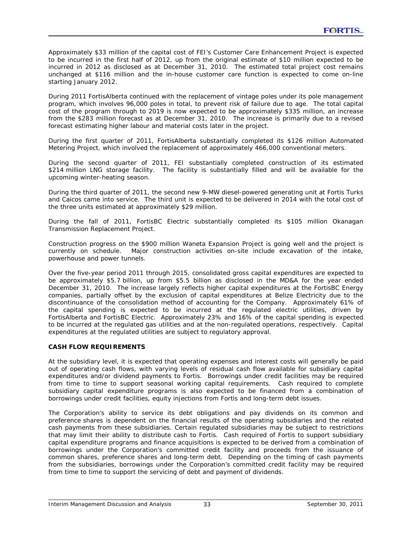Approximately \$33 million of the capital cost of FEI's Customer Care Enhancement Project is expected to be incurred in the first half of 2012, up from the original estimate of \$10 million expected to be incurred in 2012 as disclosed as at December 31, 2010. The estimated total project cost remains unchanged at \$116 million and the in-house customer care function is expected to come on-line starting January 2012.

During 2011 FortisAlberta continued with the replacement of vintage poles under its pole management program, which involves 96,000 poles in total, to prevent risk of failure due to age. The total capital cost of the program through to 2019 is now expected to be approximately \$335 million, an increase from the \$283 million forecast as at December 31, 2010. The increase is primarily due to a revised forecast estimating higher labour and material costs later in the project.

During the first quarter of 2011, FortisAlberta substantially completed its \$126 million Automated Metering Project, which involved the replacement of approximately 466,000 conventional meters.

During the second quarter of 2011, FEI substantially completed construction of its estimated \$214 million LNG storage facility. The facility is substantially filled and will be available for the upcoming winter-heating season.

During the third quarter of 2011, the second new 9-MW diesel-powered generating unit at Fortis Turks and Caicos came into service. The third unit is expected to be delivered in 2014 with the total cost of the three units estimated at approximately \$29 million.

During the fall of 2011, FortisBC Electric substantially completed its \$105 million Okanagan Transmission Replacement Project.

Construction progress on the \$900 million Waneta Expansion Project is going well and the project is currently on schedule. Major construction activities on-site include excavation of the intake, powerhouse and power tunnels.

Over the five-year period 2011 through 2015, consolidated gross capital expenditures are expected to be approximately \$5.7 billion, up from \$5.5 billion as disclosed in the MD&A for the year ended December 31, 2010. The increase largely reflects higher capital expenditures at the FortisBC Energy companies, partially offset by the exclusion of capital expenditures at Belize Electricity due to the discontinuance of the consolidation method of accounting for the Company. Approximately 61% of the capital spending is expected to be incurred at the regulated electric utilities, driven by FortisAlberta and FortisBC Electric. Approximately 23% and 16% of the capital spending is expected to be incurred at the regulated gas utilities and at the non-regulated operations, respectively. Capital expenditures at the regulated utilities are subject to regulatory approval.

### **CASH FLOW REQUIREMENTS**

At the subsidiary level, it is expected that operating expenses and interest costs will generally be paid out of operating cash flows, with varying levels of residual cash flow available for subsidiary capital expenditures and/or dividend payments to Fortis. Borrowings under credit facilities may be required from time to time to support seasonal working capital requirements. Cash required to complete subsidiary capital expenditure programs is also expected to be financed from a combination of borrowings under credit facilities, equity injections from Fortis and long-term debt issues.

The Corporation's ability to service its debt obligations and pay dividends on its common and preference shares is dependent on the financial results of the operating subsidiaries and the related cash payments from these subsidiaries. Certain regulated subsidiaries may be subject to restrictions that may limit their ability to distribute cash to Fortis. Cash required of Fortis to support subsidiary capital expenditure programs and finance acquisitions is expected to be derived from a combination of borrowings under the Corporation's committed credit facility and proceeds from the issuance of common shares, preference shares and long-term debt. Depending on the timing of cash payments from the subsidiaries, borrowings under the Corporation's committed credit facility may be required from time to time to support the servicing of debt and payment of dividends.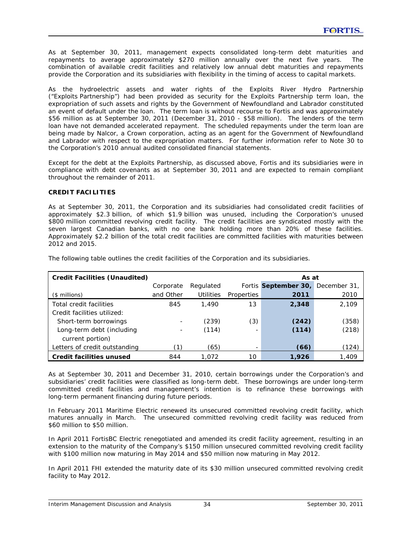As at September 30, 2011, management expects consolidated long-term debt maturities and repayments to average approximately \$270 million annually over the next five years. The combination of available credit facilities and relatively low annual debt maturities and repayments provide the Corporation and its subsidiaries with flexibility in the timing of access to capital markets.

As the hydroelectric assets and water rights of the Exploits River Hydro Partnership ("Exploits Partnership") had been provided as security for the Exploits Partnership term loan, the expropriation of such assets and rights by the Government of Newfoundland and Labrador constituted an event of default under the loan. The term loan is without recourse to Fortis and was approximately \$56 million as at September 30, 2011 (December 31, 2010 - \$58 million). The lenders of the term loan have not demanded accelerated repayment. The scheduled repayments under the term loan are being made by Nalcor, a Crown corporation, acting as an agent for the Government of Newfoundland and Labrador with respect to the expropriation matters. For further information refer to Note 30 to the Corporation's 2010 annual audited consolidated financial statements.

Except for the debt at the Exploits Partnership, as discussed above, Fortis and its subsidiaries were in compliance with debt covenants as at September 30, 2011 and are expected to remain compliant throughout the remainder of 2011.

#### **CREDIT FACILITIES**

As at September 30, 2011, the Corporation and its subsidiaries had consolidated credit facilities of approximately \$2.3 billion, of which \$1.9 billion was unused, including the Corporation's unused \$800 million committed revolving credit facility. The credit facilities are syndicated mostly with the seven largest Canadian banks, with no one bank holding more than 20% of these facilities. Approximately \$2.2 billion of the total credit facilities are committed facilities with maturities between 2012 and 2015.

| <b>Credit Facilities (Unaudited)</b> |           |                  | As at                    |                                   |       |  |  |  |  |
|--------------------------------------|-----------|------------------|--------------------------|-----------------------------------|-------|--|--|--|--|
|                                      | Corporate | Regulated        |                          | Fortis September 30, December 31, |       |  |  |  |  |
| $($$ millions)                       | and Other | <b>Utilities</b> | Properties               | 2011                              | 2010  |  |  |  |  |
| Total credit facilities              | 845       | 1,490            | 13                       | 2,348                             | 2.109 |  |  |  |  |
| Credit facilities utilized:          |           |                  |                          |                                   |       |  |  |  |  |
| Short-term borrowings                |           | (239)            | (3)                      | (242)                             | (358) |  |  |  |  |
| Long-term debt (including            |           | (114)            | ۰.                       | (114)                             | (218) |  |  |  |  |
| current portion)                     |           |                  |                          |                                   |       |  |  |  |  |
| Letters of credit outstanding        | (1)       | (65)             | $\overline{\phantom{0}}$ | (66)                              | (124) |  |  |  |  |
| <b>Credit facilities unused</b>      | 844       | 1.072            | 10                       | 1,926                             | 1,409 |  |  |  |  |

The following table outlines the credit facilities of the Corporation and its subsidiaries.

As at September 30, 2011 and December 31, 2010, certain borrowings under the Corporation's and subsidiaries' credit facilities were classified as long-term debt. These borrowings are under long-term committed credit facilities and management's intention is to refinance these borrowings with long-term permanent financing during future periods.

In February 2011 Maritime Electric renewed its unsecured committed revolving credit facility, which matures annually in March. The unsecured committed revolving credit facility was reduced from \$60 million to \$50 million.

In April 2011 FortisBC Electric renegotiated and amended its credit facility agreement, resulting in an extension to the maturity of the Company's \$150 million unsecured committed revolving credit facility with \$100 million now maturing in May 2014 and \$50 million now maturing in May 2012.

In April 2011 FHI extended the maturity date of its \$30 million unsecured committed revolving credit facility to May 2012.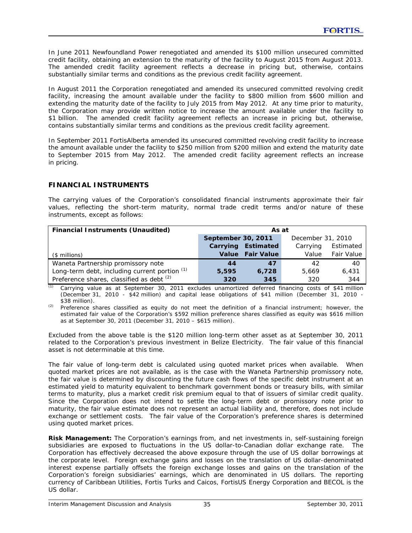In June 2011 Newfoundland Power renegotiated and amended its \$100 million unsecured committed credit facility, obtaining an extension to the maturity of the facility to August 2015 from August 2013. The amended credit facility agreement reflects a decrease in pricing but, otherwise, contains substantially similar terms and conditions as the previous credit facility agreement.

In August 2011 the Corporation renegotiated and amended its unsecured committed revolving credit facility, increasing the amount available under the facility to \$800 million from \$600 million and extending the maturity date of the facility to July 2015 from May 2012. At any time prior to maturity, the Corporation may provide written notice to increase the amount available under the facility to \$1 billion. The amended credit facility agreement reflects an increase in pricing but, otherwise, contains substantially similar terms and conditions as the previous credit facility agreement.

In September 2011 FortisAlberta amended its unsecured committed revolving credit facility to increase the amount available under the facility to \$250 million from \$200 million and extend the maturity date to September 2015 from May 2012. The amended credit facility agreement reflects an increase in pricing.

# **FINANCIAL INSTRUMENTS**

The carrying values of the Corporation's consolidated financial instruments approximate their fair values, reflecting the short-term maturity, normal trade credit terms and/or nature of these instruments, except as follows:

| <b>Financial Instruments (Unaudited)</b>        | As at              |                   |                   |                   |  |  |  |
|-------------------------------------------------|--------------------|-------------------|-------------------|-------------------|--|--|--|
|                                                 | September 30, 2011 |                   | December 31, 2010 |                   |  |  |  |
|                                                 | Carrying           | Estimated         | Carrying          | Estimated         |  |  |  |
| (\$ millions)                                   | <b>Value</b>       | <b>Fair Value</b> | Value             | <b>Fair Value</b> |  |  |  |
| Waneta Partnership promissory note              | 44                 | 47                | 42                | 40                |  |  |  |
| Long-term debt, including current portion $(1)$ | 5,595              | 6.728             | 5.669             | 6.431             |  |  |  |
| Preference shares, classified as debt (2)       | 320                | 345               | 320               | 344               |  |  |  |

*(1)* Carrying value as at September 30, 2011 excludes unamortized deferred financing costs of \$41 million (December 31, 2010 - \$42 million) and capital lease obligations of \$41 million (December 31, 2010 - \$38 million).

*(2)* Preference shares classified as equity do not meet the definition of a financial instrument; however, the estimated fair value of the Corporation's \$592 million preference shares classified as equity was \$616 million as at September 30, 2011 (December 31, 2010 – \$615 million).

Excluded from the above table is the \$120 million long-term other asset as at September 30, 2011 related to the Corporation's previous investment in Belize Electricity. The fair value of this financial asset is not determinable at this time.

The fair value of long-term debt is calculated using quoted market prices when available. When quoted market prices are not available, as is the case with the Waneta Partnership promissory note, the fair value is determined by discounting the future cash flows of the specific debt instrument at an estimated yield to maturity equivalent to benchmark government bonds or treasury bills, with similar terms to maturity, plus a market credit risk premium equal to that of issuers of similar credit quality. Since the Corporation does not intend to settle the long-term debt or promissory note prior to maturity, the fair value estimate does not represent an actual liability and, therefore, does not include exchange or settlement costs. The fair value of the Corporation's preference shares is determined using quoted market prices.

**Risk Management:** The Corporation's earnings from, and net investments in, self-sustaining foreign subsidiaries are exposed to fluctuations in the US dollar-to-Canadian dollar exchange rate. The Corporation has effectively decreased the above exposure through the use of US dollar borrowings at the corporate level. Foreign exchange gains and losses on the translation of US dollar-denominated interest expense partially offsets the foreign exchange losses and gains on the translation of the Corporation's foreign subsidiaries' earnings, which are denominated in US dollars. The reporting currency of Caribbean Utilities, Fortis Turks and Caicos, FortisUS Energy Corporation and BECOL is the US dollar.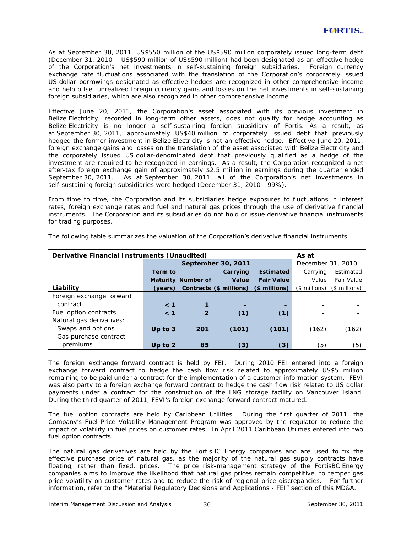$\overline{\phantom{0}}$ 

As at September 30, 2011, US\$550 million of the US\$590 million corporately issued long-term debt (December 31, 2010 – US\$590 million of US\$590 million) had been designated as an effective hedge of the Corporation's net investments in self-sustaining foreign subsidiaries. Foreign currency exchange rate fluctuations associated with the translation of the Corporation's corporately issued US dollar borrowings designated as effective hedges are recognized in other comprehensive income and help offset unrealized foreign currency gains and losses on the net investments in self-sustaining foreign subsidiaries, which are also recognized in other comprehensive income.

Effective June 20, 2011, the Corporation's asset associated with its previous investment in Belize Electricity, recorded in long-term other assets, does not qualify for hedge accounting as Belize Electricity is no longer a self-sustaining foreign subsidiary of Fortis. As a result, as at September 30, 2011, approximately US\$40 million of corporately issued debt that previously hedged the former investment in Belize Electricity is not an effective hedge. Effective June 20, 2011, foreign exchange gains and losses on the translation of the asset associated with Belize Electricity and the corporately issued US dollar-denominated debt that previously qualified as a hedge of the investment are required to be recognized in earnings. As a result, the Corporation recognized a net after-tax foreign exchange gain of approximately \$2.5 million in earnings during the quarter ended September 30, 2011. As at September 30, 2011, all of the Corporation's net investments in self-sustaining foreign subsidiaries were hedged (December 31, 2010 - 99%).

From time to time, the Corporation and its subsidiaries hedge exposures to fluctuations in interest rates, foreign exchange rates and fuel and natural gas prices through the use of derivative financial instruments. The Corporation and its subsidiaries do not hold or issue derivative financial instruments for trading purposes.

| Derivative Financial Instruments (Unaudited) |           |                           |                         |                   | As at             |               |
|----------------------------------------------|-----------|---------------------------|-------------------------|-------------------|-------------------|---------------|
|                                              |           |                           | September 30, 2011      |                   | December 31, 2010 |               |
|                                              | Term to   |                           | Carrying                | <b>Estimated</b>  | Carrying          | Estimated     |
|                                              |           | <b>Maturity Number of</b> | Value                   | <b>Fair Value</b> | Value             | Fair Value    |
| Liability                                    | (years)   |                           | Contracts (\$ millions) | $$$ millions)     | $($$ millions)    | (\$ millions) |
| Foreign exchange forward                     |           |                           |                         |                   |                   |               |
| contract                                     | $\leq 1$  |                           |                         |                   |                   |               |
| Fuel option contracts                        | $\leq 1$  | $\mathbf{2}$              | (1)                     | (1)               |                   |               |
| Natural gas derivatives:                     |           |                           |                         |                   |                   |               |
| Swaps and options                            | Up to $3$ | 201                       | (101)                   | (101)             | (162)             | (162)         |
| Gas purchase contract                        |           |                           |                         |                   |                   |               |
| premiums                                     | Up to $2$ | 85                        | (3)                     | (3)               | (5)               | (5)           |

The following table summarizes the valuation of the Corporation's derivative financial instruments.

The foreign exchange forward contract is held by FEI. During 2010 FEI entered into a foreign exchange forward contract to hedge the cash flow risk related to approximately US\$5 million remaining to be paid under a contract for the implementation of a customer information system. FEVI was also party to a foreign exchange forward contract to hedge the cash flow risk related to US dollar payments under a contract for the construction of the LNG storage facility on Vancouver Island. During the third quarter of 2011, FEVI's foreign exchange forward contract matured.

The fuel option contracts are held by Caribbean Utilities. During the first quarter of 2011, the Company's Fuel Price Volatility Management Program was approved by the regulator to reduce the impact of volatility in fuel prices on customer rates. In April 2011 Caribbean Utilities entered into two fuel option contracts.

The natural gas derivatives are held by the FortisBC Energy companies and are used to fix the effective purchase price of natural gas, as the majority of the natural gas supply contracts have floating, rather than fixed, prices. The price risk-management strategy of the FortisBC Energy companies aims to improve the likelihood that natural gas prices remain competitive, to temper gas price volatility on customer rates and to reduce the risk of regional price discrepancies. For further information, refer to the "Material Regulatory Decisions and Applications - FEI" section of this MD&A.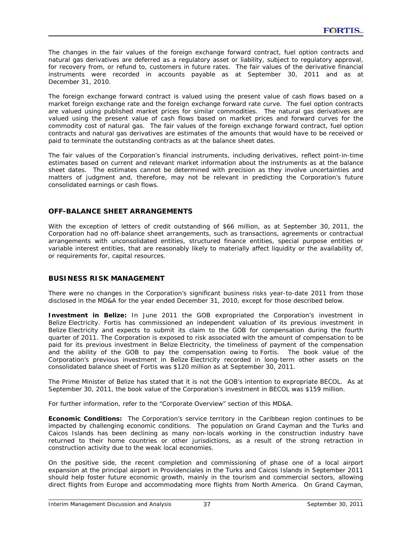The changes in the fair values of the foreign exchange forward contract, fuel option contracts and natural gas derivatives are deferred as a regulatory asset or liability, subject to regulatory approval, for recovery from, or refund to, customers in future rates. The fair values of the derivative financial instruments were recorded in accounts payable as at September 30, 2011 and as at December 31, 2010.

The foreign exchange forward contract is valued using the present value of cash flows based on a market foreign exchange rate and the foreign exchange forward rate curve. The fuel option contracts are valued using published market prices for similar commodities. The natural gas derivatives are valued using the present value of cash flows based on market prices and forward curves for the commodity cost of natural gas. The fair values of the foreign exchange forward contract, fuel option contracts and natural gas derivatives are estimates of the amounts that would have to be received or paid to terminate the outstanding contracts as at the balance sheet dates.

The fair values of the Corporation's financial instruments, including derivatives, reflect point-in-time estimates based on current and relevant market information about the instruments as at the balance sheet dates. The estimates cannot be determined with precision as they involve uncertainties and matters of judgment and, therefore, may not be relevant in predicting the Corporation's future consolidated earnings or cash flows.

# **OFF-BALANCE SHEET ARRANGEMENTS**

With the exception of letters of credit outstanding of \$66 million, as at September 30, 2011, the Corporation had no off-balance sheet arrangements, such as transactions, agreements or contractual arrangements with unconsolidated entities, structured finance entities, special purpose entities or variable interest entities, that are reasonably likely to materially affect liquidity or the availability of, or requirements for, capital resources.

#### **BUSINESS RISK MANAGEMENT**

There were no changes in the Corporation's significant business risks year-to-date 2011 from those disclosed in the MD&A for the year ended December 31, 2010, except for those described below.

**Investment in Belize:** In June 2011 the GOB expropriated the Corporation's investment in Belize Electricity. Fortis has commissioned an independent valuation of its previous investment in Belize Electricity and expects to submit its claim to the GOB for compensation during the fourth quarter of 2011. The Corporation is exposed to risk associated with the amount of compensation to be paid for its previous investment in Belize Electricity, the timeliness of payment of the compensation and the ability of the GOB to pay the compensation owing to Fortis. The book value of the Corporation's previous investment in Belize Electricity recorded in long-term other assets on the consolidated balance sheet of Fortis was \$120 million as at September 30, 2011.

The Prime Minister of Belize has stated that it is not the GOB's intention to expropriate BECOL. As at September 30, 2011, the book value of the Corporation's investment in BECOL was \$159 million.

For further information, refer to the "Corporate Overview" section of this MD&A.

**Economic Conditions:** The Corporation's service territory in the Caribbean region continues to be impacted by challenging economic conditions. The population on Grand Cayman and the Turks and Caicos Islands has been declining as many non-locals working in the construction industry have returned to their home countries or other jurisdictions, as a result of the strong retraction in construction activity due to the weak local economies.

On the positive side, the recent completion and commissioning of phase one of a local airport expansion at the principal airport in Providenciales in the Turks and Caicos Islands in September 2011 should help foster future economic growth, mainly in the tourism and commercial sectors, allowing direct flights from Europe and accommodating more flights from North America. On Grand Cayman,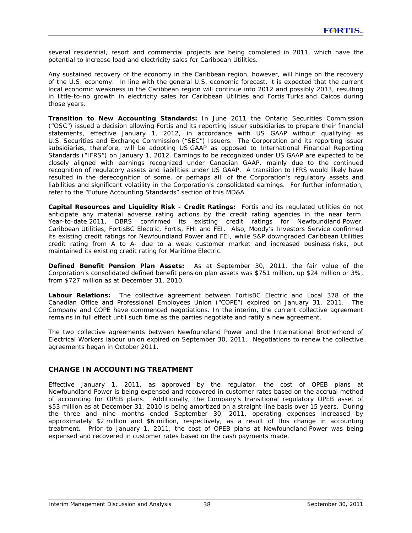several residential, resort and commercial projects are being completed in 2011, which have the potential to increase load and electricity sales for Caribbean Utilities.

Any sustained recovery of the economy in the Caribbean region, however, will hinge on the recovery of the U.S. economy. In line with the general U.S. economic forecast, it is expected that the current local economic weakness in the Caribbean region will continue into 2012 and possibly 2013, resulting in little-to-no growth in electricity sales for Caribbean Utilities and Fortis Turks and Caicos during those years.

**Transition to New Accounting Standards:** In June 2011 the Ontario Securities Commission ("OSC") issued a decision allowing Fortis and its reporting issuer subsidiaries to prepare their financial statements, effective January 1, 2012, in accordance with US GAAP without qualifying as U.S. Securities and Exchange Commission ("SEC") Issuers. The Corporation and its reporting issuer subsidiaries, therefore, will be adopting US GAAP as opposed to International Financial Reporting Standards ("IFRS") on January 1, 2012. Earnings to be recognized under US GAAP are expected to be closely aligned with earnings recognized under Canadian GAAP, mainly due to the continued recognition of regulatory assets and liabilities under US GAAP. A transition to IFRS would likely have resulted in the derecognition of some, or perhaps all, of the Corporation's regulatory assets and liabilities and significant volatility in the Corporation's consolidated earnings. For further information, refer to the "Future Accounting Standards" section of this MD&A.

**Capital Resources and Liquidity Risk - Credit Ratings:** Fortis and its regulated utilities do not anticipate any material adverse rating actions by the credit rating agencies in the near term. Year-to-date 2011, DBRS confirmed its existing credit ratings for Newfoundland Power, Caribbean Utilities, FortisBC Electric, Fortis, FHI and FEI. Also, Moody's Investors Service confirmed its existing credit ratings for Newfoundland Power and FEI, while S&P downgraded Caribbean Utilities credit rating from A to A- due to a weak customer market and increased business risks, but maintained its existing credit rating for Maritime Electric.

**Defined Benefit Pension Plan Assets:**As at September 30, 2011, the fair value of the Corporation's consolidated defined benefit pension plan assets was \$751 million, up \$24 million or 3%, from \$727 million as at December 31, 2010.

**Labour Relations:** The collective agreement between FortisBC Electric and Local 378 of the Canadian Office and Professional Employees Union ("COPE") expired on January 31, 2011. The Company and COPE have commenced negotiations. In the interim, the current collective agreement remains in full effect until such time as the parties negotiate and ratify a new agreement.

The two collective agreements between Newfoundland Power and the International Brotherhood of Electrical Workers labour union expired on September 30, 2011. Negotiations to renew the collective agreements began in October 2011.

# **CHANGE IN ACCOUNTING TREATMENT**

Effective January 1, 2011, as approved by the regulator, the cost of OPEB plans at Newfoundland Power is being expensed and recovered in customer rates based on the accrual method of accounting for OPEB plans. Additionally, the Company's transitional regulatory OPEB asset of \$53 million as at December 31, 2010 is being amortized on a straight-line basis over 15 years. During the three and nine months ended September 30, 2011, operating expenses increased by approximately \$2 million and \$6 million, respectively, as a result of this change in accounting treatment. Prior to January 1, 2011, the cost of OPEB plans at Newfoundland Power was being expensed and recovered in customer rates based on the cash payments made.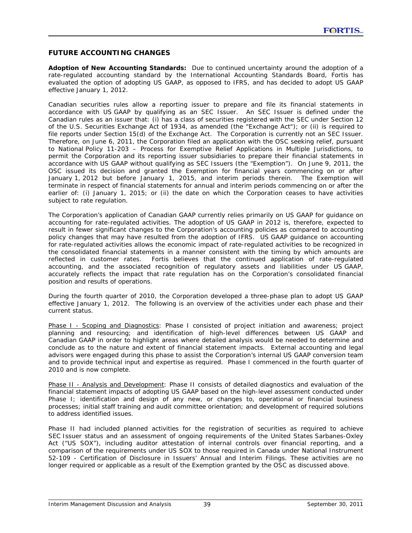## **FUTURE ACCOUNTING CHANGES**

**Adoption of New Accounting Standards:** Due to continued uncertainty around the adoption of a rate-regulated accounting standard by the International Accounting Standards Board, Fortis has evaluated the option of adopting US GAAP, as opposed to IFRS, and has decided to adopt US GAAP effective January 1, 2012.

Canadian securities rules allow a reporting issuer to prepare and file its financial statements in accordance with US GAAP by qualifying as an SEC Issuer. An SEC Issuer is defined under the Canadian rules as an issuer that: (i) has a class of securities registered with the SEC under Section 12 of the *U.S. Securities Exchange Act of 1934*, as amended (the "Exchange Act"); or (ii) is required to file reports under Section 15(d) of the Exchange Act. The Corporation is currently not an SEC Issuer. Therefore, on June 6, 2011, the Corporation filed an application with the OSC seeking relief, pursuant to National Policy 11-203 – *Process for Exemptive Relief Applications in Multiple Jurisdictions,* to permit the Corporation and its reporting issuer subsidiaries to prepare their financial statements in accordance with US GAAP without qualifying as SEC Issuers (the "Exemption"). On June 9, 2011, the OSC issued its decision and granted the Exemption for financial years commencing on or after January 1, 2012 but before January 1, 2015, and interim periods therein. The Exemption will terminate in respect of financial statements for annual and interim periods commencing on or after the earlier of: (i) January 1, 2015; or (ii) the date on which the Corporation ceases to have activities subject to rate regulation.

The Corporation's application of Canadian GAAP currently relies primarily on US GAAP for guidance on accounting for rate-regulated activities. The adoption of US GAAP in 2012 is, therefore, expected to result in fewer significant changes to the Corporation's accounting policies as compared to accounting policy changes that may have resulted from the adoption of IFRS. US GAAP guidance on accounting for rate-regulated activities allows the economic impact of rate-regulated activities to be recognized in the consolidated financial statements in a manner consistent with the timing by which amounts are reflected in customer rates. Fortis believes that the continued application of rate-regulated accounting, and the associated recognition of regulatory assets and liabilities under US GAAP, accurately reflects the impact that rate regulation has on the Corporation's consolidated financial position and results of operations.

During the fourth quarter of 2010, the Corporation developed a three-phase plan to adopt US GAAP effective January 1, 2012. The following is an overview of the activities under each phase and their current status.

*Phase I - Scoping and Diagnostics:* Phase I consisted of project initiation and awareness; project planning and resourcing; and identification of high-level differences between US GAAP and Canadian GAAP in order to highlight areas where detailed analysis would be needed to determine and conclude as to the nature and extent of financial statement impacts. External accounting and legal advisors were engaged during this phase to assist the Corporation's internal US GAAP conversion team and to provide technical input and expertise as required. Phase I commenced in the fourth quarter of 2010 and is now complete.

*Phase II - Analysis and Development:* Phase II consists of detailed diagnostics and evaluation of the financial statement impacts of adopting US GAAP based on the high-level assessment conducted under Phase I; identification and design of any new, or changes to, operational or financial business processes; initial staff training and audit committee orientation; and development of required solutions to address identified issues.

Phase II had included planned activities for the registration of securities as required to achieve SEC Issuer status and an assessment of ongoing requirements of the United States *Sarbanes-Oxley*  Act ("US SOX"), including auditor attestation of internal controls over financial reporting, and a comparison of the requirements under US SOX to those required in Canada under National Instrument 52-109 - *Certification of Disclosure in Issuers' Annual and Interim Filings*. These activities are no longer required or applicable as a result of the Exemption granted by the OSC as discussed above.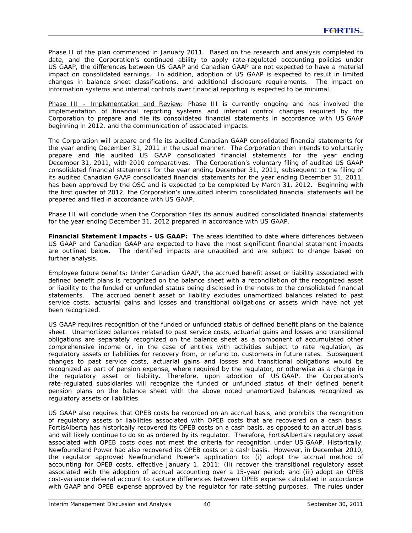Phase II of the plan commenced in January 2011. Based on the research and analysis completed to date, and the Corporation's continued ability to apply rate-regulated accounting policies under US GAAP, the differences between US GAAP and Canadian GAAP are not expected to have a material impact on consolidated earnings. In addition, adoption of US GAAP is expected to result in limited changes in balance sheet classifications, and additional disclosure requirements. The impact on information systems and internal controls over financial reporting is expected to be minimal.

*Phase III - Implementation and Review:* Phase III is currently ongoing and has involved the implementation of financial reporting systems and internal control changes required by the Corporation to prepare and file its consolidated financial statements in accordance with US GAAP beginning in 2012, and the communication of associated impacts.

The Corporation will prepare and file its audited Canadian GAAP consolidated financial statements for the year ending December 31, 2011 in the usual manner. The Corporation then intends to voluntarily prepare and file audited US GAAP consolidated financial statements for the year ending December 31, 2011, with 2010 comparatives. The Corporation's voluntary filing of audited US GAAP consolidated financial statements for the year ending December 31, 2011, subsequent to the filing of its audited Canadian GAAP consolidated financial statements for the year ending December 31, 2011, has been approved by the OSC and is expected to be completed by March 31, 2012. Beginning with the first quarter of 2012, the Corporation's unaudited interim consolidated financial statements will be prepared and filed in accordance with US GAAP.

Phase III will conclude when the Corporation files its annual audited consolidated financial statements for the year ending December 31, 2012 prepared in accordance with US GAAP.

**Financial Statement Impacts - US GAAP:** The areas identified to date where differences between US GAAP and Canadian GAAP are expected to have the most significant financial statement impacts are outlined below. The identified impacts are unaudited and are subject to change based on further analysis.

*Employee future benefits:* Under Canadian GAAP, the accrued benefit asset or liability associated with defined benefit plans is recognized on the balance sheet with a reconciliation of the recognized asset or liability to the funded or unfunded status being disclosed in the notes to the consolidated financial statements. The accrued benefit asset or liability excludes unamortized balances related to past service costs, actuarial gains and losses and transitional obligations or assets which have not yet been recognized.

US GAAP requires recognition of the funded or unfunded status of defined benefit plans on the balance sheet. Unamortized balances related to past service costs, actuarial gains and losses and transitional obligations are separately recognized on the balance sheet as a component of accumulated other comprehensive income or, in the case of entities with activities subject to rate regulation, as regulatory assets or liabilities for recovery from, or refund to, customers in future rates. Subsequent changes to past service costs, actuarial gains and losses and transitional obligations would be recognized as part of pension expense, where required by the regulator, or otherwise as a change in the regulatory asset or liability. Therefore, upon adoption of US GAAP, the Corporation's rate-regulated subsidiaries will recognize the funded or unfunded status of their defined benefit pension plans on the balance sheet with the above noted unamortized balances recognized as regulatory assets or liabilities.

US GAAP also requires that OPEB costs be recorded on an accrual basis, and prohibits the recognition of regulatory assets or liabilities associated with OPEB costs that are recovered on a cash basis. FortisAlberta has historically recovered its OPEB costs on a cash basis, as opposed to an accrual basis, and will likely continue to do so as ordered by its regulator. Therefore, FortisAlberta's regulatory asset associated with OPEB costs does not meet the criteria for recognition under US GAAP. Historically, Newfoundland Power had also recovered its OPEB costs on a cash basis. However, in December 2010, the regulator approved Newfoundland Power's application to: (i) adopt the accrual method of accounting for OPEB costs, effective January 1, 2011; (ii) recover the transitional regulatory asset associated with the adoption of accrual accounting over a 15-year period; and (iii) adopt an OPEB cost-variance deferral account to capture differences between OPEB expense calculated in accordance with GAAP and OPEB expense approved by the regulator for rate-setting purposes. The rules under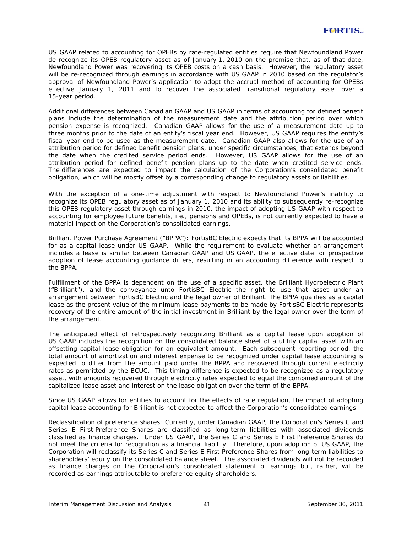US GAAP related to accounting for OPEBs by rate-regulated entities require that Newfoundland Power de-recognize its OPEB regulatory asset as of January 1, 2010 on the premise that, as of that date, Newfoundland Power was recovering its OPEB costs on a cash basis. However, the regulatory asset will be re-recognized through earnings in accordance with US GAAP in 2010 based on the regulator's approval of Newfoundland Power's application to adopt the accrual method of accounting for OPEBs effective January 1, 2011 and to recover the associated transitional regulatory asset over a 15-year period.

Additional differences between Canadian GAAP and US GAAP in terms of accounting for defined benefit plans include the determination of the measurement date and the attribution period over which pension expense is recognized. Canadian GAAP allows for the use of a measurement date up to three months prior to the date of an entity's fiscal year end. However, US GAAP requires the entity's fiscal year end to be used as the measurement date. Canadian GAAP also allows for the use of an attribution period for defined benefit pension plans, under specific circumstances, that extends beyond the date when the credited service period ends. However, US GAAP allows for the use of an attribution period for defined benefit pension plans up to the date when credited service ends. The differences are expected to impact the calculation of the Corporation's consolidated benefit obligation, which will be mostly offset by a corresponding change to regulatory assets or liabilities.

With the exception of a one-time adjustment with respect to Newfoundland Power's inability to recognize its OPEB regulatory asset as of January 1, 2010 and its ability to subsequently re-recognize this OPEB regulatory asset through earnings in 2010, the impact of adopting US GAAP with respect to accounting for employee future benefits, i.e., pensions and OPEBs, is not currently expected to have a material impact on the Corporation's consolidated earnings.

*Brilliant Power Purchase Agreement ("BPPA"):* FortisBC Electric expects that its BPPA will be accounted for as a capital lease under US GAAP. While the requirement to evaluate whether an arrangement includes a lease is similar between Canadian GAAP and US GAAP, the effective date for prospective adoption of lease accounting guidance differs, resulting in an accounting difference with respect to the BPPA.

Fulfillment of the BPPA is dependent on the use of a specific asset, the Brilliant Hydroelectric Plant ("Brilliant"), and the conveyance unto FortisBC Electric the right to use that asset under an arrangement between FortisBC Electric and the legal owner of Brilliant. The BPPA qualifies as a capital lease as the present value of the minimum lease payments to be made by FortisBC Electric represents recovery of the entire amount of the initial investment in Brilliant by the legal owner over the term of the arrangement.

The anticipated effect of retrospectively recognizing Brilliant as a capital lease upon adoption of US GAAP includes the recognition on the consolidated balance sheet of a utility capital asset with an offsetting capital lease obligation for an equivalent amount. Each subsequent reporting period, the total amount of amortization and interest expense to be recognized under capital lease accounting is expected to differ from the amount paid under the BPPA and recovered through current electricity rates as permitted by the BCUC. This timing difference is expected to be recognized as a regulatory asset, with amounts recovered through electricity rates expected to equal the combined amount of the capitalized lease asset and interest on the lease obligation over the term of the BPPA.

Since US GAAP allows for entities to account for the effects of rate regulation, the impact of adopting capital lease accounting for Brilliant is not expected to affect the Corporation's consolidated earnings.

*Reclassification of preference shares:* Currently, under Canadian GAAP, the Corporation's Series C and Series E First Preference Shares are classified as long-term liabilities with associated dividends classified as finance charges. Under US GAAP, the Series C and Series E First Preference Shares do not meet the criteria for recognition as a financial liability. Therefore, upon adoption of US GAAP, the Corporation will reclassify its Series C and Series E First Preference Shares from long-term liabilities to shareholders' equity on the consolidated balance sheet. The associated dividends will not be recorded as finance charges on the Corporation's consolidated statement of earnings but, rather, will be recorded as earnings attributable to preference equity shareholders.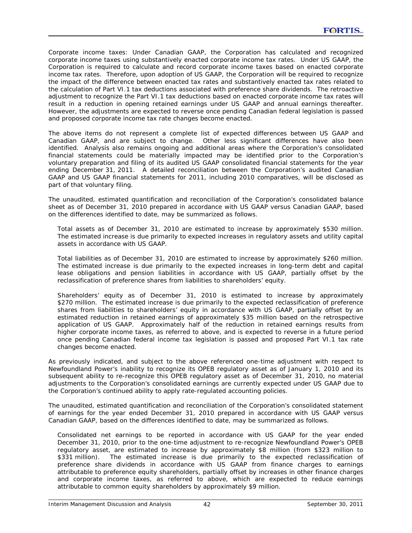*Corporate income taxes:* Under Canadian GAAP, the Corporation has calculated and recognized corporate income taxes using substantively enacted corporate income tax rates. Under US GAAP, the Corporation is required to calculate and record corporate income taxes based on enacted corporate income tax rates. Therefore, upon adoption of US GAAP, the Corporation will be required to recognize the impact of the difference between enacted tax rates and substantively enacted tax rates related to the calculation of Part VI.1 tax deductions associated with preference share dividends. The retroactive adjustment to recognize the Part VI.1 tax deductions based on enacted corporate income tax rates will result in a reduction in opening retained earnings under US GAAP and annual earnings thereafter. However, the adjustments are expected to reverse once pending Canadian federal legislation is passed and proposed corporate income tax rate changes become enacted.

The above items do not represent a complete list of expected differences between US GAAP and Canadian GAAP, and are subject to change. Other less significant differences have also been identified. Analysis also remains ongoing and additional areas where the Corporation's consolidated financial statements could be materially impacted may be identified prior to the Corporation's voluntary preparation and filing of its audited US GAAP consolidated financial statements for the year ending December 31, 2011. A detailed reconciliation between the Corporation's audited Canadian GAAP and US GAAP financial statements for 2011, including 2010 comparatives, will be disclosed as part of that voluntary filing.

The unaudited, estimated quantification and reconciliation of the Corporation's consolidated balance sheet as of December 31, 2010 prepared in accordance with US GAAP versus Canadian GAAP, based on the differences identified to date, may be summarized as follows.

Total assets as of December 31, 2010 are estimated to increase by approximately \$530 million. The estimated increase is due primarily to expected increases in regulatory assets and utility capital assets in accordance with US GAAP.

Total liabilities as of December 31, 2010 are estimated to increase by approximately \$260 million. The estimated increase is due primarily to the expected increases in long-term debt and capital lease obligations and pension liabilities in accordance with US GAAP, partially offset by the reclassification of preference shares from liabilities to shareholders' equity.

Shareholders' equity as of December 31, 2010 is estimated to increase by approximately \$270 million. The estimated increase is due primarily to the expected reclassification of preference shares from liabilities to shareholders' equity in accordance with US GAAP, partially offset by an estimated reduction in retained earnings of approximately \$35 million based on the retrospective application of US GAAP. Approximately half of the reduction in retained earnings results from higher corporate income taxes, as referred to above, and is expected to reverse in a future period once pending Canadian federal income tax legislation is passed and proposed Part VI.1 tax rate changes become enacted.

As previously indicated, and subject to the above referenced one-time adjustment with respect to Newfoundland Power's inability to recognize its OPEB regulatory asset as of January 1, 2010 and its subsequent ability to re-recognize this OPEB regulatory asset as of December 31, 2010, no material adjustments to the Corporation's consolidated earnings are currently expected under US GAAP due to the Corporation's continued ability to apply rate-regulated accounting policies.

The unaudited, estimated quantification and reconciliation of the Corporation's consolidated statement of earnings for the year ended December 31, 2010 prepared in accordance with US GAAP versus Canadian GAAP, based on the differences identified to date, may be summarized as follows.

Consolidated net earnings to be reported in accordance with US GAAP for the year ended December 31, 2010, prior to the one-time adjustment to re-recognize Newfoundland Power's OPEB regulatory asset, are estimated to increase by approximately \$8 million (from \$323 million to \$331 million). The estimated increase is due primarily to the expected reclassification of preference share dividends in accordance with US GAAP from finance charges to earnings attributable to preference equity shareholders, partially offset by increases in other finance charges and corporate income taxes, as referred to above, which are expected to reduce earnings attributable to common equity shareholders by approximately \$9 million.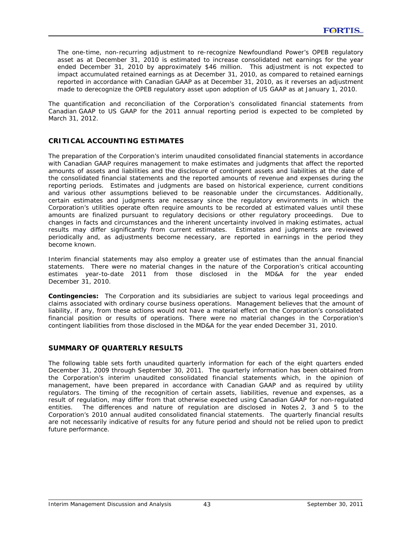The one-time, non-recurring adjustment to re-recognize Newfoundland Power's OPEB regulatory asset as at December 31, 2010 is estimated to increase consolidated net earnings for the year ended December 31, 2010 by approximately \$46 million. This adjustment is not expected to impact accumulated retained earnings as at December 31, 2010, as compared to retained earnings reported in accordance with Canadian GAAP as at December 31, 2010, as it reverses an adjustment made to derecognize the OPEB regulatory asset upon adoption of US GAAP as at January 1, 2010.

The quantification and reconciliation of the Corporation's consolidated financial statements from Canadian GAAP to US GAAP for the 2011 annual reporting period is expected to be completed by March 31, 2012.

# **CRITICAL ACCOUNTING ESTIMATES**

The preparation of the Corporation's interim unaudited consolidated financial statements in accordance with Canadian GAAP requires management to make estimates and judgments that affect the reported amounts of assets and liabilities and the disclosure of contingent assets and liabilities at the date of the consolidated financial statements and the reported amounts of revenue and expenses during the reporting periods. Estimates and judgments are based on historical experience, current conditions and various other assumptions believed to be reasonable under the circumstances. Additionally, certain estimates and judgments are necessary since the regulatory environments in which the Corporation's utilities operate often require amounts to be recorded at estimated values until these amounts are finalized pursuant to regulatory decisions or other regulatory proceedings. Due to changes in facts and circumstances and the inherent uncertainty involved in making estimates, actual results may differ significantly from current estimates. Estimates and judgments are reviewed periodically and, as adjustments become necessary, are reported in earnings in the period they become known.

Interim financial statements may also employ a greater use of estimates than the annual financial statements. There were no material changes in the nature of the Corporation's critical accounting estimates year-to-date 2011 from those disclosed in the MD&A for the year ended December 31, 2010.

**Contingencies:** The Corporation and its subsidiaries are subject to various legal proceedings and claims associated with ordinary course business operations. Management believes that the amount of liability, if any, from these actions would not have a material effect on the Corporation's consolidated financial position or results of operations. There were no material changes in the Corporation's contingent liabilities from those disclosed in the MD&A for the year ended December 31, 2010.

# **SUMMARY OF QUARTERLY RESULTS**

The following table sets forth unaudited quarterly information for each of the eight quarters ended December 31, 2009 through September 30, 2011. The quarterly information has been obtained from the Corporation's interim unaudited consolidated financial statements which, in the opinion of management, have been prepared in accordance with Canadian GAAP and as required by utility regulators. The timing of the recognition of certain assets, liabilities, revenue and expenses, as a result of regulation, may differ from that otherwise expected using Canadian GAAP for non-regulated entities. The differences and nature of regulation are disclosed in Notes 2, 3 and 5 to the Corporation's 2010 annual audited consolidated financial statements. The quarterly financial results are not necessarily indicative of results for any future period and should not be relied upon to predict future performance.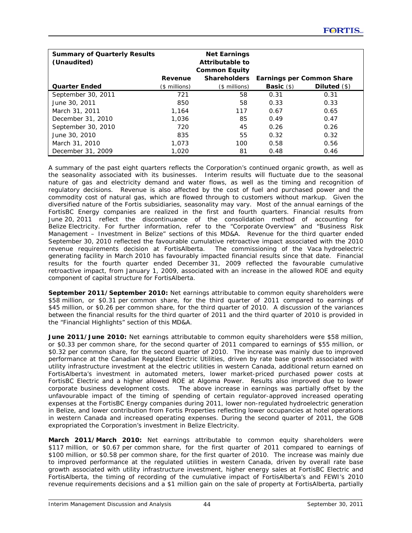| <b>Summary of Quarterly Results</b><br>(Unaudited) |               | <b>Net Earnings</b><br>Attributable to<br><b>Common Equity</b> |                    |                                  |
|----------------------------------------------------|---------------|----------------------------------------------------------------|--------------------|----------------------------------|
|                                                    | Revenue       | <b>Shareholders</b>                                            |                    | <b>Earnings per Common Share</b> |
| <b>Quarter Ended</b>                               | (\$ millions) | (\$ millions)                                                  | <b>Basic</b> $(s)$ | Diluted $($ math)                |
| September 30, 2011                                 | 721           | 58                                                             | 0.31               | 0.31                             |
| June 30, 2011                                      | 850           | 58                                                             | 0.33               | 0.33                             |
| March 31, 2011                                     | 1.164         | 117                                                            | 0.67               | 0.65                             |
| December 31, 2010                                  | 1,036         | 85                                                             | 0.49               | 0.47                             |
| September 30, 2010                                 | 720           | 45                                                             | 0.26               | 0.26                             |
| June 30, 2010                                      | 835           | 55                                                             | 0.32               | 0.32                             |
| March 31, 2010                                     | 1.073         | 100                                                            | 0.58               | 0.56                             |
| December 31, 2009                                  | 1,020         | 81                                                             | 0.48               | 0.46                             |

A summary of the past eight quarters reflects the Corporation's continued organic growth, as well as the seasonality associated with its businesses. Interim results will fluctuate due to the seasonal nature of gas and electricity demand and water flows, as well as the timing and recognition of regulatory decisions. Revenue is also affected by the cost of fuel and purchased power and the commodity cost of natural gas, which are flowed through to customers without markup. Given the diversified nature of the Fortis subsidiaries, seasonality may vary. Most of the annual earnings of the FortisBC Energy companies are realized in the first and fourth quarters. Financial results from June 20, 2011 reflect the discontinuance of the consolidation method of accounting for Belize Electricity. For further information, refer to the "Corporate Overview" and "Business Risk Management – Investment in Belize" sections of this MD&A. Revenue for the third quarter ended September 30, 2010 reflected the favourable cumulative retroactive impact associated with the 2010 revenue requirements decision at FortisAlberta. The commissioning of the Vaca hydroelectric generating facility in March 2010 has favourably impacted financial results since that date. Financial results for the fourth quarter ended December 31, 2009 reflected the favourable cumulative retroactive impact, from January 1, 2009, associated with an increase in the allowed ROE and equity component of capital structure for FortisAlberta.

**September 2011/September 2010:** Net earnings attributable to common equity shareholders were \$58 million, or \$0.31 per common share, for the third quarter of 2011 compared to earnings of \$45 million, or \$0.26 per common share, for the third quarter of 2010. A discussion of the variances between the financial results for the third quarter of 2011 and the third quarter of 2010 is provided in the "Financial Highlights" section of this MD&A.

**June 2011/June 2010:** Net earnings attributable to common equity shareholders were \$58 million, or \$0.33 per common share, for the second quarter of 2011 compared to earnings of \$55 million, or \$0.32 per common share, for the second quarter of 2010. The increase was mainly due to improved performance at the Canadian Regulated Electric Utilities, driven by rate base growth associated with utility infrastructure investment at the electric utilities in western Canada, additional return earned on FortisAlberta's investment in automated meters, lower market-priced purchased power costs at FortisBC Electric and a higher allowed ROE at Algoma Power. Results also improved due to lower corporate business development costs. The above increase in earnings was partially offset by the unfavourable impact of the timing of spending of certain regulator-approved increased operating expenses at the FortisBC Energy companies during 2011, lower non-regulated hydroelectric generation in Belize, and lower contribution from Fortis Properties reflecting lower occupancies at hotel operations in western Canada and increased operating expenses. During the second quarter of 2011, the GOB expropriated the Corporation's investment in Belize Electricity.

**March 2011/March 2010:** Net earnings attributable to common equity shareholders were \$117 million, or \$0.67 per common share, for the first quarter of 2011 compared to earnings of \$100 million, or \$0.58 per common share, for the first quarter of 2010. The increase was mainly due to improved performance at the regulated utilities in western Canada, driven by overall rate base growth associated with utility infrastructure investment, higher energy sales at FortisBC Electric and FortisAlberta, the timing of recording of the cumulative impact of FortisAlberta's and FEWI's 2010 revenue requirements decisions and a \$1 million gain on the sale of property at FortisAlberta, partially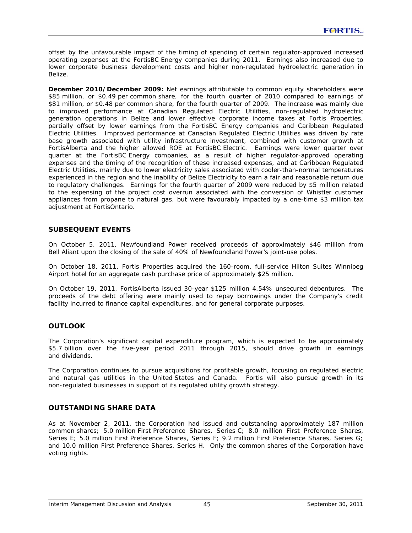offset by the unfavourable impact of the timing of spending of certain regulator-approved increased operating expenses at the FortisBC Energy companies during 2011. Earnings also increased due to lower corporate business development costs and higher non-regulated hydroelectric generation in Belize.

**December 2010/December 2009:** Net earnings attributable to common equity shareholders were \$85 million, or \$0.49 per common share, for the fourth quarter of 2010 compared to earnings of \$81 million, or \$0.48 per common share, for the fourth quarter of 2009. The increase was mainly due to improved performance at Canadian Regulated Electric Utilities, non-regulated hydroelectric generation operations in Belize and lower effective corporate income taxes at Fortis Properties, partially offset by lower earnings from the FortisBC Energy companies and Caribbean Regulated Electric Utilities. Improved performance at Canadian Regulated Electric Utilities was driven by rate base growth associated with utility infrastructure investment, combined with customer growth at FortisAlberta and the higher allowed ROE at FortisBC Electric. Earnings were lower quarter over quarter at the FortisBC Energy companies, as a result of higher regulator-approved operating expenses and the timing of the recognition of these increased expenses, and at Caribbean Regulated Electric Utilities, mainly due to lower electricity sales associated with cooler-than-normal temperatures experienced in the region and the inability of Belize Electricity to earn a fair and reasonable return due to regulatory challenges. Earnings for the fourth quarter of 2009 were reduced by \$5 million related to the expensing of the project cost overrun associated with the conversion of Whistler customer appliances from propane to natural gas, but were favourably impacted by a one-time \$3 million tax adjustment at FortisOntario.

# **SUBSEQUENT EVENTS**

On October 5, 2011, Newfoundland Power received proceeds of approximately \$46 million from Bell Aliant upon the closing of the sale of 40% of Newfoundland Power's joint-use poles.

On October 18, 2011, Fortis Properties acquired the 160-room, full-service Hilton Suites Winnipeg Airport hotel for an aggregate cash purchase price of approximately \$25 million.

On October 19, 2011, FortisAlberta issued 30-year \$125 million 4.54% unsecured debentures. The proceeds of the debt offering were mainly used to repay borrowings under the Company's credit facility incurred to finance capital expenditures, and for general corporate purposes.

# **OUTLOOK**

The Corporation's significant capital expenditure program, which is expected to be approximately \$5.7 billion over the five-year period 2011 through 2015, should drive growth in earnings and dividends.

The Corporation continues to pursue acquisitions for profitable growth, focusing on regulated electric and natural gas utilities in the United States and Canada. Fortis will also pursue growth in its non-regulated businesses in support of its regulated utility growth strategy.

# **OUTSTANDING SHARE DATA**

As at November 2, 2011, the Corporation had issued and outstanding approximately 187 million common shares; 5.0 million First Preference Shares, Series C; 8.0 million First Preference Shares, Series E; 5.0 million First Preference Shares, Series F; 9.2 million First Preference Shares, Series G; and 10.0 million First Preference Shares, Series H. Only the common shares of the Corporation have voting rights.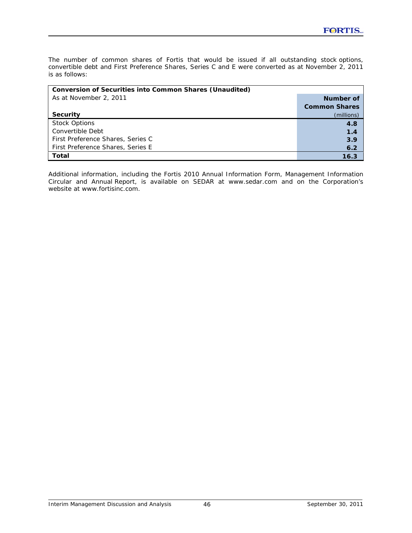The number of common shares of Fortis that would be issued if all outstanding stock options, convertible debt and First Preference Shares, Series C and E were converted as at November 2, 2011 is as follows:

| <b>Conversion of Securities into Common Shares (Unaudited)</b> |                      |  |  |  |  |  |
|----------------------------------------------------------------|----------------------|--|--|--|--|--|
| As at November 2, 2011                                         | Number of            |  |  |  |  |  |
|                                                                | <b>Common Shares</b> |  |  |  |  |  |
| <b>Security</b>                                                | (millions)           |  |  |  |  |  |
| <b>Stock Options</b>                                           | 4.8                  |  |  |  |  |  |
| Convertible Debt                                               | 1.4                  |  |  |  |  |  |
| First Preference Shares, Series C                              | 3.9                  |  |  |  |  |  |
| First Preference Shares, Series E                              | 6.2                  |  |  |  |  |  |
| Total                                                          | 16.3                 |  |  |  |  |  |

Additional information, including the Fortis 2010 Annual Information Form, Management Information Circular and Annual Report, is available on SEDAR at www.sedar.com and on the Corporation's website at www.fortisinc.com.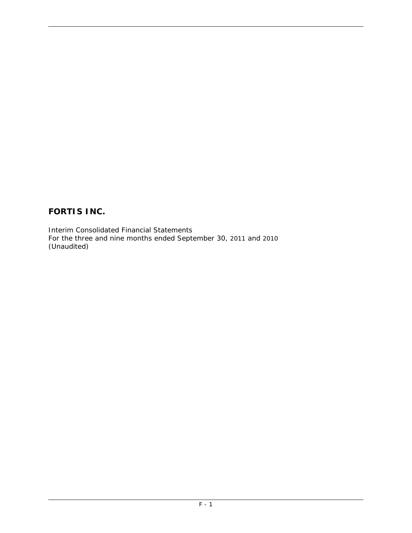# **FORTIS INC.**

Interim Consolidated Financial Statements For the three and nine months ended September 30, 2011 and 2010 (Unaudited)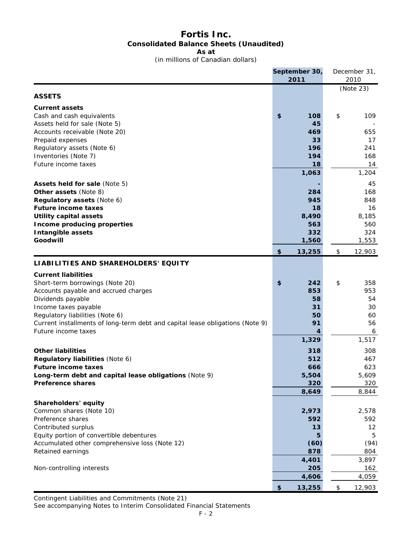# **Fortis Inc. Consolidated Balance Sheets (Unaudited) As at**

(in millions of Canadian dollars)

|                                                                               | September 30, |      | December 31, |
|-------------------------------------------------------------------------------|---------------|------|--------------|
|                                                                               | 2011          |      | 2010         |
|                                                                               |               |      | (Note 23)    |
| <b>ASSETS</b>                                                                 |               |      |              |
| <b>Current assets</b>                                                         |               |      |              |
| Cash and cash equivalents                                                     | \$<br>108     | \$   | 109          |
| Assets held for sale (Note 5)                                                 | 45            |      |              |
| Accounts receivable (Note 20)                                                 | 469           |      | 655          |
| Prepaid expenses                                                              | 33            |      | 17           |
| Regulatory assets (Note 6)                                                    | 196           |      | 241          |
| Inventories (Note 7)                                                          | 194           |      | 168          |
| Future income taxes                                                           | 18            |      | 14           |
|                                                                               | 1,063         |      | 1,204        |
| Assets held for sale (Note 5)                                                 |               |      | 45           |
| <b>Other assets (Note 8)</b>                                                  | 284           |      | 168          |
| Regulatory assets (Note 6)                                                    | 945           |      | 848          |
| <b>Future income taxes</b>                                                    | 18            |      | 16           |
| <b>Utility capital assets</b>                                                 | 8,490         |      | 8,185        |
| Income producing properties                                                   | 563           |      | 560          |
| <b>Intangible assets</b>                                                      | 332           |      | 324          |
| Goodwill                                                                      | 1,560         |      | 1,553        |
|                                                                               | \$<br>13,255  | \$   | 12,903       |
|                                                                               |               |      |              |
| LIABILITIES AND SHAREHOLDERS' EQUITY                                          |               |      |              |
| <b>Current liabilities</b>                                                    |               |      |              |
| Short-term borrowings (Note 20)                                               | \$<br>242     | \$   | 358          |
| Accounts payable and accrued charges                                          | 853           |      | 953          |
| Dividends payable                                                             | 58            |      | 54           |
| Income taxes payable                                                          | 31            |      | 30           |
| Regulatory liabilities (Note 6)                                               | 50            |      | 60           |
| Current installments of long-term debt and capital lease obligations (Note 9) | 91            |      | 56           |
| Future income taxes                                                           | 4             |      | 6            |
|                                                                               | 1,329         |      | 1,517        |
| <b>Other liabilities</b>                                                      | 318           |      | 308          |
| Regulatory liabilities (Note 6)                                               | 512           |      | 467          |
| <b>Future income taxes</b>                                                    | 666           |      | 623          |
| Long-term debt and capital lease obligations (Note 9)                         | 5,504         |      | 5,609        |
| <b>Preference shares</b>                                                      | 320           |      | 320          |
|                                                                               | 8,649         |      | 8,844        |
| Shareholders' equity                                                          |               |      |              |
| Common shares (Note 10)                                                       | 2,973         |      | 2,578        |
| Preference shares                                                             | 592           |      | 592          |
| Contributed surplus                                                           | 13            |      | 12           |
| Equity portion of convertible debentures                                      |               |      | 5            |
| Accumulated other comprehensive loss (Note 12)                                | (60)          |      | (94)         |
| Retained earnings                                                             | 878           |      | 804          |
|                                                                               | 4,401         |      | 3,897        |
| Non-controlling interests                                                     | 205           |      | 162          |
|                                                                               | 4,606         |      | 4,059        |
|                                                                               | \$<br>13,255  | $\,$ | 12,903       |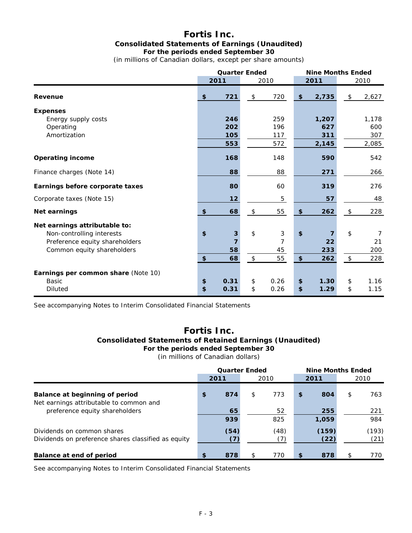# **Fortis Inc. Consolidated Statements of Earnings (Unaudited) For the periods ended September 30**

(in millions of Canadian dollars, except per share amounts)

|                                     |                           | <b>Quarter Ended</b> |                |      |                           | <b>Nine Months Ended</b> |                            |       |
|-------------------------------------|---------------------------|----------------------|----------------|------|---------------------------|--------------------------|----------------------------|-------|
|                                     |                           | 2011                 |                | 2010 |                           | 2011                     |                            | 2010  |
| Revenue                             | $\boldsymbol{\mathsf{s}}$ | 721                  | $$\mathbb{S}$$ | 720  | \$                        | 2,735                    | \$                         | 2,627 |
| <b>Expenses</b>                     |                           |                      |                |      |                           |                          |                            |       |
| Energy supply costs                 |                           | 246                  |                | 259  |                           | 1,207                    |                            | 1,178 |
| Operating                           |                           | 202                  |                | 196  |                           | 627                      |                            | 600   |
| Amortization                        |                           | 105                  |                | 117  |                           | 311                      |                            | 307   |
|                                     |                           | 553                  |                | 572  |                           | 2,145                    |                            | 2,085 |
| <b>Operating income</b>             |                           | 168                  |                | 148  |                           | 590                      |                            | 542   |
| Finance charges (Note 14)           |                           | 88                   |                | 88   |                           | 271                      |                            | 266   |
| Earnings before corporate taxes     |                           | 80                   |                | 60   |                           | 319                      |                            | 276   |
| Corporate taxes (Note 15)           |                           | 12                   |                | 5    |                           | 57                       |                            | 48    |
| Net earnings                        | $\boldsymbol{\mathsf{s}}$ | 68                   | $\frac{1}{2}$  | 55   | \$                        | 262                      | $\sqrt[6]{\frac{1}{2}}$    | 228   |
| Net earnings attributable to:       |                           |                      |                |      |                           |                          |                            |       |
| Non-controlling interests           | \$                        | 3                    | $\mathsf{\$}$  | 3    | $\boldsymbol{\mathsf{s}}$ | 7                        | \$                         | 7     |
| Preference equity shareholders      |                           | $\overline{7}$       |                | 7    |                           | 22                       |                            | 21    |
| Common equity shareholders          |                           | 58                   |                | 45   |                           | 233                      |                            | 200   |
|                                     | \$                        | 68                   | $\,$           | 55   | $\boldsymbol{\mathsf{s}}$ | 262                      | $\boldsymbol{\mathsf{\$}}$ | 228   |
| Earnings per common share (Note 10) |                           |                      |                |      |                           |                          |                            |       |
| <b>Basic</b>                        | \$                        | 0.31                 | \$             | 0.26 | \$                        | 1.30                     | $\boldsymbol{\mathsf{\$}}$ | 1.16  |
| <b>Diluted</b>                      | $\overline{\mathbf{S}}$   | 0.31                 | \$             | 0.26 | \$                        | 1.29                     | \$                         | 1.15  |

See accompanying Notes to Interim Consolidated Financial Statements

# **Fortis Inc. Consolidated Statements of Retained Earnings (Unaudited) For the periods ended September 30**

(in millions of Canadian dollars)

|                                                                                   | <b>Quarter Ended</b> |             |    |             | <b>Nine Months Ended</b> |               |     |               |
|-----------------------------------------------------------------------------------|----------------------|-------------|----|-------------|--------------------------|---------------|-----|---------------|
|                                                                                   |                      | 2011        |    | 2010        |                          | 2011          |     | 2010          |
| Balance at beginning of period<br>Net earnings attributable to common and         | \$                   | 874         | \$ | 773         | $\mathbf{s}$             | 804           | \$  | 763           |
| preference equity shareholders                                                    |                      | 65<br>939   |    | 52<br>825   |                          | 255<br>1,059  |     | 221<br>984    |
| Dividends on common shares<br>Dividends on preference shares classified as equity |                      | (54)<br>(7) |    | (48)<br>(7) |                          | (159)<br>(22) |     | (193)<br>(21) |
| Balance at end of period                                                          | \$                   | 878         | \$ | 770         | \$                       | 878           | \$. | 770           |

See accompanying Notes to Interim Consolidated Financial Statements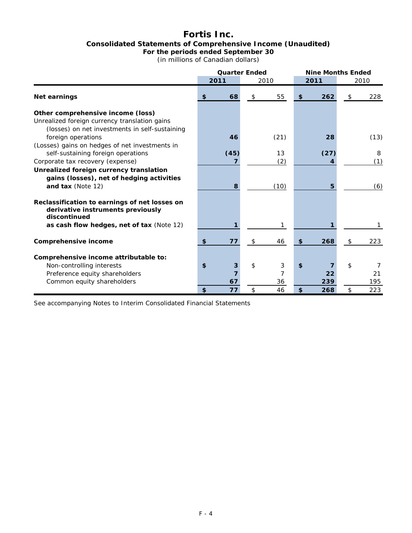# **Fortis Inc. Consolidated Statements of Comprehensive Income (Unaudited) For the periods ended September 30**

(in millions of Canadian dollars)

|                                                                                                    |                           | <b>Quarter Ended</b> |    |      | <b>Nine Months Ended</b> |      |    |      |
|----------------------------------------------------------------------------------------------------|---------------------------|----------------------|----|------|--------------------------|------|----|------|
|                                                                                                    | 2011                      |                      |    | 2010 |                          | 2011 |    | 2010 |
| Net earnings                                                                                       | $\mathbf{s}$              | 68                   | \$ | 55   | \$                       | 262  | \$ | 228  |
| Other comprehensive income (loss)                                                                  |                           |                      |    |      |                          |      |    |      |
| Unrealized foreign currency translation gains<br>(losses) on net investments in self-sustaining    |                           |                      |    |      |                          |      |    |      |
| foreign operations                                                                                 |                           | 46                   |    | (21) |                          | 28   |    | (13) |
| (Losses) gains on hedges of net investments in<br>self-sustaining foreign operations               |                           | (45)                 |    | 13   |                          | (27) |    | 8    |
| Corporate tax recovery (expense)                                                                   |                           |                      |    | (2)  |                          |      |    | (1)  |
| Unrealized foreign currency translation                                                            |                           |                      |    |      |                          |      |    |      |
| gains (losses), net of hedging activities                                                          |                           |                      |    |      |                          |      |    |      |
| and tax (Note 12)                                                                                  |                           | 8                    |    | (10) |                          | 5    |    | (6)  |
| Reclassification to earnings of net losses on<br>derivative instruments previously<br>discontinued |                           |                      |    |      |                          |      |    |      |
| as cash flow hedges, net of tax (Note 12)                                                          |                           |                      |    | 1    |                          |      |    | 1    |
| Comprehensive income                                                                               | $\boldsymbol{\mathsf{s}}$ | 77                   | \$ | 46   | \$                       | 268  | \$ | 223  |
| Comprehensive income attributable to:                                                              |                           |                      |    |      |                          |      |    |      |
| Non-controlling interests                                                                          | \$                        | 3                    | \$ | 3    | $\mathbf{s}$             |      | \$ | 7    |
| Preference equity shareholders                                                                     |                           |                      |    |      |                          | 22   |    | 21   |
| Common equity shareholders                                                                         |                           | 67                   |    | 36   |                          | 239  |    | 195  |
|                                                                                                    | \$                        | 77                   | \$ | 46   | \$                       | 268  | \$ | 223  |

See accompanying Notes to Interim Consolidated Financial Statements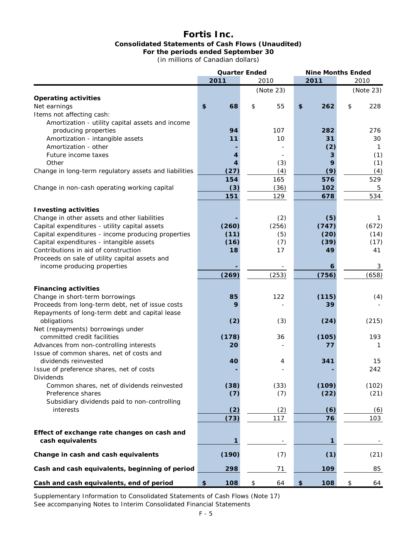# **Fortis Inc. Consolidated Statements of Cash Flows (Unaudited) For the periods ended September 30**

(in millions of Canadian dollars)

|                                                                                                | <b>Quarter Ended</b> |              |    | <b>Nine Months Ended</b> |    |              |    |            |
|------------------------------------------------------------------------------------------------|----------------------|--------------|----|--------------------------|----|--------------|----|------------|
|                                                                                                |                      | 2011         |    | 2010                     |    | 2011         |    | 2010       |
|                                                                                                |                      |              |    | (Note 23)                |    |              |    | (Note 23)  |
| <b>Operating activities</b>                                                                    |                      |              |    |                          |    |              |    |            |
| Net earnings                                                                                   | \$                   | 68           | \$ | 55                       | \$ | 262          | \$ | 228        |
| Items not affecting cash:                                                                      |                      |              |    |                          |    |              |    |            |
| Amortization - utility capital assets and income                                               |                      |              |    |                          |    |              |    |            |
| producing properties                                                                           |                      | 94           |    | 107                      |    | 282          |    | 276        |
| Amortization - intangible assets                                                               |                      | 11           |    | 10                       |    | 31           |    | 30         |
| Amortization - other                                                                           |                      |              |    |                          |    | (2)          |    | 1          |
| Future income taxes                                                                            |                      | 4            |    |                          |    |              |    | (1)        |
| Other                                                                                          |                      | 4            |    | (3)                      |    | 9            |    | (1)        |
| Change in long-term regulatory assets and liabilities                                          |                      | (27)         |    | (4)                      |    | (9)          |    | (4)        |
|                                                                                                |                      | 154          |    | 165                      |    | 576          |    | 529        |
| Change in non-cash operating working capital                                                   |                      | (3)          |    | (36)                     |    | 102          |    | 5          |
|                                                                                                |                      | 151          |    | 129                      |    | 678          |    | 534        |
|                                                                                                |                      |              |    |                          |    |              |    |            |
| <b>Investing activities</b><br>Change in other assets and other liabilities                    |                      |              |    |                          |    |              |    |            |
|                                                                                                |                      |              |    | (2)                      |    | (5)<br>(747) |    | 1          |
| Capital expenditures - utility capital assets                                                  |                      | (260)        |    | (256)                    |    |              |    | (672)      |
| Capital expenditures - income producing properties<br>Capital expenditures - intangible assets |                      | (11)<br>(16) |    | (5)<br>(7)               |    | (20)<br>(39) |    | (14)       |
| Contributions in aid of construction                                                           |                      | 18           |    | 17                       |    | 49           |    | (17)<br>41 |
| Proceeds on sale of utility capital assets and                                                 |                      |              |    |                          |    |              |    |            |
| income producing properties                                                                    |                      |              |    |                          |    | 6            |    | 3          |
|                                                                                                |                      | (269)        |    | (253)                    |    | (756)        |    | (658)      |
|                                                                                                |                      |              |    |                          |    |              |    |            |
| <b>Financing activities</b>                                                                    |                      |              |    |                          |    |              |    |            |
| Change in short-term borrowings                                                                |                      | 85           |    | 122                      |    | (115)        |    | (4)        |
| Proceeds from long-term debt, net of issue costs                                               |                      | 9            |    |                          |    | 39           |    |            |
| Repayments of long-term debt and capital lease                                                 |                      |              |    |                          |    |              |    |            |
| obligations                                                                                    |                      | (2)          |    | (3)                      |    | (24)         |    | (215)      |
| Net (repayments) borrowings under                                                              |                      |              |    |                          |    |              |    |            |
| committed credit facilities                                                                    |                      | (178)        |    | 36                       |    | (105)        |    | 193        |
| Advances from non-controlling interests                                                        |                      | 20           |    |                          |    | 77           |    | 1          |
| Issue of common shares, net of costs and                                                       |                      |              |    |                          |    |              |    |            |
| dividends reinvested                                                                           |                      | 40           |    | 4                        |    | 341          |    | 15         |
| Issue of preference shares, net of costs                                                       |                      |              |    |                          |    |              |    | 242        |
| <b>Dividends</b>                                                                               |                      |              |    |                          |    |              |    |            |
| Common shares, net of dividends reinvested                                                     |                      | (38)         |    | (33)                     |    | (109)        |    | (102)      |
| Preference shares<br>Subsidiary dividends paid to non-controlling                              |                      | (7)          |    | (7)                      |    | (22)         |    | (21)       |
| interests                                                                                      |                      |              |    |                          |    |              |    |            |
|                                                                                                |                      | (2)          |    | (2)<br>117               |    | (6)<br>76    |    | (6)<br>103 |
|                                                                                                |                      | (73)         |    |                          |    |              |    |            |
| Effect of exchange rate changes on cash and                                                    |                      |              |    |                          |    |              |    |            |
| cash equivalents                                                                               |                      | 1            |    |                          |    | 1            |    |            |
|                                                                                                |                      |              |    |                          |    |              |    |            |
| Change in cash and cash equivalents                                                            |                      | (190)        |    | (7)                      |    | (1)          |    | (21)       |
| Cash and cash equivalents, beginning of period                                                 |                      | 298          |    | 71                       |    | 109          |    | 85         |
|                                                                                                |                      |              |    |                          |    |              |    |            |
| Cash and cash equivalents, end of period                                                       | \$                   | 108          | \$ | 64                       | \$ | 108          | \$ | 64         |

 Supplementary Information to Consolidated Statements of Cash Flows (Note 17) See accompanying Notes to Interim Consolidated Financial Statements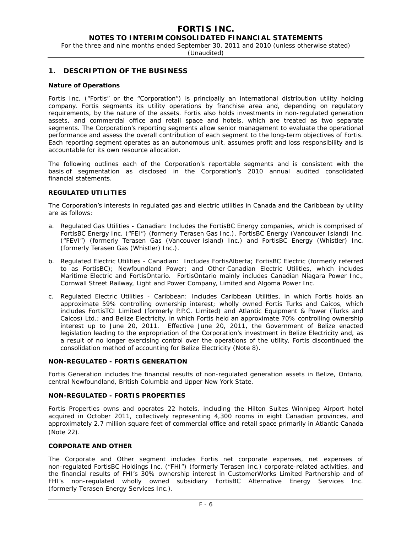# **FORTIS INC.**

#### **NOTES TO INTERIM CONSOLIDATED FINANCIAL STATEMENTS**

For the three and nine months ended September 30, 2011 and 2010 (unless otherwise stated)

(Unaudited)

#### **1. DESCRIPTION OF THE BUSINESS**

#### **Nature of Operations**

Fortis Inc. ("Fortis" or the "Corporation") is principally an international distribution utility holding company. Fortis segments its utility operations by franchise area and, depending on regulatory requirements, by the nature of the assets. Fortis also holds investments in non-regulated generation assets, and commercial office and retail space and hotels, which are treated as two separate segments. The Corporation's reporting segments allow senior management to evaluate the operational performance and assess the overall contribution of each segment to the long-term objectives of Fortis. Each reporting segment operates as an autonomous unit, assumes profit and loss responsibility and is accountable for its own resource allocation.

The following outlines each of the Corporation's reportable segments and is consistent with the basis of segmentation as disclosed in the Corporation's 2010 annual audited consolidated financial statements.

#### **REGULATED UTILITIES**

The Corporation's interests in regulated gas and electric utilities in Canada and the Caribbean by utility are as follows:

- a. *Regulated Gas Utilities Canadian:* Includes the FortisBC Energy companies, which is comprised of FortisBC Energy Inc. ("FEI") (formerly Terasen Gas Inc.), FortisBC Energy (Vancouver Island) Inc. ("FEVI") (formerly Terasen Gas (Vancouver Island) Inc.) and FortisBC Energy (Whistler) Inc. (formerly Terasen Gas (Whistler) Inc.).
- b. *Regulated Electric Utilities Canadian:* Includes FortisAlberta; FortisBC Electric (formerly referred to as FortisBC); Newfoundland Power; and Other Canadian Electric Utilities, which includes Maritime Electric and FortisOntario. FortisOntario mainly includes Canadian Niagara Power Inc., Cornwall Street Railway, Light and Power Company, Limited and Algoma Power Inc.
- c. *Regulated Electric Utilities Caribbean:* Includes Caribbean Utilities, in which Fortis holds an approximate 59% controlling ownership interest; wholly owned Fortis Turks and Caicos, which includes FortisTCI Limited (formerly P.P.C. Limited) and Atlantic Equipment & Power (Turks and Caicos) Ltd.; and Belize Electricity, in which Fortis held an approximate 70% controlling ownership interest up to June 20, 2011. Effective June 20, 2011, the Government of Belize enacted legislation leading to the expropriation of the Corporation's investment in Belize Electricity and, as a result of no longer exercising control over the operations of the utility, Fortis discontinued the consolidation method of accounting for Belize Electricity (Note 8).

#### **NON-REGULATED - FORTIS GENERATION**

Fortis Generation includes the financial results of non-regulated generation assets in Belize, Ontario, central Newfoundland, British Columbia and Upper New York State.

#### **NON-REGULATED - FORTIS PROPERTIES**

Fortis Properties owns and operates 22 hotels, including the Hilton Suites Winnipeg Airport hotel acquired in October 2011, collectively representing 4,300 rooms in eight Canadian provinces, and approximately 2.7 million square feet of commercial office and retail space primarily in Atlantic Canada (Note 22).

#### **CORPORATE AND OTHER**

The Corporate and Other segment includes Fortis net corporate expenses, net expenses of non-regulated FortisBC Holdings Inc. ("FHI") (formerly Terasen Inc.) corporate-related activities, and the financial results of FHI's 30% ownership interest in CustomerWorks Limited Partnership and of FHI's non-regulated wholly owned subsidiary FortisBC Alternative Energy Services Inc. (formerly Terasen Energy Services Inc.).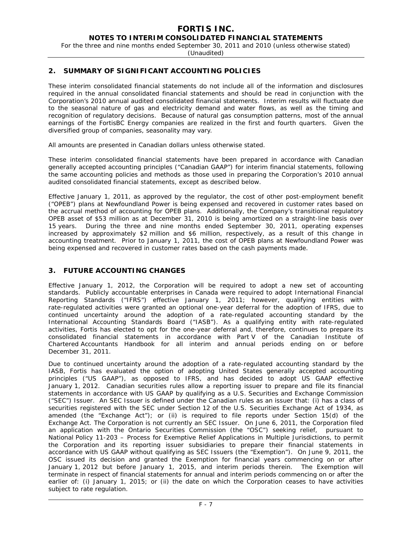# **FORTIS INC.**

**NOTES TO INTERIM CONSOLIDATED FINANCIAL STATEMENTS** 

For the three and nine months ended September 30, 2011 and 2010 (unless otherwise stated)

(Unaudited)

## **2. SUMMARY OF SIGNIFICANT ACCOUNTING POLICIES**

These interim consolidated financial statements do not include all of the information and disclosures required in the annual consolidated financial statements and should be read in conjunction with the Corporation's 2010 annual audited consolidated financial statements. Interim results will fluctuate due to the seasonal nature of gas and electricity demand and water flows, as well as the timing and recognition of regulatory decisions. Because of natural gas consumption patterns, most of the annual earnings of the FortisBC Energy companies are realized in the first and fourth quarters. Given the diversified group of companies, seasonality may vary.

All amounts are presented in Canadian dollars unless otherwise stated.

These interim consolidated financial statements have been prepared in accordance with Canadian generally accepted accounting principles ("Canadian GAAP") for interim financial statements, following the same accounting policies and methods as those used in preparing the Corporation's 2010 annual audited consolidated financial statements, except as described below.

Effective January 1, 2011, as approved by the regulator, the cost of other post-employment benefit ("OPEB") plans at Newfoundland Power is being expensed and recovered in customer rates based on the accrual method of accounting for OPEB plans. Additionally, the Company's transitional regulatory OPEB asset of \$53 million as at December 31, 2010 is being amortized on a straight-line basis over 15 years. During the three and nine months ended September 30, 2011, operating expenses increased by approximately \$2 million and \$6 million, respectively, as a result of this change in accounting treatment. Prior to January 1, 2011, the cost of OPEB plans at Newfoundland Power was being expensed and recovered in customer rates based on the cash payments made.

# **3. FUTURE ACCOUNTING CHANGES**

Effective January 1, 2012, the Corporation will be required to adopt a new set of accounting standards. Publicly accountable enterprises in Canada were required to adopt International Financial Reporting Standards ("IFRS") effective January 1, 2011; however, qualifying entities with rate-regulated activities were granted an optional one-year deferral for the adoption of IFRS, due to continued uncertainty around the adoption of a rate-regulated accounting standard by the International Accounting Standards Board ("IASB"). As a qualifying entity with rate-regulated activities, Fortis has elected to opt for the one-year deferral and, therefore, continues to prepare its consolidated financial statements in accordance with Part V of the Canadian Institute of Chartered Accountants Handbook for all interim and annual periods ending on or before December 31, 2011.

Due to continued uncertainty around the adoption of a rate-regulated accounting standard by the IASB, Fortis has evaluated the option of adopting United States generally accepted accounting principles ("US GAAP"), as opposed to IFRS, and has decided to adopt US GAAP effective January 1, 2012. Canadian securities rules allow a reporting issuer to prepare and file its financial statements in accordance with US GAAP by qualifying as a U.S. Securities and Exchange Commission ("SEC") Issuer. An SEC Issuer is defined under the Canadian rules as an issuer that: (i) has a class of securities registered with the SEC under Section 12 of the *U.S*. *Securities Exchange Act of 1934*, as amended (the "Exchange Act"); or (ii) is required to file reports under Section 15(d) of the Exchange Act. The Corporation is not currently an SEC Issuer. On June 6, 2011, the Corporation filed an application with the Ontario Securities Commission (the "OSC") seeking relief, pursuant to National Policy 11-203 – *Process for Exemptive Relief Applications in Multiple Jurisdictions,* to permit the Corporation and its reporting issuer subsidiaries to prepare their financial statements in accordance with US GAAP without qualifying as SEC Issuers (the "Exemption"). On June 9, 2011, the OSC issued its decision and granted the Exemption for financial years commencing on or after January 1, 2012 but before January 1, 2015, and interim periods therein. The Exemption will terminate in respect of financial statements for annual and interim periods commencing on or after the earlier of: (i) January 1, 2015; or (ii) the date on which the Corporation ceases to have activities subject to rate regulation.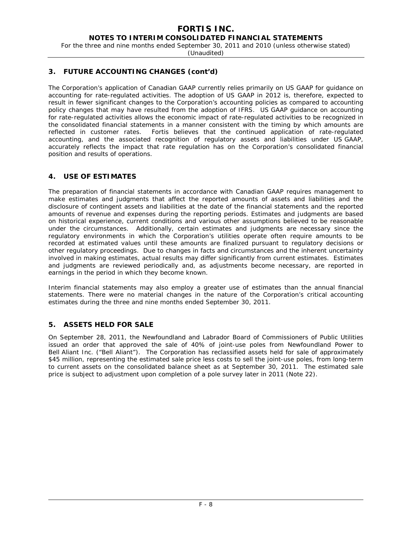For the three and nine months ended September 30, 2011 and 2010 (unless otherwise stated)

(Unaudited)

# **3. FUTURE ACCOUNTING CHANGES (cont'd)**

The Corporation's application of Canadian GAAP currently relies primarily on US GAAP for guidance on accounting for rate-regulated activities. The adoption of US GAAP in 2012 is, therefore, expected to result in fewer significant changes to the Corporation's accounting policies as compared to accounting policy changes that may have resulted from the adoption of IFRS. US GAAP guidance on accounting for rate-regulated activities allows the economic impact of rate-regulated activities to be recognized in the consolidated financial statements in a manner consistent with the timing by which amounts are reflected in customer rates. Fortis believes that the continued application of rate-regulated accounting, and the associated recognition of regulatory assets and liabilities under US GAAP, accurately reflects the impact that rate regulation has on the Corporation's consolidated financial position and results of operations.

# **4. USE OF ESTIMATES**

The preparation of financial statements in accordance with Canadian GAAP requires management to make estimates and judgments that affect the reported amounts of assets and liabilities and the disclosure of contingent assets and liabilities at the date of the financial statements and the reported amounts of revenue and expenses during the reporting periods. Estimates and judgments are based on historical experience, current conditions and various other assumptions believed to be reasonable under the circumstances. Additionally, certain estimates and judgments are necessary since the regulatory environments in which the Corporation's utilities operate often require amounts to be recorded at estimated values until these amounts are finalized pursuant to regulatory decisions or other regulatory proceedings. Due to changes in facts and circumstances and the inherent uncertainty involved in making estimates, actual results may differ significantly from current estimates. Estimates and judgments are reviewed periodically and, as adjustments become necessary, are reported in earnings in the period in which they become known.

Interim financial statements may also employ a greater use of estimates than the annual financial statements. There were no material changes in the nature of the Corporation's critical accounting estimates during the three and nine months ended September 30, 2011.

# **5. ASSETS HELD FOR SALE**

On September 28, 2011, the Newfoundland and Labrador Board of Commissioners of Public Utilities issued an order that approved the sale of 40% of joint-use poles from Newfoundland Power to Bell Aliant Inc. ("Bell Aliant"). The Corporation has reclassified assets held for sale of approximately \$45 million, representing the estimated sale price less costs to sell the joint-use poles, from long-term to current assets on the consolidated balance sheet as at September 30, 2011. The estimated sale price is subject to adjustment upon completion of a pole survey later in 2011 (Note 22).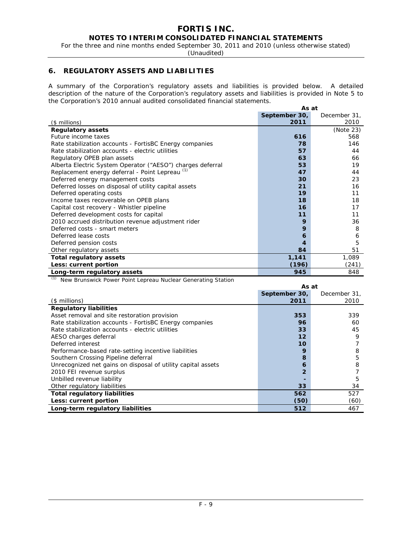For the three and nine months ended September 30, 2011 and 2010 (unless otherwise stated)

(Unaudited)

# **6. REGULATORY ASSETS AND LIABILITIES**

A summary of the Corporation's regulatory assets and liabilities is provided below. A detailed description of the nature of the Corporation's regulatory assets and liabilities is provided in Note 5 to the Corporation's 2010 annual audited consolidated financial statements.

|                                                            | As at         |              |
|------------------------------------------------------------|---------------|--------------|
|                                                            | September 30, | December 31, |
| $($$ millions)                                             | 2011          | 2010         |
| <b>Regulatory assets</b>                                   |               | (Note 23)    |
| Future income taxes                                        | 616           | 568          |
| Rate stabilization accounts - FortisBC Energy companies    | 78            | 146          |
| Rate stabilization accounts - electric utilities           | 57            | 44           |
| Regulatory OPEB plan assets                                | 63            | 66           |
| Alberta Electric System Operator ("AESO") charges deferral | 53            | 19           |
| Replacement energy deferral - Point Lepreau (1)            | 47            | 44           |
| Deferred energy management costs                           | 30            | 23           |
| Deferred losses on disposal of utility capital assets      | 21            | 16           |
| Deferred operating costs                                   | 19            | 11           |
| Income taxes recoverable on OPEB plans                     | 18            | 18           |
| Capital cost recovery - Whistler pipeline                  | 16            | 17           |
| Deferred development costs for capital                     | 11            | 11           |
| 2010 accrued distribution revenue adjustment rider         | 9             | 36           |
| Deferred costs - smart meters                              | 9             | 8            |
| Deferred lease costs                                       | 6             | 6            |
| Deferred pension costs                                     | 4             | 5            |
| Other regulatory assets                                    | 84            | 51           |
| Total regulatory assets                                    | 1,141         | 1,089        |
| Less: current portion                                      | (196)         | (241)        |
| Long-term regulatory assets                                | 945           | 848          |

*(1)* New Brunswick Power Point Lepreau Nuclear Generating Station

|                                                              | As at           |              |
|--------------------------------------------------------------|-----------------|--------------|
|                                                              | September 30,   | December 31, |
| (\$ millions)                                                | 2011            | 2010         |
| <b>Regulatory liabilities</b>                                |                 |              |
| Asset removal and site restoration provision                 | 353             | 339          |
| Rate stabilization accounts - FortisBC Energy companies      | 96              | 60           |
| Rate stabilization accounts - electric utilities             | 33              | 45           |
| AESO charges deferral                                        | 12              | 9            |
| Deferred interest                                            | 10 <sup>1</sup> |              |
| Performance-based rate-setting incentive liabilities         | 9               | 8            |
| Southern Crossing Pipeline deferral                          | 8               | 5            |
| Unrecognized net gains on disposal of utility capital assets | 6               | 8            |
| 2010 FEI revenue surplus                                     | 2               |              |
| Unbilled revenue liability                                   |                 | 5            |
| Other regulatory liabilities                                 | 33              | 34           |
| <b>Total regulatory liabilities</b>                          | 562             | 527          |
| Less: current portion                                        | (50)            | (60)         |
| Long-term regulatory liabilities                             | 512             | 467          |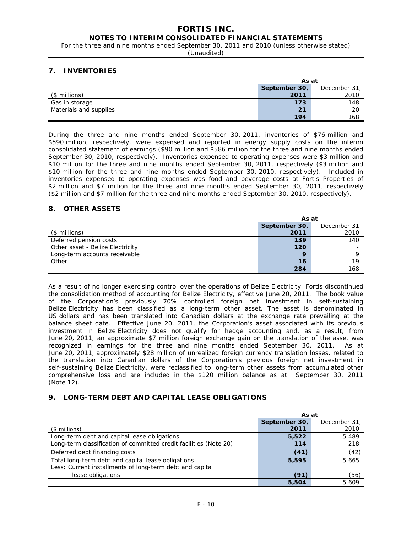For the three and nine months ended September 30, 2011 and 2010 (unless otherwise stated)

(Unaudited)

# **7. INVENTORIES**

|                        | As at         |              |
|------------------------|---------------|--------------|
|                        | September 30, | December 31, |
| $($$ millions)         | 2011          | 2010         |
| Gas in storage         | 173           | 148          |
| Materials and supplies | 21            | 20           |
|                        | 194           | 168          |

During the three and nine months ended September 30, 2011, inventories of \$76 million and \$590 million, respectively, were expensed and reported in energy supply costs on the interim consolidated statement of earnings (\$90 million and \$586 million for the three and nine months ended September 30, 2010, respectively). Inventories expensed to operating expenses were \$3 million and \$10 million for the three and nine months ended September 30, 2011, respectively (\$3 million and \$10 million for the three and nine months ended September 30, 2010, respectively). Included in inventories expensed to operating expenses was food and beverage costs at Fortis Properties of \$2 million and \$7 million for the three and nine months ended September 30, 2011, respectively (\$2 million and \$7 million for the three and nine months ended September 30, 2010, respectively).

# **8. OTHER ASSETS**

|                                  |               | As at        |  |  |
|----------------------------------|---------------|--------------|--|--|
|                                  | September 30, | December 31, |  |  |
| (\$ millions)                    | 2011          | 2010         |  |  |
| Deferred pension costs           | 139           | 140          |  |  |
| Other asset - Belize Electricity | 120           |              |  |  |
| Long-term accounts receivable    | 9             |              |  |  |
| Other                            | 16            | 19           |  |  |
|                                  | 284           | 168          |  |  |

As a result of no longer exercising control over the operations of Belize Electricity, Fortis discontinued the consolidation method of accounting for Belize Electricity, effective June 20, 2011. The book value of the Corporation's previously 70% controlled foreign net investment in self-sustaining Belize Electricity has been classified as a long-term other asset. The asset is denominated in US dollars and has been translated into Canadian dollars at the exchange rate prevailing at the balance sheet date. Effective June 20, 2011, the Corporation's asset associated with its previous investment in Belize Electricity does not qualify for hedge accounting and, as a result, from June 20, 2011, an approximate \$7 million foreign exchange gain on the translation of the asset was recognized in earnings for the three and nine months ended September 30, 2011. As at June 20, 2011, approximately \$28 million of unrealized foreign currency translation losses, related to the translation into Canadian dollars of the Corporation's previous foreign net investment in self-sustaining Belize Electricity, were reclassified to long-term other assets from accumulated other comprehensive loss and are included in the \$120 million balance as at September 30, 2011 (Note 12).

# **9. LONG-TERM DEBT AND CAPITAL LEASE OBLIGATIONS**

|                                                                   | As at         |              |  |
|-------------------------------------------------------------------|---------------|--------------|--|
|                                                                   | September 30, | December 31, |  |
| $($$ millions)                                                    | 2011          | 2010         |  |
| Long-term debt and capital lease obligations                      | 5,522         | 5.489        |  |
| Long-term classification of committed credit facilities (Note 20) | 114           | 218          |  |
| Deferred debt financing costs                                     | (41)          | (42)         |  |
| Total long-term debt and capital lease obligations                | 5,595         | 5,665        |  |
| Less: Current installments of long-term debt and capital          |               |              |  |
| lease obligations                                                 | (91)          | (56)         |  |
|                                                                   | 5,504         | 5.609        |  |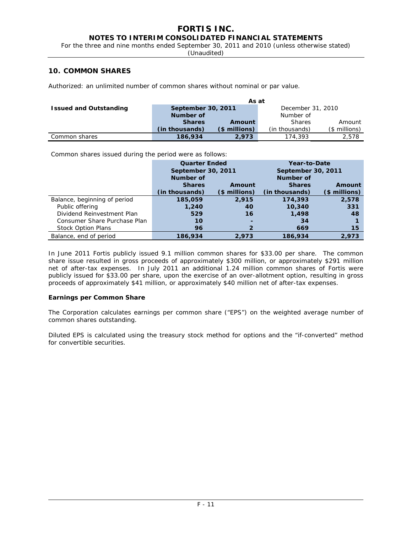For the three and nine months ended September 30, 2011 and 2010 (unless otherwise stated)

(Unaudited)

## **10. COMMON SHARES**

Authorized: an unlimited number of common shares without nominal or par value.

|                               | As at                                   |               |                |               |  |
|-------------------------------|-----------------------------------------|---------------|----------------|---------------|--|
| <b>Issued and Outstanding</b> | September 30, 2011<br>December 31, 2010 |               |                |               |  |
|                               | Number of                               |               | Number of      |               |  |
|                               | <b>Shares</b>                           | Amount        | <b>Shares</b>  | Amount        |  |
|                               | (in thousands)                          | $$$ millions) | (in thousands) | (\$ millions) |  |
| Common shares                 | 186,934                                 | 2.973         | 174,393        | 2.578         |  |

Common shares issued during the period were as follows:

|                              | <b>Quarter Ended</b><br>September 30, 2011 |               | Year-to-Date                    |               |  |
|------------------------------|--------------------------------------------|---------------|---------------------------------|---------------|--|
|                              | Number of                                  |               | September 30, 2011<br>Number of |               |  |
|                              | <b>Shares</b>                              | Amount        | <b>Shares</b>                   | Amount        |  |
|                              | (in thousands)                             | (\$ millions) | (in thousands)                  | (\$ millions) |  |
| Balance, beginning of period | 185,059                                    | 2,915         | 174,393                         | 2,578         |  |
| Public offering              | 1,240                                      | 40            | 10,340                          | 331           |  |
| Dividend Reinvestment Plan   | 529                                        | 16            | 1,498                           | 48            |  |
| Consumer Share Purchase Plan | 10                                         |               | -34                             |               |  |
| <b>Stock Option Plans</b>    | 96                                         |               | 669                             | 15            |  |
| Balance, end of period       | 186,934                                    | 2.973         | 186,934                         | 2.973         |  |

In June 2011 Fortis publicly issued 9.1 million common shares for \$33.00 per share. The common share issue resulted in gross proceeds of approximately \$300 million, or approximately \$291 million net of after-tax expenses. In July 2011 an additional 1.24 million common shares of Fortis were publicly issued for \$33.00 per share, upon the exercise of an over-allotment option, resulting in gross proceeds of approximately \$41 million, or approximately \$40 million net of after-tax expenses.

#### **Earnings per Common Share**

The Corporation calculates earnings per common share ("EPS") on the weighted average number of common shares outstanding.

Diluted EPS is calculated using the treasury stock method for options and the "if-converted" method for convertible securities.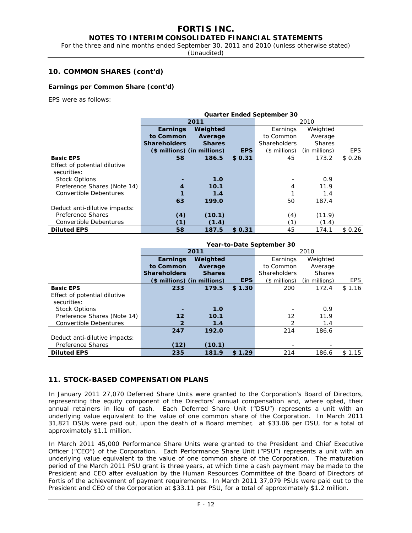# **FORTIS INC.**

# **NOTES TO INTERIM CONSOLIDATED FINANCIAL STATEMENTS**

For the three and nine months ended September 30, 2011 and 2010 (unless otherwise stated)

(Unaudited)

## **10. COMMON SHARES (cont'd)**

#### **Earnings per Common Share (cont'd)**

EPS were as follows:

|                               | <b>Quarter Ended September 30</b> |                             |        |                     |               |            |
|-------------------------------|-----------------------------------|-----------------------------|--------|---------------------|---------------|------------|
|                               |                                   | 2011                        |        | 2010                |               |            |
|                               | <b>Earnings</b>                   | Weighted                    |        |                     | Weighted      |            |
|                               | to Common                         | Average                     |        | to Common           | Average       |            |
|                               | <b>Shareholders</b>               | <b>Shares</b>               |        | <b>Shareholders</b> | <b>Shares</b> |            |
|                               |                                   | (\$ millions) (in millions) | EPS    | $($$ millions)      | (in millions) | <b>EPS</b> |
| <b>Basic EPS</b>              | 58                                | 186.5                       | \$0.31 | 45                  | 173.2         | \$0.26     |
| Effect of potential dilutive  |                                   |                             |        |                     |               |            |
| securities:                   |                                   |                             |        |                     |               |            |
| <b>Stock Options</b>          |                                   | 1.0                         |        |                     | 0.9           |            |
| Preference Shares (Note 14)   | 4                                 | 10.1                        |        | 4                   | 11.9          |            |
| Convertible Debentures        |                                   | 1.4                         |        |                     | 1.4           |            |
|                               | 63                                | 199.0                       |        | 50                  | 187.4         |            |
| Deduct anti-dilutive impacts: |                                   |                             |        |                     |               |            |
| Preference Shares             | (4)                               | (10.1)                      |        | (4)                 | (11.9)        |            |
| Convertible Debentures        | (1)                               | (1.4)                       |        | (1)                 | (1.4)         |            |
| <b>Diluted EPS</b>            | 58                                | 187.5                       | \$0.31 | 45                  | 174.1         | \$0.26     |

|                               | Year-to-Date September 30                                   |                             |            |               |               |            |
|-------------------------------|-------------------------------------------------------------|-----------------------------|------------|---------------|---------------|------------|
|                               |                                                             | 2011                        |            |               | 2010          |            |
|                               | Earnings                                                    | Weighted                    |            | Earnings      | Weighted      |            |
|                               | to Common                                                   | Average                     | to Common  | Average       |               |            |
|                               | <b>Shareholders</b><br><b>Shareholders</b><br><b>Shares</b> |                             |            |               | <b>Shares</b> |            |
|                               |                                                             | (\$ millions) (in millions) | <b>EPS</b> | (\$ millions) | (in millions) | <b>EPS</b> |
| <b>Basic EPS</b>              | 233                                                         | 179.5                       | \$1.30     | 200           | 172.4         | \$1.16     |
| Effect of potential dilutive  |                                                             |                             |            |               |               |            |
| securities:                   |                                                             |                             |            |               |               |            |
| <b>Stock Options</b>          |                                                             | 1.0                         |            |               | 0.9           |            |
| Preference Shares (Note 14)   | 12                                                          | 10.1                        |            | 12            | 11.9          |            |
| Convertible Debentures        | 2                                                           | 1.4                         |            | 2             | 1.4           |            |
|                               | 247                                                         | 192.0                       |            | 214           | 186.6         |            |
| Deduct anti-dilutive impacts: |                                                             |                             |            |               |               |            |
| Preference Shares             | (12)                                                        | (10.1)                      |            |               |               |            |
| <b>Diluted EPS</b>            | 235                                                         | 181.9                       | \$1.29     | 214           | 186.6         | \$1.15     |

#### **11. STOCK-BASED COMPENSATION PLANS**

In January 2011 27,070 Deferred Share Units were granted to the Corporation's Board of Directors, representing the equity component of the Directors' annual compensation and, where opted, their annual retainers in lieu of cash. Each Deferred Share Unit ("DSU") represents a unit with an underlying value equivalent to the value of one common share of the Corporation. In March 2011 31,821 DSUs were paid out, upon the death of a Board member, at \$33.06 per DSU, for a total of approximately \$1.1 million.

In March 2011 45,000 Performance Share Units were granted to the President and Chief Executive Officer ("CEO") of the Corporation. Each Performance Share Unit ("PSU") represents a unit with an underlying value equivalent to the value of one common share of the Corporation. The maturation period of the March 2011 PSU grant is three years, at which time a cash payment may be made to the President and CEO after evaluation by the Human Resources Committee of the Board of Directors of Fortis of the achievement of payment requirements. In March 2011 37,079 PSUs were paid out to the President and CEO of the Corporation at \$33.11 per PSU, for a total of approximately \$1.2 million.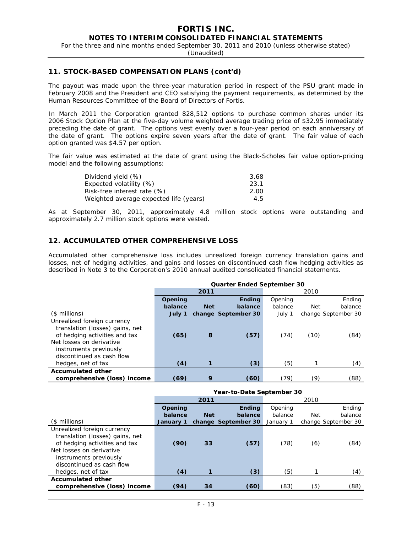For the three and nine months ended September 30, 2011 and 2010 (unless otherwise stated)

(Unaudited)

#### **11. STOCK-BASED COMPENSATION PLANS (cont'd)**

The payout was made upon the three-year maturation period in respect of the PSU grant made in February 2008 and the President and CEO satisfying the payment requirements, as determined by the Human Resources Committee of the Board of Directors of Fortis.

In March 2011 the Corporation granted 828,512 options to purchase common shares under its 2006 Stock Option Plan at the five-day volume weighted average trading price of \$32.95 immediately preceding the date of grant. The options vest evenly over a four-year period on each anniversary of the date of grant. The options expire seven years after the date of grant. The fair value of each option granted was \$4.57 per option.

The fair value was estimated at the date of grant using the Black-Scholes fair value option-pricing model and the following assumptions:

| Dividend yield (%)                     | 3.68 |
|----------------------------------------|------|
| Expected volatility (%)                | 23.1 |
| Risk-free interest rate (%)            | 2.00 |
| Weighted average expected life (years) | 4.5  |

As at September 30, 2011, approximately 4.8 million stock options were outstanding and approximately 2.7 million stock options were vested.

## **12. ACCUMULATED OTHER COMPREHENSIVE LOSS**

Accumulated other comprehensive loss includes unrealized foreign currency translation gains and losses, net of hedging activities, and gains and losses on discontinued cash flow hedging activities as described in Note 3 to the Corporation's 2010 annual audited consolidated financial statements.

|                                                                                                                                                                                    | Quarter Ended September 30 |            |                     |         |      |                     |
|------------------------------------------------------------------------------------------------------------------------------------------------------------------------------------|----------------------------|------------|---------------------|---------|------|---------------------|
|                                                                                                                                                                                    |                            | 2011       |                     |         | 2010 |                     |
|                                                                                                                                                                                    | Opening                    |            | <b>Ending</b>       | Opening |      | Ending              |
|                                                                                                                                                                                    | balance                    | <b>Net</b> | balance             | balance | Net  | balance             |
| $($$ millions)                                                                                                                                                                     | July 1                     |            | change September 30 | July 1  |      | change September 30 |
| Unrealized foreign currency<br>translation (losses) gains, net<br>of hedging activities and tax<br>Net losses on derivative<br>instruments previously<br>discontinued as cash flow | (65)                       | 8          | (57)                | (74)    | (10) | (84)                |
| hedges, net of tax                                                                                                                                                                 | (4)                        |            | (3)                 | (5)     |      | (4)                 |
| <b>Accumulated other</b>                                                                                                                                                           |                            |            |                     |         |      |                     |
| comprehensive (loss) income                                                                                                                                                        | (69)                       | 9          | (60)                | (79)    | (9)  | (88)                |

|                                                                                                                                                                                    | Year-to-Date September 30 |            |                     |           |      |                     |
|------------------------------------------------------------------------------------------------------------------------------------------------------------------------------------|---------------------------|------------|---------------------|-----------|------|---------------------|
|                                                                                                                                                                                    |                           | 2011       |                     |           | 2010 |                     |
|                                                                                                                                                                                    | Opening                   |            | Endina              | Opening   |      | Ending              |
|                                                                                                                                                                                    | balance                   | <b>Net</b> | balance             | balance   | Net  | balance             |
| $($$ millions)                                                                                                                                                                     | January 1                 |            | change September 30 | January 1 |      | change September 30 |
| Unrealized foreign currency<br>translation (losses) gains, net<br>of hedging activities and tax<br>Net losses on derivative<br>instruments previously<br>discontinued as cash flow | (90)                      | 33         | (57)                | (78)      | (6)  | (84)                |
| hedges, net of tax                                                                                                                                                                 | (4)                       |            | (3)                 | (5)       |      | (4)                 |
| <b>Accumulated other</b>                                                                                                                                                           |                           |            |                     |           |      |                     |
| comprehensive (loss) income                                                                                                                                                        | (94)                      | 34         | (60)                | (83)      | (5)  | (88)                |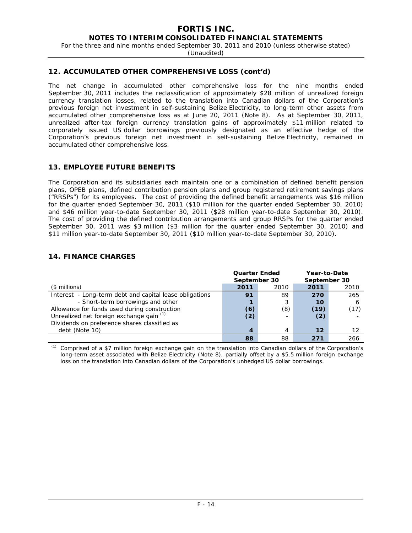For the three and nine months ended September 30, 2011 and 2010 (unless otherwise stated)

(Unaudited)

## **12. ACCUMULATED OTHER COMPREHENSIVE LOSS (cont'd)**

The net change in accumulated other comprehensive loss for the nine months ended September 30, 2011 includes the reclassification of approximately \$28 million of unrealized foreign currency translation losses, related to the translation into Canadian dollars of the Corporation's previous foreign net investment in self-sustaining Belize Electricity, to long-term other assets from accumulated other comprehensive loss as at June 20, 2011 (Note 8). As at September 30, 2011, unrealized after-tax foreign currency translation gains of approximately \$11 million related to corporately issued US dollar borrowings previously designated as an effective hedge of the Corporation's previous foreign net investment in self-sustaining Belize Electricity, remained in accumulated other comprehensive loss.

# **13. EMPLOYEE FUTURE BENEFITS**

The Corporation and its subsidiaries each maintain one or a combination of defined benefit pension plans, OPEB plans, defined contribution pension plans and group registered retirement savings plans ("RRSPs") for its employees. The cost of providing the defined benefit arrangements was \$16 million for the quarter ended September 30, 2011 (\$10 million for the quarter ended September 30, 2010) and \$46 million year-to-date September 30, 2011 (\$28 million year-to-date September 30, 2010). The cost of providing the defined contribution arrangements and group RRSPs for the quarter ended September 30, 2011 was \$3 million (\$3 million for the quarter ended September 30, 2010) and \$11 million year-to-date September 30, 2011 (\$10 million year-to-date September 30, 2010).

# **14. FINANCE CHARGES**

|                                                         | <b>Quarter Ended</b><br>September 30 |                          | Year-to-Date<br>September 30 |      |
|---------------------------------------------------------|--------------------------------------|--------------------------|------------------------------|------|
| $($$ millions)                                          | 2011                                 | 2010                     | 2011                         | 2010 |
| Interest - Long-term debt and capital lease obligations | 91                                   | 89                       | 270                          | 265  |
| - Short-term borrowings and other                       |                                      | 3                        | 10                           | 6    |
| Allowance for funds used during construction            | (6)                                  | (8)                      | (19)                         | (17) |
| Unrealized net foreign exchange gain (1)                | (2)                                  | $\overline{\phantom{a}}$ | (2)                          |      |
| Dividends on preference shares classified as            |                                      |                          |                              |      |
| debt (Note 10)                                          | $\boldsymbol{4}$                     | 4                        | 12                           | 12   |
|                                                         | 88                                   | 88                       | 271                          | 266  |

*(1)* Comprised of a \$7 million foreign exchange gain on the translation into Canadian dollars of the Corporation's long-term asset associated with Belize Electricity (Note 8), partially offset by a \$5.5 million foreign exchange loss on the translation into Canadian dollars of the Corporation's unhedged US dollar borrowings.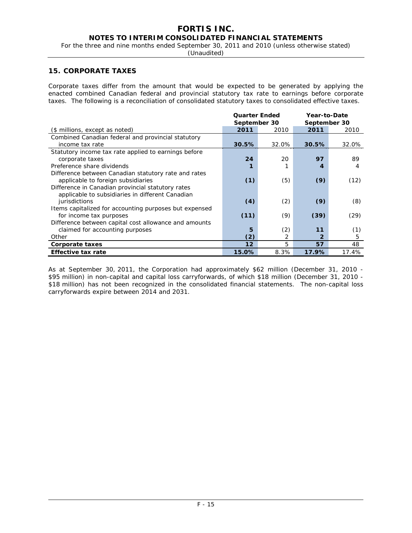# **FORTIS INC.**

## **NOTES TO INTERIM CONSOLIDATED FINANCIAL STATEMENTS**

For the three and nine months ended September 30, 2011 and 2010 (unless otherwise stated)

(Unaudited)

## **15. CORPORATE TAXES**

Corporate taxes differ from the amount that would be expected to be generated by applying the enacted combined Canadian federal and provincial statutory tax rate to earnings before corporate taxes. The following is a reconciliation of consolidated statutory taxes to consolidated effective taxes.

|                                                        | <b>Quarter Ended</b> |       | Year-to-Date |       |  |
|--------------------------------------------------------|----------------------|-------|--------------|-------|--|
|                                                        | September 30         |       | September 30 |       |  |
| (\$ millions, except as noted)                         | 2011                 | 2010  | 2011         | 2010  |  |
| Combined Canadian federal and provincial statutory     |                      |       |              |       |  |
| income tax rate                                        | 30.5%                | 32.0% | 30.5%        | 32.0% |  |
| Statutory income tax rate applied to earnings before   |                      |       |              |       |  |
| corporate taxes                                        | 24                   | 20    | 97           | 89    |  |
| Preference share dividends                             |                      |       | 4            | 4     |  |
| Difference between Canadian statutory rate and rates   |                      |       |              |       |  |
| applicable to foreign subsidiaries                     | (1)                  | (5)   | (9)          | (12)  |  |
| Difference in Canadian provincial statutory rates      |                      |       |              |       |  |
| applicable to subsidiaries in different Canadian       |                      |       |              |       |  |
| jurisdictions                                          | (4)                  | (2)   | (9)          | (8)   |  |
| Items capitalized for accounting purposes but expensed |                      |       |              |       |  |
| for income tax purposes                                | (11)                 | (9)   | (39)         | (29)  |  |
| Difference between capital cost allowance and amounts  |                      |       |              |       |  |
| claimed for accounting purposes                        | 5                    | (2)   | 11           | (1)   |  |
| Other                                                  | (2)                  | 2     |              | 5     |  |
| Corporate taxes                                        | 12                   | 5     | 57           | 48    |  |
| <b>Effective tax rate</b>                              | 15.0%                | 8.3%  | 17.9%        | 17.4% |  |

As at September 30, 2011, the Corporation had approximately \$62 million (December 31, 2010 - \$95 million) in non-capital and capital loss carryforwards, of which \$18 million (December 31, 2010 - \$18 million) has not been recognized in the consolidated financial statements. The non-capital loss carryforwards expire between 2014 and 2031.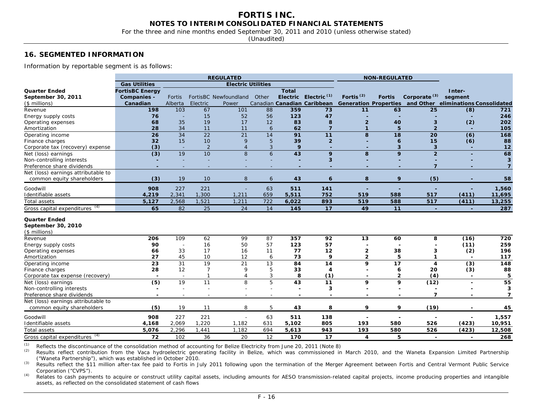For the three and nine months ended September 30, 2011 and 2010 (unless otherwise stated)

(Unaudited)

#### **16. SEGMENTED INFORMATION**

Information by reportable segment is as follows:

| <b>Gas Utilities</b><br><b>Electric Utilities</b><br><b>Quarter Ended</b><br><b>FortisBC Energy</b><br><b>Total</b><br>Inter-<br>Electric Electric <sup>(1)</sup><br>Fortis <sup>(2)</sup><br>Corporate <sup>(3)</sup><br>FortisBC Newfoundland<br>Other<br><b>Fortis</b><br>segment<br>September 30, 2011<br><b>Companies -</b><br>Fortis<br>Canadian Canadian Caribbean<br>Generation Properties and Other eliminations Consolidated<br>Canadian<br>Alberta<br>Electric<br>$($$ millions)<br>Power<br>198<br>103<br>67<br>359<br>63<br>101<br>88<br>73<br>11<br>25<br>(8)<br>Revenue<br>721<br>15<br>52<br>47<br>76<br>56<br>123<br>246<br>Energy supply costs<br><b>.</b><br>$\overline{\phantom{a}}$<br>35<br>19<br>202<br>68<br>17<br>12<br>83<br>8<br>40<br>3<br>(2)<br>Operating expenses<br>$\overline{2}$<br>34<br>28<br>11<br>11<br>62<br>$\overline{7}$<br>5<br>$\overline{2}$<br>105<br>6<br>$\mathbf{1}$<br>Amortization<br>$\overline{\phantom{a}}$<br>$\overline{22}$<br>26<br>34<br>21<br>91<br>$\overline{(6)}$<br>14<br>11<br>8<br>18<br>20<br>168<br>Operating income<br>15<br>10<br>5<br>39<br>$\overline{2}$<br>88<br>32<br>9<br>15<br>(6)<br>Finance charges<br>6<br>(3)<br>$\overline{2}$<br>9<br>$12$<br>3<br>3<br>$\overline{\mathbf{3}}$<br>Corporate tax (recovery) expense<br>$\overline{4}$<br>$\sim$<br>$\overline{a}$<br>$\overline{a}$<br>10<br>68<br>$\overline{(3)}$<br>19<br>8<br>43<br>$\overline{2}$<br>6<br>9<br>8<br>9<br>Net (loss) earnings<br>3<br>$\overline{\mathbf{3}}$<br>Non-controlling interests<br>÷,<br>$\overline{7}$<br>Preference share dividends<br>$\overline{ }$<br>$\overline{\phantom{a}}$<br>٠<br>÷,<br>۰<br>$\blacksquare$<br>$\overline{\phantom{0}}$<br>$\blacksquare$<br>$\blacksquare$<br>Net (loss) earnings attributable to<br>9<br>(5)<br>(3)<br>19<br>10<br>8<br>43<br>8<br>58<br>common equity shareholders<br>6<br>6<br>908<br>227<br>221<br>63<br>141<br>511<br>1,560<br>÷<br>÷<br>Identifiable assets<br>2,341<br>1,300<br>4,219<br>1,211<br>659<br>5,511<br>752<br>519<br>588<br>517<br>(411)<br>11,695<br>2,568<br>1,521<br>1,211<br>722<br>6,022<br>893<br>519<br>588<br>517<br>(411)<br>13,255<br>Total assets<br>5,127<br>Gross capital expenditures (4)<br>287<br>65<br>82<br>25<br>24<br>145<br>17<br>49<br>11<br>14<br>$\sim$<br>$\sim$<br><b>Quarter Ended</b><br>September 30, 2010<br>$($$ millions)<br>109<br>62<br>99<br>87<br>Revenue<br>206<br>357<br>92<br>13<br>60<br>8<br>(16)<br>720<br>90<br>16<br>50<br>57<br>123<br>57<br>(11)<br>259<br>Energy supply costs<br>÷,<br>17<br>33<br>38<br>(2)<br>196<br>Operating expenses<br>16<br>11<br>77<br>12<br>2<br>66<br>3<br>45<br>10<br>73<br>9<br>27<br>12<br>$\mathbf{2}$<br>5<br>117<br>6<br>Amortization<br>$\overline{\phantom{a}}$<br>31<br>19<br>21<br>23<br>13<br>84<br>14<br>9<br>17<br>(3)<br>148<br>4<br>Operating income<br>28<br>12<br>$\overline{7}$<br>5<br>88<br>9<br>33<br>$\overline{4}$<br>6<br>20<br>(3)<br>Finance charges<br>$\overline{\phantom{a}}$<br>$\mathbf{1}$<br>3<br>8<br>(1)<br>(4)<br>5<br>$\mathbf{2}$<br>Corporate tax expense (recovery)<br>$\overline{4}$<br>$\overline{\phantom{a}}$<br>$\sim$<br>$\overline{\phantom{a}}$<br>$\overline{\phantom{0}}$<br>$\overline{(5)}$<br>19<br>11<br>8<br>5<br>$\overline{43}$<br>11<br>9<br>55<br>9<br>(12)<br>Net (loss) earnings<br>$\overline{\phantom{0}}$<br>3<br>3<br>Non-controlling interests<br>$\overline{\phantom{0}}$<br>$\overline{\phantom{0}}$<br>$\overline{\phantom{a}}$<br>٠<br>$\overline{\phantom{0}}$<br>$\overline{\phantom{0}}$<br>$\overline{\phantom{a}}$<br>$\overline{\mathbf{z}}$<br>Preference share dividends<br>$\overline{ }$<br>$\overline{\phantom{a}}$<br>$\overline{\phantom{a}}$<br>$\overline{\phantom{a}}$<br>$\overline{\phantom{a}}$<br>$\overline{\phantom{a}}$<br>٠<br>$\overline{\phantom{a}}$<br>$\overline{\phantom{a}}$<br>$\overline{\phantom{a}}$<br>Net (loss) earnings attributable to<br>(5)<br>19<br>8<br>5<br>8<br>9<br>9<br>(19)<br>45<br>common equity shareholders<br>11<br>43<br>Goodwill<br>908<br>227<br>221<br>63<br>138<br>1,557<br>511<br>÷,<br>$\overline{a}$<br>Identifiable assets<br>2,069<br>1,220<br>(423)<br>4.168<br>1,182<br>631<br>5,102<br>805<br>193<br>580<br>10,951<br>526<br>5,076<br>2,296<br>1,441<br>1,182<br>694<br>5,613<br>943<br>193<br>580<br>526<br>(423)<br>12,508<br>Total assets<br>102<br>36<br>20<br>12<br>170<br>17<br>5<br>268<br>72<br>4<br>$\overline{\phantom{a}}$<br>$\blacksquare$ |                                |  | <b>REGULATED</b> |  |  | <b>NON-REGULATED</b> |  |  |
|----------------------------------------------------------------------------------------------------------------------------------------------------------------------------------------------------------------------------------------------------------------------------------------------------------------------------------------------------------------------------------------------------------------------------------------------------------------------------------------------------------------------------------------------------------------------------------------------------------------------------------------------------------------------------------------------------------------------------------------------------------------------------------------------------------------------------------------------------------------------------------------------------------------------------------------------------------------------------------------------------------------------------------------------------------------------------------------------------------------------------------------------------------------------------------------------------------------------------------------------------------------------------------------------------------------------------------------------------------------------------------------------------------------------------------------------------------------------------------------------------------------------------------------------------------------------------------------------------------------------------------------------------------------------------------------------------------------------------------------------------------------------------------------------------------------------------------------------------------------------------------------------------------------------------------------------------------------------------------------------------------------------------------------------------------------------------------------------------------------------------------------------------------------------------------------------------------------------------------------------------------------------------------------------------------------------------------------------------------------------------------------------------------------------------------------------------------------------------------------------------------------------------------------------------------------------------------------------------------------------------------------------------------------------------------------------------------------------------------------------------------------------------------------------------------------------------------------------------------------------------------------------------------------------------------------------------------------------------------------------------------------------------------------------------------------------------------------------------------------------------------------------------------------------------------------------------------------------------------------------------------------------------------------------------------------------------------------------------------------------------------------------------------------------------------------------------------------------------------------------------------------------------------------------------------------------------------------------------------------------------------------------------------------------------------------------------------------------------------------------------------------------------------------------------------------------------------------------------------------------------------------------------------------------------------------------------------------------------------------------------------------------------------------------------------------------------------------------------------------------------------------------------------------------------------------------------------------------------------------------------------------------------------------------------------------------------------------------------------------------------------------------------------------------------------------------------------------------------------------------------------|--------------------------------|--|------------------|--|--|----------------------|--|--|
|                                                                                                                                                                                                                                                                                                                                                                                                                                                                                                                                                                                                                                                                                                                                                                                                                                                                                                                                                                                                                                                                                                                                                                                                                                                                                                                                                                                                                                                                                                                                                                                                                                                                                                                                                                                                                                                                                                                                                                                                                                                                                                                                                                                                                                                                                                                                                                                                                                                                                                                                                                                                                                                                                                                                                                                                                                                                                                                                                                                                                                                                                                                                                                                                                                                                                                                                                                                                                                                                                                                                                                                                                                                                                                                                                                                                                                                                                                                                                                                                                                                                                                                                                                                                                                                                                                                                                                                                                                                                                                          |                                |  |                  |  |  |                      |  |  |
|                                                                                                                                                                                                                                                                                                                                                                                                                                                                                                                                                                                                                                                                                                                                                                                                                                                                                                                                                                                                                                                                                                                                                                                                                                                                                                                                                                                                                                                                                                                                                                                                                                                                                                                                                                                                                                                                                                                                                                                                                                                                                                                                                                                                                                                                                                                                                                                                                                                                                                                                                                                                                                                                                                                                                                                                                                                                                                                                                                                                                                                                                                                                                                                                                                                                                                                                                                                                                                                                                                                                                                                                                                                                                                                                                                                                                                                                                                                                                                                                                                                                                                                                                                                                                                                                                                                                                                                                                                                                                                          |                                |  |                  |  |  |                      |  |  |
|                                                                                                                                                                                                                                                                                                                                                                                                                                                                                                                                                                                                                                                                                                                                                                                                                                                                                                                                                                                                                                                                                                                                                                                                                                                                                                                                                                                                                                                                                                                                                                                                                                                                                                                                                                                                                                                                                                                                                                                                                                                                                                                                                                                                                                                                                                                                                                                                                                                                                                                                                                                                                                                                                                                                                                                                                                                                                                                                                                                                                                                                                                                                                                                                                                                                                                                                                                                                                                                                                                                                                                                                                                                                                                                                                                                                                                                                                                                                                                                                                                                                                                                                                                                                                                                                                                                                                                                                                                                                                                          |                                |  |                  |  |  |                      |  |  |
|                                                                                                                                                                                                                                                                                                                                                                                                                                                                                                                                                                                                                                                                                                                                                                                                                                                                                                                                                                                                                                                                                                                                                                                                                                                                                                                                                                                                                                                                                                                                                                                                                                                                                                                                                                                                                                                                                                                                                                                                                                                                                                                                                                                                                                                                                                                                                                                                                                                                                                                                                                                                                                                                                                                                                                                                                                                                                                                                                                                                                                                                                                                                                                                                                                                                                                                                                                                                                                                                                                                                                                                                                                                                                                                                                                                                                                                                                                                                                                                                                                                                                                                                                                                                                                                                                                                                                                                                                                                                                                          |                                |  |                  |  |  |                      |  |  |
|                                                                                                                                                                                                                                                                                                                                                                                                                                                                                                                                                                                                                                                                                                                                                                                                                                                                                                                                                                                                                                                                                                                                                                                                                                                                                                                                                                                                                                                                                                                                                                                                                                                                                                                                                                                                                                                                                                                                                                                                                                                                                                                                                                                                                                                                                                                                                                                                                                                                                                                                                                                                                                                                                                                                                                                                                                                                                                                                                                                                                                                                                                                                                                                                                                                                                                                                                                                                                                                                                                                                                                                                                                                                                                                                                                                                                                                                                                                                                                                                                                                                                                                                                                                                                                                                                                                                                                                                                                                                                                          |                                |  |                  |  |  |                      |  |  |
|                                                                                                                                                                                                                                                                                                                                                                                                                                                                                                                                                                                                                                                                                                                                                                                                                                                                                                                                                                                                                                                                                                                                                                                                                                                                                                                                                                                                                                                                                                                                                                                                                                                                                                                                                                                                                                                                                                                                                                                                                                                                                                                                                                                                                                                                                                                                                                                                                                                                                                                                                                                                                                                                                                                                                                                                                                                                                                                                                                                                                                                                                                                                                                                                                                                                                                                                                                                                                                                                                                                                                                                                                                                                                                                                                                                                                                                                                                                                                                                                                                                                                                                                                                                                                                                                                                                                                                                                                                                                                                          |                                |  |                  |  |  |                      |  |  |
|                                                                                                                                                                                                                                                                                                                                                                                                                                                                                                                                                                                                                                                                                                                                                                                                                                                                                                                                                                                                                                                                                                                                                                                                                                                                                                                                                                                                                                                                                                                                                                                                                                                                                                                                                                                                                                                                                                                                                                                                                                                                                                                                                                                                                                                                                                                                                                                                                                                                                                                                                                                                                                                                                                                                                                                                                                                                                                                                                                                                                                                                                                                                                                                                                                                                                                                                                                                                                                                                                                                                                                                                                                                                                                                                                                                                                                                                                                                                                                                                                                                                                                                                                                                                                                                                                                                                                                                                                                                                                                          |                                |  |                  |  |  |                      |  |  |
|                                                                                                                                                                                                                                                                                                                                                                                                                                                                                                                                                                                                                                                                                                                                                                                                                                                                                                                                                                                                                                                                                                                                                                                                                                                                                                                                                                                                                                                                                                                                                                                                                                                                                                                                                                                                                                                                                                                                                                                                                                                                                                                                                                                                                                                                                                                                                                                                                                                                                                                                                                                                                                                                                                                                                                                                                                                                                                                                                                                                                                                                                                                                                                                                                                                                                                                                                                                                                                                                                                                                                                                                                                                                                                                                                                                                                                                                                                                                                                                                                                                                                                                                                                                                                                                                                                                                                                                                                                                                                                          |                                |  |                  |  |  |                      |  |  |
|                                                                                                                                                                                                                                                                                                                                                                                                                                                                                                                                                                                                                                                                                                                                                                                                                                                                                                                                                                                                                                                                                                                                                                                                                                                                                                                                                                                                                                                                                                                                                                                                                                                                                                                                                                                                                                                                                                                                                                                                                                                                                                                                                                                                                                                                                                                                                                                                                                                                                                                                                                                                                                                                                                                                                                                                                                                                                                                                                                                                                                                                                                                                                                                                                                                                                                                                                                                                                                                                                                                                                                                                                                                                                                                                                                                                                                                                                                                                                                                                                                                                                                                                                                                                                                                                                                                                                                                                                                                                                                          |                                |  |                  |  |  |                      |  |  |
|                                                                                                                                                                                                                                                                                                                                                                                                                                                                                                                                                                                                                                                                                                                                                                                                                                                                                                                                                                                                                                                                                                                                                                                                                                                                                                                                                                                                                                                                                                                                                                                                                                                                                                                                                                                                                                                                                                                                                                                                                                                                                                                                                                                                                                                                                                                                                                                                                                                                                                                                                                                                                                                                                                                                                                                                                                                                                                                                                                                                                                                                                                                                                                                                                                                                                                                                                                                                                                                                                                                                                                                                                                                                                                                                                                                                                                                                                                                                                                                                                                                                                                                                                                                                                                                                                                                                                                                                                                                                                                          |                                |  |                  |  |  |                      |  |  |
|                                                                                                                                                                                                                                                                                                                                                                                                                                                                                                                                                                                                                                                                                                                                                                                                                                                                                                                                                                                                                                                                                                                                                                                                                                                                                                                                                                                                                                                                                                                                                                                                                                                                                                                                                                                                                                                                                                                                                                                                                                                                                                                                                                                                                                                                                                                                                                                                                                                                                                                                                                                                                                                                                                                                                                                                                                                                                                                                                                                                                                                                                                                                                                                                                                                                                                                                                                                                                                                                                                                                                                                                                                                                                                                                                                                                                                                                                                                                                                                                                                                                                                                                                                                                                                                                                                                                                                                                                                                                                                          |                                |  |                  |  |  |                      |  |  |
|                                                                                                                                                                                                                                                                                                                                                                                                                                                                                                                                                                                                                                                                                                                                                                                                                                                                                                                                                                                                                                                                                                                                                                                                                                                                                                                                                                                                                                                                                                                                                                                                                                                                                                                                                                                                                                                                                                                                                                                                                                                                                                                                                                                                                                                                                                                                                                                                                                                                                                                                                                                                                                                                                                                                                                                                                                                                                                                                                                                                                                                                                                                                                                                                                                                                                                                                                                                                                                                                                                                                                                                                                                                                                                                                                                                                                                                                                                                                                                                                                                                                                                                                                                                                                                                                                                                                                                                                                                                                                                          |                                |  |                  |  |  |                      |  |  |
|                                                                                                                                                                                                                                                                                                                                                                                                                                                                                                                                                                                                                                                                                                                                                                                                                                                                                                                                                                                                                                                                                                                                                                                                                                                                                                                                                                                                                                                                                                                                                                                                                                                                                                                                                                                                                                                                                                                                                                                                                                                                                                                                                                                                                                                                                                                                                                                                                                                                                                                                                                                                                                                                                                                                                                                                                                                                                                                                                                                                                                                                                                                                                                                                                                                                                                                                                                                                                                                                                                                                                                                                                                                                                                                                                                                                                                                                                                                                                                                                                                                                                                                                                                                                                                                                                                                                                                                                                                                                                                          |                                |  |                  |  |  |                      |  |  |
|                                                                                                                                                                                                                                                                                                                                                                                                                                                                                                                                                                                                                                                                                                                                                                                                                                                                                                                                                                                                                                                                                                                                                                                                                                                                                                                                                                                                                                                                                                                                                                                                                                                                                                                                                                                                                                                                                                                                                                                                                                                                                                                                                                                                                                                                                                                                                                                                                                                                                                                                                                                                                                                                                                                                                                                                                                                                                                                                                                                                                                                                                                                                                                                                                                                                                                                                                                                                                                                                                                                                                                                                                                                                                                                                                                                                                                                                                                                                                                                                                                                                                                                                                                                                                                                                                                                                                                                                                                                                                                          |                                |  |                  |  |  |                      |  |  |
|                                                                                                                                                                                                                                                                                                                                                                                                                                                                                                                                                                                                                                                                                                                                                                                                                                                                                                                                                                                                                                                                                                                                                                                                                                                                                                                                                                                                                                                                                                                                                                                                                                                                                                                                                                                                                                                                                                                                                                                                                                                                                                                                                                                                                                                                                                                                                                                                                                                                                                                                                                                                                                                                                                                                                                                                                                                                                                                                                                                                                                                                                                                                                                                                                                                                                                                                                                                                                                                                                                                                                                                                                                                                                                                                                                                                                                                                                                                                                                                                                                                                                                                                                                                                                                                                                                                                                                                                                                                                                                          |                                |  |                  |  |  |                      |  |  |
|                                                                                                                                                                                                                                                                                                                                                                                                                                                                                                                                                                                                                                                                                                                                                                                                                                                                                                                                                                                                                                                                                                                                                                                                                                                                                                                                                                                                                                                                                                                                                                                                                                                                                                                                                                                                                                                                                                                                                                                                                                                                                                                                                                                                                                                                                                                                                                                                                                                                                                                                                                                                                                                                                                                                                                                                                                                                                                                                                                                                                                                                                                                                                                                                                                                                                                                                                                                                                                                                                                                                                                                                                                                                                                                                                                                                                                                                                                                                                                                                                                                                                                                                                                                                                                                                                                                                                                                                                                                                                                          |                                |  |                  |  |  |                      |  |  |
|                                                                                                                                                                                                                                                                                                                                                                                                                                                                                                                                                                                                                                                                                                                                                                                                                                                                                                                                                                                                                                                                                                                                                                                                                                                                                                                                                                                                                                                                                                                                                                                                                                                                                                                                                                                                                                                                                                                                                                                                                                                                                                                                                                                                                                                                                                                                                                                                                                                                                                                                                                                                                                                                                                                                                                                                                                                                                                                                                                                                                                                                                                                                                                                                                                                                                                                                                                                                                                                                                                                                                                                                                                                                                                                                                                                                                                                                                                                                                                                                                                                                                                                                                                                                                                                                                                                                                                                                                                                                                                          | Goodwill                       |  |                  |  |  |                      |  |  |
|                                                                                                                                                                                                                                                                                                                                                                                                                                                                                                                                                                                                                                                                                                                                                                                                                                                                                                                                                                                                                                                                                                                                                                                                                                                                                                                                                                                                                                                                                                                                                                                                                                                                                                                                                                                                                                                                                                                                                                                                                                                                                                                                                                                                                                                                                                                                                                                                                                                                                                                                                                                                                                                                                                                                                                                                                                                                                                                                                                                                                                                                                                                                                                                                                                                                                                                                                                                                                                                                                                                                                                                                                                                                                                                                                                                                                                                                                                                                                                                                                                                                                                                                                                                                                                                                                                                                                                                                                                                                                                          |                                |  |                  |  |  |                      |  |  |
|                                                                                                                                                                                                                                                                                                                                                                                                                                                                                                                                                                                                                                                                                                                                                                                                                                                                                                                                                                                                                                                                                                                                                                                                                                                                                                                                                                                                                                                                                                                                                                                                                                                                                                                                                                                                                                                                                                                                                                                                                                                                                                                                                                                                                                                                                                                                                                                                                                                                                                                                                                                                                                                                                                                                                                                                                                                                                                                                                                                                                                                                                                                                                                                                                                                                                                                                                                                                                                                                                                                                                                                                                                                                                                                                                                                                                                                                                                                                                                                                                                                                                                                                                                                                                                                                                                                                                                                                                                                                                                          |                                |  |                  |  |  |                      |  |  |
|                                                                                                                                                                                                                                                                                                                                                                                                                                                                                                                                                                                                                                                                                                                                                                                                                                                                                                                                                                                                                                                                                                                                                                                                                                                                                                                                                                                                                                                                                                                                                                                                                                                                                                                                                                                                                                                                                                                                                                                                                                                                                                                                                                                                                                                                                                                                                                                                                                                                                                                                                                                                                                                                                                                                                                                                                                                                                                                                                                                                                                                                                                                                                                                                                                                                                                                                                                                                                                                                                                                                                                                                                                                                                                                                                                                                                                                                                                                                                                                                                                                                                                                                                                                                                                                                                                                                                                                                                                                                                                          |                                |  |                  |  |  |                      |  |  |
|                                                                                                                                                                                                                                                                                                                                                                                                                                                                                                                                                                                                                                                                                                                                                                                                                                                                                                                                                                                                                                                                                                                                                                                                                                                                                                                                                                                                                                                                                                                                                                                                                                                                                                                                                                                                                                                                                                                                                                                                                                                                                                                                                                                                                                                                                                                                                                                                                                                                                                                                                                                                                                                                                                                                                                                                                                                                                                                                                                                                                                                                                                                                                                                                                                                                                                                                                                                                                                                                                                                                                                                                                                                                                                                                                                                                                                                                                                                                                                                                                                                                                                                                                                                                                                                                                                                                                                                                                                                                                                          |                                |  |                  |  |  |                      |  |  |
|                                                                                                                                                                                                                                                                                                                                                                                                                                                                                                                                                                                                                                                                                                                                                                                                                                                                                                                                                                                                                                                                                                                                                                                                                                                                                                                                                                                                                                                                                                                                                                                                                                                                                                                                                                                                                                                                                                                                                                                                                                                                                                                                                                                                                                                                                                                                                                                                                                                                                                                                                                                                                                                                                                                                                                                                                                                                                                                                                                                                                                                                                                                                                                                                                                                                                                                                                                                                                                                                                                                                                                                                                                                                                                                                                                                                                                                                                                                                                                                                                                                                                                                                                                                                                                                                                                                                                                                                                                                                                                          |                                |  |                  |  |  |                      |  |  |
|                                                                                                                                                                                                                                                                                                                                                                                                                                                                                                                                                                                                                                                                                                                                                                                                                                                                                                                                                                                                                                                                                                                                                                                                                                                                                                                                                                                                                                                                                                                                                                                                                                                                                                                                                                                                                                                                                                                                                                                                                                                                                                                                                                                                                                                                                                                                                                                                                                                                                                                                                                                                                                                                                                                                                                                                                                                                                                                                                                                                                                                                                                                                                                                                                                                                                                                                                                                                                                                                                                                                                                                                                                                                                                                                                                                                                                                                                                                                                                                                                                                                                                                                                                                                                                                                                                                                                                                                                                                                                                          |                                |  |                  |  |  |                      |  |  |
|                                                                                                                                                                                                                                                                                                                                                                                                                                                                                                                                                                                                                                                                                                                                                                                                                                                                                                                                                                                                                                                                                                                                                                                                                                                                                                                                                                                                                                                                                                                                                                                                                                                                                                                                                                                                                                                                                                                                                                                                                                                                                                                                                                                                                                                                                                                                                                                                                                                                                                                                                                                                                                                                                                                                                                                                                                                                                                                                                                                                                                                                                                                                                                                                                                                                                                                                                                                                                                                                                                                                                                                                                                                                                                                                                                                                                                                                                                                                                                                                                                                                                                                                                                                                                                                                                                                                                                                                                                                                                                          |                                |  |                  |  |  |                      |  |  |
|                                                                                                                                                                                                                                                                                                                                                                                                                                                                                                                                                                                                                                                                                                                                                                                                                                                                                                                                                                                                                                                                                                                                                                                                                                                                                                                                                                                                                                                                                                                                                                                                                                                                                                                                                                                                                                                                                                                                                                                                                                                                                                                                                                                                                                                                                                                                                                                                                                                                                                                                                                                                                                                                                                                                                                                                                                                                                                                                                                                                                                                                                                                                                                                                                                                                                                                                                                                                                                                                                                                                                                                                                                                                                                                                                                                                                                                                                                                                                                                                                                                                                                                                                                                                                                                                                                                                                                                                                                                                                                          |                                |  |                  |  |  |                      |  |  |
|                                                                                                                                                                                                                                                                                                                                                                                                                                                                                                                                                                                                                                                                                                                                                                                                                                                                                                                                                                                                                                                                                                                                                                                                                                                                                                                                                                                                                                                                                                                                                                                                                                                                                                                                                                                                                                                                                                                                                                                                                                                                                                                                                                                                                                                                                                                                                                                                                                                                                                                                                                                                                                                                                                                                                                                                                                                                                                                                                                                                                                                                                                                                                                                                                                                                                                                                                                                                                                                                                                                                                                                                                                                                                                                                                                                                                                                                                                                                                                                                                                                                                                                                                                                                                                                                                                                                                                                                                                                                                                          |                                |  |                  |  |  |                      |  |  |
|                                                                                                                                                                                                                                                                                                                                                                                                                                                                                                                                                                                                                                                                                                                                                                                                                                                                                                                                                                                                                                                                                                                                                                                                                                                                                                                                                                                                                                                                                                                                                                                                                                                                                                                                                                                                                                                                                                                                                                                                                                                                                                                                                                                                                                                                                                                                                                                                                                                                                                                                                                                                                                                                                                                                                                                                                                                                                                                                                                                                                                                                                                                                                                                                                                                                                                                                                                                                                                                                                                                                                                                                                                                                                                                                                                                                                                                                                                                                                                                                                                                                                                                                                                                                                                                                                                                                                                                                                                                                                                          |                                |  |                  |  |  |                      |  |  |
|                                                                                                                                                                                                                                                                                                                                                                                                                                                                                                                                                                                                                                                                                                                                                                                                                                                                                                                                                                                                                                                                                                                                                                                                                                                                                                                                                                                                                                                                                                                                                                                                                                                                                                                                                                                                                                                                                                                                                                                                                                                                                                                                                                                                                                                                                                                                                                                                                                                                                                                                                                                                                                                                                                                                                                                                                                                                                                                                                                                                                                                                                                                                                                                                                                                                                                                                                                                                                                                                                                                                                                                                                                                                                                                                                                                                                                                                                                                                                                                                                                                                                                                                                                                                                                                                                                                                                                                                                                                                                                          |                                |  |                  |  |  |                      |  |  |
|                                                                                                                                                                                                                                                                                                                                                                                                                                                                                                                                                                                                                                                                                                                                                                                                                                                                                                                                                                                                                                                                                                                                                                                                                                                                                                                                                                                                                                                                                                                                                                                                                                                                                                                                                                                                                                                                                                                                                                                                                                                                                                                                                                                                                                                                                                                                                                                                                                                                                                                                                                                                                                                                                                                                                                                                                                                                                                                                                                                                                                                                                                                                                                                                                                                                                                                                                                                                                                                                                                                                                                                                                                                                                                                                                                                                                                                                                                                                                                                                                                                                                                                                                                                                                                                                                                                                                                                                                                                                                                          |                                |  |                  |  |  |                      |  |  |
|                                                                                                                                                                                                                                                                                                                                                                                                                                                                                                                                                                                                                                                                                                                                                                                                                                                                                                                                                                                                                                                                                                                                                                                                                                                                                                                                                                                                                                                                                                                                                                                                                                                                                                                                                                                                                                                                                                                                                                                                                                                                                                                                                                                                                                                                                                                                                                                                                                                                                                                                                                                                                                                                                                                                                                                                                                                                                                                                                                                                                                                                                                                                                                                                                                                                                                                                                                                                                                                                                                                                                                                                                                                                                                                                                                                                                                                                                                                                                                                                                                                                                                                                                                                                                                                                                                                                                                                                                                                                                                          |                                |  |                  |  |  |                      |  |  |
|                                                                                                                                                                                                                                                                                                                                                                                                                                                                                                                                                                                                                                                                                                                                                                                                                                                                                                                                                                                                                                                                                                                                                                                                                                                                                                                                                                                                                                                                                                                                                                                                                                                                                                                                                                                                                                                                                                                                                                                                                                                                                                                                                                                                                                                                                                                                                                                                                                                                                                                                                                                                                                                                                                                                                                                                                                                                                                                                                                                                                                                                                                                                                                                                                                                                                                                                                                                                                                                                                                                                                                                                                                                                                                                                                                                                                                                                                                                                                                                                                                                                                                                                                                                                                                                                                                                                                                                                                                                                                                          |                                |  |                  |  |  |                      |  |  |
|                                                                                                                                                                                                                                                                                                                                                                                                                                                                                                                                                                                                                                                                                                                                                                                                                                                                                                                                                                                                                                                                                                                                                                                                                                                                                                                                                                                                                                                                                                                                                                                                                                                                                                                                                                                                                                                                                                                                                                                                                                                                                                                                                                                                                                                                                                                                                                                                                                                                                                                                                                                                                                                                                                                                                                                                                                                                                                                                                                                                                                                                                                                                                                                                                                                                                                                                                                                                                                                                                                                                                                                                                                                                                                                                                                                                                                                                                                                                                                                                                                                                                                                                                                                                                                                                                                                                                                                                                                                                                                          |                                |  |                  |  |  |                      |  |  |
|                                                                                                                                                                                                                                                                                                                                                                                                                                                                                                                                                                                                                                                                                                                                                                                                                                                                                                                                                                                                                                                                                                                                                                                                                                                                                                                                                                                                                                                                                                                                                                                                                                                                                                                                                                                                                                                                                                                                                                                                                                                                                                                                                                                                                                                                                                                                                                                                                                                                                                                                                                                                                                                                                                                                                                                                                                                                                                                                                                                                                                                                                                                                                                                                                                                                                                                                                                                                                                                                                                                                                                                                                                                                                                                                                                                                                                                                                                                                                                                                                                                                                                                                                                                                                                                                                                                                                                                                                                                                                                          |                                |  |                  |  |  |                      |  |  |
|                                                                                                                                                                                                                                                                                                                                                                                                                                                                                                                                                                                                                                                                                                                                                                                                                                                                                                                                                                                                                                                                                                                                                                                                                                                                                                                                                                                                                                                                                                                                                                                                                                                                                                                                                                                                                                                                                                                                                                                                                                                                                                                                                                                                                                                                                                                                                                                                                                                                                                                                                                                                                                                                                                                                                                                                                                                                                                                                                                                                                                                                                                                                                                                                                                                                                                                                                                                                                                                                                                                                                                                                                                                                                                                                                                                                                                                                                                                                                                                                                                                                                                                                                                                                                                                                                                                                                                                                                                                                                                          |                                |  |                  |  |  |                      |  |  |
|                                                                                                                                                                                                                                                                                                                                                                                                                                                                                                                                                                                                                                                                                                                                                                                                                                                                                                                                                                                                                                                                                                                                                                                                                                                                                                                                                                                                                                                                                                                                                                                                                                                                                                                                                                                                                                                                                                                                                                                                                                                                                                                                                                                                                                                                                                                                                                                                                                                                                                                                                                                                                                                                                                                                                                                                                                                                                                                                                                                                                                                                                                                                                                                                                                                                                                                                                                                                                                                                                                                                                                                                                                                                                                                                                                                                                                                                                                                                                                                                                                                                                                                                                                                                                                                                                                                                                                                                                                                                                                          |                                |  |                  |  |  |                      |  |  |
|                                                                                                                                                                                                                                                                                                                                                                                                                                                                                                                                                                                                                                                                                                                                                                                                                                                                                                                                                                                                                                                                                                                                                                                                                                                                                                                                                                                                                                                                                                                                                                                                                                                                                                                                                                                                                                                                                                                                                                                                                                                                                                                                                                                                                                                                                                                                                                                                                                                                                                                                                                                                                                                                                                                                                                                                                                                                                                                                                                                                                                                                                                                                                                                                                                                                                                                                                                                                                                                                                                                                                                                                                                                                                                                                                                                                                                                                                                                                                                                                                                                                                                                                                                                                                                                                                                                                                                                                                                                                                                          | Gross capital expenditures (4) |  |                  |  |  |                      |  |  |

<sup>(1)</sup> Reflects the discontinuance of the consolidation method of accounting for Belize Electricity from June 20, 2011 (Note 8)<br><sup>(2)</sup> Results reflect contribution from the Vaca bydroelectric generating facility in Belize, w

Results reflect contribution from the Vaca hydroelectric generating facility in Belize, which was commissioned in March 2010, and the Waneta Expansion Limited Partnership ("Waneta Partnership"), which was established in October 2010.

<sup>(3)</sup> Results reflect the \$11 million after-tax fee paid to Fortis in July 2011 following upon the termination of the Merger Agreement between Fortis and Central Vermont Public Service Corporation ("CVPS").

*(4)* Relates to cash payments to acquire or construct utility capital assets, including amounts for AESO transmission-related capital projects, income producing properties and intangible assets, as reflected on the consolidated statement of cash flows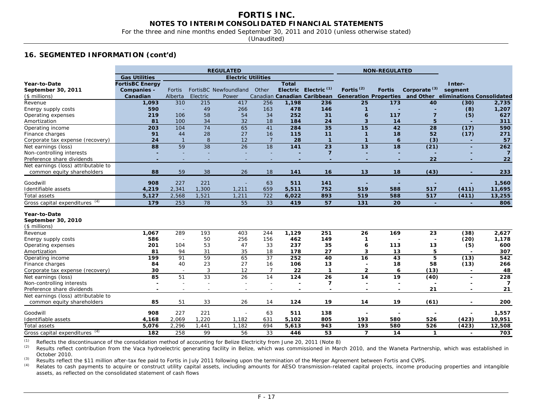For the three and nine months ended September 30, 2011 and 2010 (unless otherwise stated)

(Unaudited)

#### **16. SEGMENTED INFORMATION (cont'd)**

| <b>Gas Utilities</b><br><b>Electric Utilities</b><br><b>Total</b><br>Year-to-Date<br><b>FortisBC Energy</b><br>Inter-<br>Electric Electric <sup>(1)</sup><br>Fortis <sup>(2)</sup><br>Corporate <sup>(3)</sup><br>Other<br><b>Fortis</b><br>segment<br>September 30, 2011<br><b>Companies -</b><br>FortisBC Newfoundland<br>Fortis<br>Generation Properties and Other<br>Canadian Canadian Caribbean<br>eliminations Consolidated<br>Canadian<br>Alberta<br>Electric<br>$($$ millions)<br>Power<br>310<br>215<br>1,093<br>417<br>256<br>1,198<br>236<br>173<br>40<br>(30)<br>Revenue<br>25 | 2,735<br>1,207<br>627<br>311<br>590<br>271 |
|--------------------------------------------------------------------------------------------------------------------------------------------------------------------------------------------------------------------------------------------------------------------------------------------------------------------------------------------------------------------------------------------------------------------------------------------------------------------------------------------------------------------------------------------------------------------------------------------|--------------------------------------------|
|                                                                                                                                                                                                                                                                                                                                                                                                                                                                                                                                                                                            |                                            |
|                                                                                                                                                                                                                                                                                                                                                                                                                                                                                                                                                                                            |                                            |
|                                                                                                                                                                                                                                                                                                                                                                                                                                                                                                                                                                                            |                                            |
|                                                                                                                                                                                                                                                                                                                                                                                                                                                                                                                                                                                            |                                            |
|                                                                                                                                                                                                                                                                                                                                                                                                                                                                                                                                                                                            |                                            |
| 590<br>49<br>266<br>163<br>478<br>146<br>Energy supply costs<br>$\mathbf{1}$<br>(8)                                                                                                                                                                                                                                                                                                                                                                                                                                                                                                        |                                            |
| 58<br>54<br>34<br>252<br>31<br>$\overline{7}$<br>Operating expenses<br>219<br>106<br>117<br>(5)<br>6                                                                                                                                                                                                                                                                                                                                                                                                                                                                                       |                                            |
| 34<br>32<br>5<br>81<br>100<br>18<br>184<br>24<br>3<br>14<br>Amortization                                                                                                                                                                                                                                                                                                                                                                                                                                                                                                                   |                                            |
| 74<br>65<br>15<br>42<br>203<br>104<br>41<br>284<br>35<br>28<br>(17)<br>Operating income                                                                                                                                                                                                                                                                                                                                                                                                                                                                                                    |                                            |
| 27<br>52<br>91<br>44<br>28<br>115<br>11<br>18<br>(17)<br>Finance charges<br>16<br>1                                                                                                                                                                                                                                                                                                                                                                                                                                                                                                        |                                            |
| 8<br>24<br>12<br>28<br>(3)<br>$\overline{1}$<br>$\overline{7}$<br>$\mathbf{1}$<br>$\mathbf{1}$<br>6<br>Corporate tax expense (recovery)                                                                                                                                                                                                                                                                                                                                                                                                                                                    | 57                                         |
| $\overline{38}$<br>88<br>59<br>26<br>18<br>141<br>23<br>13<br>18<br>(21)<br>Net earnings (loss)                                                                                                                                                                                                                                                                                                                                                                                                                                                                                            | 262                                        |
| $\overline{7}$<br>Non-controlling interests<br>÷,<br>٠                                                                                                                                                                                                                                                                                                                                                                                                                                                                                                                                     | $\overline{7}$                             |
| 22<br>Preference share dividends<br>$\overline{\phantom{a}}$<br>$\overline{\phantom{a}}$<br>٠<br>$\overline{\phantom{a}}$                                                                                                                                                                                                                                                                                                                                                                                                                                                                  | 22                                         |
| Net earnings (loss) attributable to                                                                                                                                                                                                                                                                                                                                                                                                                                                                                                                                                        |                                            |
| 59<br>88<br>38<br>26<br>13<br>(43)<br>18<br>16<br>18<br>common equity shareholders<br>141                                                                                                                                                                                                                                                                                                                                                                                                                                                                                                  | 233                                        |
| Goodwill<br>908<br>227<br>221<br>63<br>511<br>141                                                                                                                                                                                                                                                                                                                                                                                                                                                                                                                                          | 1,560                                      |
| 1,300<br>1,211<br>752<br>(411)<br>Identifiable assets<br>4,219<br>2,341<br>659<br>5,511<br>519<br>588<br>517                                                                                                                                                                                                                                                                                                                                                                                                                                                                               | 11,695                                     |
| 2,568<br>1,521<br>722<br>893<br>519<br>588<br>(411)<br>5,127<br>1,211<br>6,022<br>517<br>Total assets                                                                                                                                                                                                                                                                                                                                                                                                                                                                                      | 13,255                                     |
| Gross capital expenditures (4)<br>179<br>253<br>78<br>55<br>33<br>419<br>57<br>20<br>131<br>÷                                                                                                                                                                                                                                                                                                                                                                                                                                                                                              | 806                                        |
| Year-to-Date<br>September 30, 2010<br>$($$ millions)                                                                                                                                                                                                                                                                                                                                                                                                                                                                                                                                       |                                            |
| 289<br>1,129<br>1,067<br>193<br>403<br>244<br>251<br>26<br>169<br>23<br>(38)<br>Revenue                                                                                                                                                                                                                                                                                                                                                                                                                                                                                                    | 2,627                                      |
| 50<br>149<br>586<br>256<br>156<br>462<br>(20)<br>Energy supply costs<br>1<br>$\overline{\phantom{a}}$                                                                                                                                                                                                                                                                                                                                                                                                                                                                                      | 1,178                                      |
| 53<br>201<br>104<br>47<br>33<br>237<br>35<br>113<br>(5)<br>Operating expenses<br>13<br>6                                                                                                                                                                                                                                                                                                                                                                                                                                                                                                   | 600                                        |
| 81<br>94<br>31<br>35<br>27<br>13<br>5<br>18<br>178<br>3<br>Amortization                                                                                                                                                                                                                                                                                                                                                                                                                                                                                                                    | 307                                        |
| 91<br>59<br>65<br>5<br>199<br>37<br>252<br>40<br>16<br>43<br>(13)<br>Operating income                                                                                                                                                                                                                                                                                                                                                                                                                                                                                                      | 542                                        |
| 84<br>40<br>23<br>27<br>106<br>13<br>18<br>(13)<br>Finance charges<br>16<br>58                                                                                                                                                                                                                                                                                                                                                                                                                                                                                                             | 266                                        |
| $\mathbf{3}$<br>30<br>12<br>22<br>$\mathbf{1}$<br>$\mathbf{2}$<br>6<br>(13)<br>Corporate tax expense (recovery)<br>7<br>$\sim$<br>$\blacksquare$                                                                                                                                                                                                                                                                                                                                                                                                                                           | 48                                         |
| 33<br>26<br>85<br>51<br>14<br>124<br>14<br>19<br>26<br>(40)<br>Net earnings (loss)                                                                                                                                                                                                                                                                                                                                                                                                                                                                                                         | 228                                        |
| $\overline{\mathbf{z}}$<br>Non-controlling interests<br>$\overline{\phantom{0}}$<br>$\overline{\phantom{a}}$<br>J.<br>$\overline{\phantom{0}}$                                                                                                                                                                                                                                                                                                                                                                                                                                             | $\overline{7}$                             |
| Preference share dividends<br>21<br>$\overline{\phantom{a}}$<br>$\overline{\phantom{a}}$<br>$\sim$<br>$\overline{\phantom{a}}$<br>$\overline{\phantom{0}}$                                                                                                                                                                                                                                                                                                                                                                                                                                 | 21                                         |
| Net earnings (loss) attributable to                                                                                                                                                                                                                                                                                                                                                                                                                                                                                                                                                        |                                            |
| 51<br>33<br>19<br>85<br>26<br>124<br>14<br>19<br>(61)<br>common equity shareholders<br>14                                                                                                                                                                                                                                                                                                                                                                                                                                                                                                  | 200                                        |
| Goodwill<br>908<br>227<br>221<br>63<br>138<br>511                                                                                                                                                                                                                                                                                                                                                                                                                                                                                                                                          | 1,557                                      |
| 1,182<br>Identifiable assets<br>2,069<br>1,220<br>5,102<br>805<br>193<br>(423)<br>4,168<br>631<br>580<br>526                                                                                                                                                                                                                                                                                                                                                                                                                                                                               | 10,951                                     |
| 2,296<br>694<br>193<br>526<br>(423)<br>5,076<br>1,441<br>1,182<br>5,613<br>943<br>580<br>Total assets                                                                                                                                                                                                                                                                                                                                                                                                                                                                                      | 12,508                                     |
| (4)<br>258<br>99<br>56<br>33<br>$\overline{ }$<br>Gross capital expenditures<br>182<br>446<br>53<br>14<br>1<br>$\overline{a}$                                                                                                                                                                                                                                                                                                                                                                                                                                                              | 703                                        |

<sup>(1)</sup> Reflects the discontinuance of the consolidation method of accounting for Belize Electricity from June 20, 2011 (Note 8)<br><sup>(2)</sup> Results reflect contribution from the Vaca hydroelectric generating facility in Belize, w

Results reflect contribution from the Vaca hydroelectric generating facility in Belize, which was commissioned in March 2010, and the Waneta Partnership, which was established in October 2010.

*(3)* Results reflect the \$11 million after-tax fee paid to Fortis in July 2011 following upon the termination of the Merger Agreement between Fortis and CVPS.

*(4)* Relates to cash payments to acquire or construct utility capital assets, including amounts for AESO transmission-related capital projects, income producing properties and intangible assets, as reflected on the consolidated statement of cash flows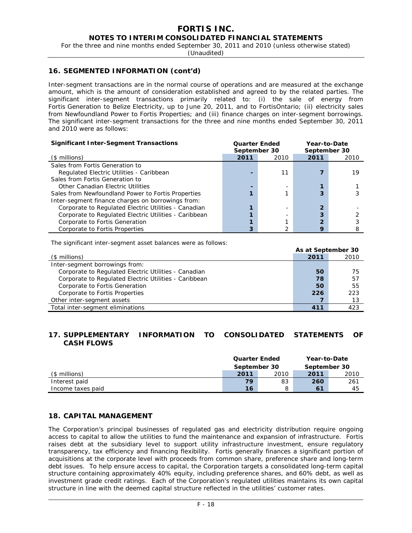For the three and nine months ended September 30, 2011 and 2010 (unless otherwise stated)

(Unaudited)

## **16. SEGMENTED INFORMATION (cont'd)**

Inter-segment transactions are in the normal course of operations and are measured at the exchange amount, which is the amount of consideration established and agreed to by the related parties. The significant inter-segment transactions primarily related to: (i) the sale of energy from Fortis Generation to Belize Electricity, up to June 20, 2011, and to FortisOntario; (ii) electricity sales from Newfoundland Power to Fortis Properties; and (iii) finance charges on inter-segment borrowings. The significant inter-segment transactions for the three and nine months ended September 30, 2011 and 2010 were as follows:

| <b>Significant Inter-Segment Transactions</b>         | <b>Quarter Ended</b><br>September 30 |      | Year-to-Date<br>September 30 |      |  |  |
|-------------------------------------------------------|--------------------------------------|------|------------------------------|------|--|--|
| $($$ millions)                                        | 2011                                 | 2010 | 2011                         | 2010 |  |  |
| Sales from Fortis Generation to                       |                                      |      |                              |      |  |  |
| Regulated Electric Utilities - Caribbean              |                                      | 11   |                              | 19   |  |  |
| Sales from Fortis Generation to                       |                                      |      |                              |      |  |  |
| Other Canadian Electric Utilities                     |                                      |      |                              |      |  |  |
| Sales from Newfoundland Power to Fortis Properties    |                                      |      | 3                            |      |  |  |
| Inter-segment finance charges on borrowings from:     |                                      |      |                              |      |  |  |
| Corporate to Regulated Electric Utilities - Canadian  |                                      |      | 2                            |      |  |  |
| Corporate to Regulated Electric Utilities - Caribbean |                                      |      | 3                            |      |  |  |
| Corporate to Fortis Generation                        |                                      |      | າ                            |      |  |  |
| Corporate to Fortis Properties                        |                                      | っ    | О                            |      |  |  |

The significant inter-segment asset balances were as follows:

|                                                       | As at September 30 |      |
|-------------------------------------------------------|--------------------|------|
| $($$ millions)                                        | 2011               | 2010 |
| Inter-segment borrowings from:                        |                    |      |
| Corporate to Regulated Electric Utilities - Canadian  | 50                 | 75   |
| Corporate to Regulated Electric Utilities - Caribbean | 78                 | 57   |
| Corporate to Fortis Generation                        | 50                 | 55   |
| Corporate to Fortis Properties                        | 226                | 223  |
| Other inter-segment assets                            |                    | 13   |
| Total inter-segment eliminations                      | 411                | 423  |

## **17. SUPPLEMENTARY INFORMATION TO CONSOLIDATED STATEMENTS OF CASH FLOWS**

|                   | <b>Quarter Ended</b><br>September 30 |      | Year-to-Date<br>September 30 |      |
|-------------------|--------------------------------------|------|------------------------------|------|
| (\$ millions)     | 2011                                 | 2010 | 2011                         | 2010 |
| Interest paid     | 79                                   | 83   | 260                          | 261  |
| Income taxes paid | 16                                   | 8    | 61                           | 45   |

# **18. CAPITAL MANAGEMENT**

The Corporation's principal businesses of regulated gas and electricity distribution require ongoing access to capital to allow the utilities to fund the maintenance and expansion of infrastructure. Fortis raises debt at the subsidiary level to support utility infrastructure investment, ensure regulatory transparency, tax efficiency and financing flexibility. Fortis generally finances a significant portion of acquisitions at the corporate level with proceeds from common share, preference share and long-term debt issues. To help ensure access to capital, the Corporation targets a consolidated long-term capital structure containing approximately 40% equity, including preference shares, and 60% debt, as well as investment grade credit ratings. Each of the Corporation's regulated utilities maintains its own capital structure in line with the deemed capital structure reflected in the utilities' customer rates.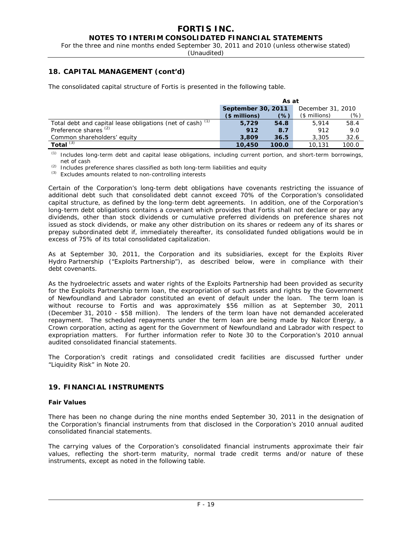For the three and nine months ended September 30, 2011 and 2010 (unless otherwise stated)

(Unaudited)

# **18. CAPITAL MANAGEMENT (cont'd)**

The consolidated capital structure of Fortis is presented in the following table.

|                                                            | As at                                   |       |                |       |  |  |  |  |
|------------------------------------------------------------|-----------------------------------------|-------|----------------|-------|--|--|--|--|
|                                                            | September 30, 2011<br>December 31, 2010 |       |                |       |  |  |  |  |
|                                                            | $$$ millions)                           | (%)   | $($$ millions) |       |  |  |  |  |
| Total debt and capital lease obligations (net of cash) (1) | 5.729                                   | 54.8  | 5.914          | 58.4  |  |  |  |  |
| Preference shares <sup>(2)</sup>                           | 912                                     | 8.7   | 912            | 9.0   |  |  |  |  |
| Common shareholders' equity                                | 3,809                                   | 36.5  | 3,305          | 32.6  |  |  |  |  |
| Total $(3)$                                                | 10,450                                  | 100.0 | 10.131         | 100.0 |  |  |  |  |

*(1)* Includes long-term debt and capital lease obligations, including current portion, and short-term borrowings, net of cash

*(2)* Includes preference shares classified as both long-term liabilities and equity

*(3)* Excludes amounts related to non-controlling interests

Certain of the Corporation's long-term debt obligations have covenants restricting the issuance of additional debt such that consolidated debt cannot exceed 70% of the Corporation's consolidated capital structure, as defined by the long-term debt agreements. In addition, one of the Corporation's long-term debt obligations contains a covenant which provides that Fortis shall not declare or pay any dividends, other than stock dividends or cumulative preferred dividends on preference shares not issued as stock dividends, or make any other distribution on its shares or redeem any of its shares or prepay subordinated debt if, immediately thereafter, its consolidated funded obligations would be in excess of 75% of its total consolidated capitalization.

As at September 30, 2011, the Corporation and its subsidiaries, except for the Exploits River Hydro Partnership ("Exploits Partnership"), as described below, were in compliance with their debt covenants.

As the hydroelectric assets and water rights of the Exploits Partnership had been provided as security for the Exploits Partnership term loan, the expropriation of such assets and rights by the Government of Newfoundland and Labrador constituted an event of default under the loan. The term loan is without recourse to Fortis and was approximately \$56 million as at September 30, 2011 (December 31, 2010 - \$58 million). The lenders of the term loan have not demanded accelerated repayment. The scheduled repayments under the term loan are being made by Nalcor Energy, a Crown corporation, acting as agent for the Government of Newfoundland and Labrador with respect to expropriation matters. For further information refer to Note 30 to the Corporation's 2010 annual audited consolidated financial statements.

The Corporation's credit ratings and consolidated credit facilities are discussed further under "Liquidity Risk" in Note 20.

# **19. FINANCIAL INSTRUMENTS**

#### **Fair Values**

There has been no change during the nine months ended September 30, 2011 in the designation of the Corporation's financial instruments from that disclosed in the Corporation's 2010 annual audited consolidated financial statements.

The carrying values of the Corporation's consolidated financial instruments approximate their fair values, reflecting the short-term maturity, normal trade credit terms and/or nature of these instruments, except as noted in the following table.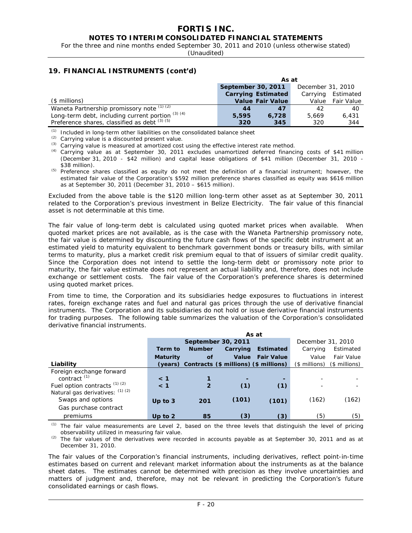For the three and nine months ended September 30, 2011 and 2010 (unless otherwise stated)

(Unaudited)

# **19. FINANCIAL INSTRUMENTS (cont'd)**

|                                                       | As at                     |                         |                   |                   |  |  |  |
|-------------------------------------------------------|---------------------------|-------------------------|-------------------|-------------------|--|--|--|
|                                                       | September 30, 2011        |                         | December 31, 2010 |                   |  |  |  |
|                                                       | <b>Carrying Estimated</b> | Carrying Estimated      |                   |                   |  |  |  |
| (\$ millions)                                         |                           | <b>Value Fair Value</b> | Value             | <b>Fair Value</b> |  |  |  |
| Waneta Partnership promissory note (1) (2)            | 44                        | 47                      | 42                | 40                |  |  |  |
| Long-term debt, including current portion $(3)$ $(4)$ | 5,595                     | 6.728                   | 5.669             | 6.431             |  |  |  |
| Preference shares, classified as debt $(3)(5)$        | 320                       | 345                     | 320               | 344               |  |  |  |

*(1)* Included in long-term other liabilities on the consolidated balance sheet

*(2)* Carrying value is a discounted present value.

*(3)* Carrying value is measured at amortized cost using the effective interest rate method.

*(4)* Carrying value as at September 30, 2011 excludes unamortized deferred financing costs of \$41 million (December 31, 2010 - \$42 million) and capital lease obligations of \$41 million (December 31, 2010 - \$38 million).

*(5)* Preference shares classified as equity do not meet the definition of a financial instrument; however, the estimated fair value of the Corporation's \$592 million preference shares classified as equity was \$616 million as at September 30, 2011 (December 31, 2010 – \$615 million).

Excluded from the above table is the \$120 million long-term other asset as at September 30, 2011 related to the Corporation's previous investment in Belize Electricity. The fair value of this financial asset is not determinable at this time.

The fair value of long-term debt is calculated using quoted market prices when available. When quoted market prices are not available, as is the case with the Waneta Partnership promissory note, the fair value is determined by discounting the future cash flows of the specific debt instrument at an estimated yield to maturity equivalent to benchmark government bonds or treasury bills, with similar terms to maturity, plus a market credit risk premium equal to that of issuers of similar credit quality. Since the Corporation does not intend to settle the long-term debt or promissory note prior to maturity, the fair value estimate does not represent an actual liability and, therefore, does not include exchange or settlement costs. The fair value of the Corporation's preference shares is determined using quoted market prices.

From time to time, the Corporation and its subsidiaries hedge exposures to fluctuations in interest rates, foreign exchange rates and fuel and natural gas prices through the use of derivative financial instruments. The Corporation and its subsidiaries do not hold or issue derivative financial instruments for trading purposes. The following table summarizes the valuation of the Corporation's consolidated derivative financial instruments.

|                                   | As at           |                |                                               |                   |                   |               |  |  |  |  |
|-----------------------------------|-----------------|----------------|-----------------------------------------------|-------------------|-------------------|---------------|--|--|--|--|
|                                   |                 |                | September 30, 2011                            |                   | December 31, 2010 |               |  |  |  |  |
|                                   | Term to         | <b>Number</b>  | Carrying                                      | Estimated         | Carrying          | Estimated     |  |  |  |  |
|                                   | <b>Maturity</b> | of             | Value                                         | <b>Fair Value</b> | Value             | Fair Value    |  |  |  |  |
| Liability                         |                 |                | (years) Contracts (\$ millions) (\$ millions) |                   | (\$ millions)     | (\$ millions) |  |  |  |  |
| Foreign exchange forward          |                 |                |                                               |                   |                   |               |  |  |  |  |
| contract $(1)$                    | $\leq 1$        |                |                                               |                   |                   |               |  |  |  |  |
| Fuel option contracts $(1)$ $(2)$ | $\leq 1$        | $\overline{2}$ | (1)                                           | (1)               |                   |               |  |  |  |  |
| Natural gas derivatives: (1) (2)  |                 |                |                                               |                   |                   |               |  |  |  |  |
| Swaps and options                 | Up to $3$       | 201            | (101)                                         | (101)             | (162)             | (162)         |  |  |  |  |
| Gas purchase contract             |                 |                |                                               |                   |                   |               |  |  |  |  |
| premiums                          | Up to $2$       | 85             | (3)                                           | $\left(3\right)$  | (5)               | (5)           |  |  |  |  |

*(1)* The fair value measurements are Level 2, based on the three levels that distinguish the level of pricing observability utilized in measuring fair value.

*(2)* The fair values of the derivatives were recorded in accounts payable as at September 30, 2011 and as at December 31, 2010.

 The fair values of the Corporation's financial instruments, including derivatives, reflect point-in-time estimates based on current and relevant market information about the instruments as at the balance sheet dates. The estimates cannot be determined with precision as they involve uncertainties and matters of judgment and, therefore, may not be relevant in predicting the Corporation's future consolidated earnings or cash flows.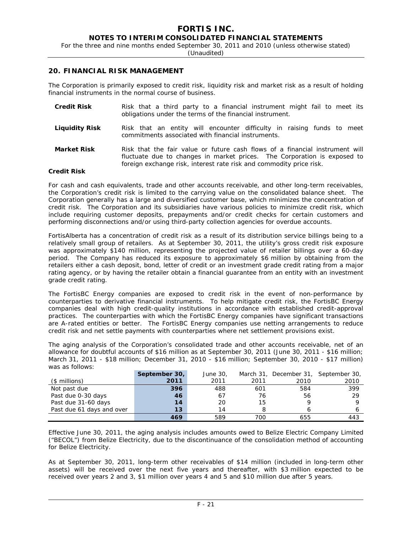For the three and nine months ended September 30, 2011 and 2010 (unless otherwise stated)

(Unaudited)

#### **20. FINANCIAL RISK MANAGEMENT**

The Corporation is primarily exposed to credit risk, liquidity risk and market risk as a result of holding financial instruments in the normal course of business.

| <b>Credit Risk</b> |  |  |  | Risk that a third party to a financial instrument might fail to meet its<br>obligations under the terms of the financial instrument. |  |  |  |  |
|--------------------|--|--|--|--------------------------------------------------------------------------------------------------------------------------------------|--|--|--|--|
| Liguidity Risk     |  |  |  | Risk that an entity will encounter difficulty in raising funds to meet<br>commitments associated with financial instruments.         |  |  |  |  |

**Market Risk** Risk that the fair value or future cash flows of a financial instrument will fluctuate due to changes in market prices. The Corporation is exposed to foreign exchange risk, interest rate risk and commodity price risk.

#### **Credit Risk**

For cash and cash equivalents, trade and other accounts receivable, and other long-term receivables, the Corporation's credit risk is limited to the carrying value on the consolidated balance sheet. The Corporation generally has a large and diversified customer base, which minimizes the concentration of credit risk. The Corporation and its subsidiaries have various policies to minimize credit risk, which include requiring customer deposits, prepayments and/or credit checks for certain customers and performing disconnections and/or using third-party collection agencies for overdue accounts.

FortisAlberta has a concentration of credit risk as a result of its distribution service billings being to a relatively small group of retailers. As at September 30, 2011, the utility's gross credit risk exposure was approximately \$140 million, representing the projected value of retailer billings over a 60-day period. The Company has reduced its exposure to approximately \$6 million by obtaining from the retailers either a cash deposit, bond, letter of credit or an investment grade credit rating from a major rating agency, or by having the retailer obtain a financial guarantee from an entity with an investment grade credit rating.

The FortisBC Energy companies are exposed to credit risk in the event of non-performance by counterparties to derivative financial instruments. To help mitigate credit risk, the FortisBC Energy companies deal with high credit-quality institutions in accordance with established credit-approval practices. The counterparties with which the FortisBC Energy companies have significant transactions are A-rated entities or better. The FortisBC Energy companies use netting arrangements to reduce credit risk and net settle payments with counterparties where net settlement provisions exist.

The aging analysis of the Corporation's consolidated trade and other accounts receivable, net of an allowance for doubtful accounts of \$16 million as at September 30, 2011 (June 30, 2011 - \$16 million; March 31, 2011 - \$18 million; December 31, 2010 - \$16 million; September 30, 2010 - \$17 million) was as follows:

|                           | September 30, | June 30. |      |      | March 31, December 31, September 30, |
|---------------------------|---------------|----------|------|------|--------------------------------------|
| (\$ millions)             | 2011          | 2011     | 2011 | 2010 | 2010                                 |
| Not past due              | 396           | 488      | 601  | 584  | 399                                  |
| Past due 0-30 days        | 46            | 67       | 76   | 56   | 29                                   |
| Past due 31-60 days       | 14            | 20       | 15   |      |                                      |
| Past due 61 days and over | 13            | 14       |      |      |                                      |
|                           | 469           | 589      | 700  | 655  | 443                                  |

Effective June 30, 2011, the aging analysis includes amounts owed to Belize Electric Company Limited ("BECOL") from Belize Electricity, due to the discontinuance of the consolidation method of accounting for Belize Electricity.

As at September 30, 2011, long-term other receivables of \$14 million (included in long-term other assets) will be received over the next five years and thereafter, with \$3 million expected to be received over years 2 and 3, \$1 million over years 4 and 5 and \$10 million due after 5 years.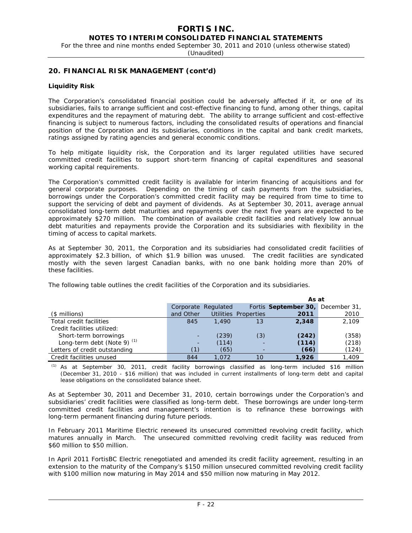For the three and nine months ended September 30, 2011 and 2010 (unless otherwise stated)

(Unaudited)

## **20. FINANCIAL RISK MANAGEMENT (cont'd)**

#### **Liquidity Risk**

The Corporation's consolidated financial position could be adversely affected if it, or one of its subsidiaries, fails to arrange sufficient and cost-effective financing to fund, among other things, capital expenditures and the repayment of maturing debt. The ability to arrange sufficient and cost-effective financing is subject to numerous factors, including the consolidated results of operations and financial position of the Corporation and its subsidiaries, conditions in the capital and bank credit markets, ratings assigned by rating agencies and general economic conditions.

To help mitigate liquidity risk, the Corporation and its larger regulated utilities have secured committed credit facilities to support short-term financing of capital expenditures and seasonal working capital requirements.

The Corporation's committed credit facility is available for interim financing of acquisitions and for general corporate purposes. Depending on the timing of cash payments from the subsidiaries, borrowings under the Corporation's committed credit facility may be required from time to time to support the servicing of debt and payment of dividends. As at September 30, 2011, average annual consolidated long-term debt maturities and repayments over the next five years are expected to be approximately \$270 million. The combination of available credit facilities and relatively low annual debt maturities and repayments provide the Corporation and its subsidiaries with flexibility in the timing of access to capital markets.

As at September 30, 2011, the Corporation and its subsidiaries had consolidated credit facilities of approximately \$2.3 billion, of which \$1.9 billion was unused. The credit facilities are syndicated mostly with the seven largest Canadian banks, with no one bank holding more than 20% of these facilities.

|                               |           |                     |                      | As at                             |       |
|-------------------------------|-----------|---------------------|----------------------|-----------------------------------|-------|
|                               |           | Corporate Regulated |                      | Fortis September 30, December 31, |       |
| (\$ millions)                 | and Other |                     | Utilities Properties | 2011                              | 2010  |
| Total credit facilities       | 845       | 1.490               | 13                   | 2,348                             | 2.109 |
| Credit facilities utilized:   |           |                     |                      |                                   |       |
| Short-term borrowings         |           | (239)               | (3)                  | (242)                             | (358) |
| Long-term debt (Note 9) $(1)$ |           | (114)               |                      | (114)                             | (218) |
| Letters of credit outstanding |           | (65)                |                      | (66)                              | (124) |
| Credit facilities unused      | 844       | 1.072               | 10                   | 1,926                             | 1.409 |

The following table outlines the credit facilities of the Corporation and its subsidiaries.

*(1)* As at September 30, 2011, credit facility borrowings classified as long-term included \$16 million (December 31, 2010 - \$16 million) that was included in current installments of long-term debt and capital lease obligations on the consolidated balance sheet.

As at September 30, 2011 and December 31, 2010, certain borrowings under the Corporation's and subsidiaries' credit facilities were classified as long-term debt. These borrowings are under long-term committed credit facilities and management's intention is to refinance these borrowings with long-term permanent financing during future periods.

In February 2011 Maritime Electric renewed its unsecured committed revolving credit facility, which matures annually in March. The unsecured committed revolving credit facility was reduced from \$60 million to \$50 million.

In April 2011 FortisBC Electric renegotiated and amended its credit facility agreement, resulting in an extension to the maturity of the Company's \$150 million unsecured committed revolving credit facility with \$100 million now maturing in May 2014 and \$50 million now maturing in May 2012.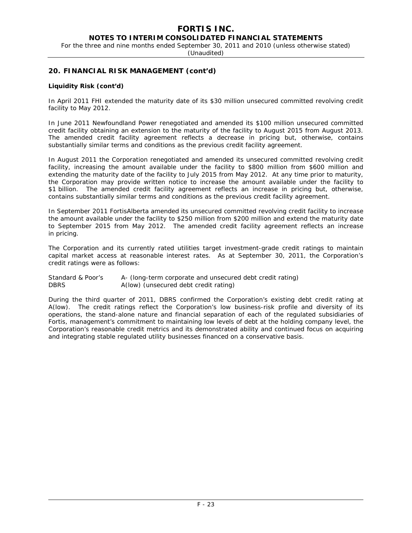For the three and nine months ended September 30, 2011 and 2010 (unless otherwise stated)

(Unaudited)

# **20. FINANCIAL RISK MANAGEMENT (cont'd)**

#### **Liquidity Risk (cont'd)**

In April 2011 FHI extended the maturity date of its \$30 million unsecured committed revolving credit facility to May 2012.

In June 2011 Newfoundland Power renegotiated and amended its \$100 million unsecured committed credit facility obtaining an extension to the maturity of the facility to August 2015 from August 2013. The amended credit facility agreement reflects a decrease in pricing but, otherwise, contains substantially similar terms and conditions as the previous credit facility agreement.

In August 2011 the Corporation renegotiated and amended its unsecured committed revolving credit facility, increasing the amount available under the facility to \$800 million from \$600 million and extending the maturity date of the facility to July 2015 from May 2012. At any time prior to maturity, the Corporation may provide written notice to increase the amount available under the facility to \$1 billion. The amended credit facility agreement reflects an increase in pricing but, otherwise, contains substantially similar terms and conditions as the previous credit facility agreement.

In September 2011 FortisAlberta amended its unsecured committed revolving credit facility to increase the amount available under the facility to \$250 million from \$200 million and extend the maturity date to September 2015 from May 2012. The amended credit facility agreement reflects an increase in pricing.

The Corporation and its currently rated utilities target investment-grade credit ratings to maintain capital market access at reasonable interest rates. As at September 30, 2011, the Corporation's credit ratings were as follows:

Standard & Poor's A- (long-term corporate and unsecured debt credit rating) DBRS A(low) (unsecured debt credit rating)

During the third quarter of 2011, DBRS confirmed the Corporation's existing debt credit rating at A(low). The credit ratings reflect the Corporation's low business-risk profile and diversity of its operations, the stand-alone nature and financial separation of each of the regulated subsidiaries of Fortis, management's commitment to maintaining low levels of debt at the holding company level, the Corporation's reasonable credit metrics and its demonstrated ability and continued focus on acquiring and integrating stable regulated utility businesses financed on a conservative basis.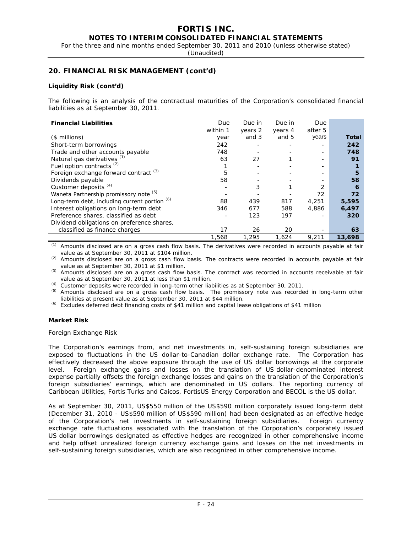# **FORTIS INC.**

**NOTES TO INTERIM CONSOLIDATED FINANCIAL STATEMENTS** 

For the three and nine months ended September 30, 2011 and 2010 (unless otherwise stated)

(Unaudited)

## **20. FINANCIAL RISK MANAGEMENT (cont'd)**

#### **Liquidity Risk (cont'd)**

The following is an analysis of the contractual maturities of the Corporation's consolidated financial liabilities as at September 30, 2011.

| <b>Financial Liabilities</b>                     | Due      | Due in  | Due in  | Due     |        |
|--------------------------------------------------|----------|---------|---------|---------|--------|
|                                                  | within 1 | years 2 | years 4 | after 5 |        |
| $($$ millions)                                   | year     | and 3   | and 5   | years   | Total  |
| Short-term borrowings                            | 242      |         |         |         | 242    |
| Trade and other accounts payable                 | 748      |         |         |         | 748    |
| Natural gas derivatives (1)                      | 63       | 27      |         |         | 91     |
| Fuel option contracts $(2)$                      |          |         |         |         |        |
| Foreign exchange forward contract <sup>(3)</sup> | 5        |         |         |         | 5      |
| Dividends payable                                | 58       |         |         |         | 58     |
| Customer deposits <sup>(4)</sup>                 |          | 3       |         | 2       | 6      |
| Waneta Partnership promissory note (5)           |          |         |         | 72      | 72     |
| Long-term debt, including current portion (6)    | 88       | 439     | 817     | 4,251   | 5,595  |
| Interest obligations on long-term debt           | 346      | 677     | 588     | 4,886   | 6,497  |
| Preference shares, classified as debt            |          | 123     | 197     |         | 320    |
| Dividend obligations on preference shares,       |          |         |         |         |        |
| classified as finance charges                    | 17       | 26      | 20      |         | 63     |
|                                                  | 1,568    | 1,295   | 1,624   | 9,211   | 13,698 |

*(1)* Amounts disclosed are on a gross cash flow basis. The derivatives were recorded in accounts payable at fair value as at September 30, 2011 at \$104 million.

*(2)* Amounts disclosed are on a gross cash flow basis. The contracts were recorded in accounts payable at fair value as at September 30, 2011 at \$1 million.

*(3)* Amounts disclosed are on a gross cash flow basis. The contract was recorded in accounts receivable at fair value as at September 30, 2011 at less than \$1 million.

*(4)* Customer deposits were recorded in long-term other liabilities as at September 30, 2011.

*(5)* Amounts disclosed are on a gross cash flow basis. The promissory note was recorded in long-term other liabilities at present value as at September 30, 2011 at \$44 million.

*(6)* Excludes deferred debt financing costs of \$41 million and capital lease obligations of \$41 million

#### **Market Risk**

#### *Foreign Exchange Risk*

The Corporation's earnings from, and net investments in, self-sustaining foreign subsidiaries are exposed to fluctuations in the US dollar-to-Canadian dollar exchange rate. The Corporation has effectively decreased the above exposure through the use of US dollar borrowings at the corporate level. Foreign exchange gains and losses on the translation of US dollar-denominated interest expense partially offsets the foreign exchange losses and gains on the translation of the Corporation's foreign subsidiaries' earnings, which are denominated in US dollars. The reporting currency of Caribbean Utilities, Fortis Turks and Caicos, FortisUS Energy Corporation and BECOL is the US dollar.

As at September 30, 2011, US\$550 million of the US\$590 million corporately issued long-term debt (December 31, 2010 - US\$590 million of US\$590 million) had been designated as an effective hedge of the Corporation's net investments in self-sustaining foreign subsidiaries. Foreign currency exchange rate fluctuations associated with the translation of the Corporation's corporately issued US dollar borrowings designated as effective hedges are recognized in other comprehensive income and help offset unrealized foreign currency exchange gains and losses on the net investments in self-sustaining foreign subsidiaries, which are also recognized in other comprehensive income.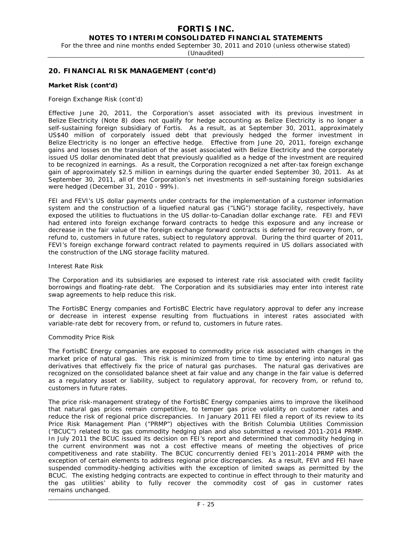# **FORTIS INC.**

**NOTES TO INTERIM CONSOLIDATED FINANCIAL STATEMENTS** 

For the three and nine months ended September 30, 2011 and 2010 (unless otherwise stated)

(Unaudited)

### **20. FINANCIAL RISK MANAGEMENT (cont'd)**

#### **Market Risk (cont'd)**

#### *Foreign Exchange Risk (cont'd)*

Effective June 20, 2011, the Corporation's asset associated with its previous investment in Belize Electricity (Note 8) does not qualify for hedge accounting as Belize Electricity is no longer a self-sustaining foreign subsidiary of Fortis. As a result, as at September 30, 2011, approximately US\$40 million of corporately issued debt that previously hedged the former investment in Belize Electricity is no longer an effective hedge. Effective from June 20, 2011, foreign exchange gains and losses on the translation of the asset associated with Belize Electricity and the corporately issued US dollar denominated debt that previously qualified as a hedge of the investment are required to be recognized in earnings. As a result, the Corporation recognized a net after-tax foreign exchange gain of approximately \$2.5 million in earnings during the quarter ended September 30, 2011. As at September 30, 2011, all of the Corporation's net investments in self-sustaining foreign subsidiaries were hedged (December 31, 2010 - 99%).

FEI and FEVI's US dollar payments under contracts for the implementation of a customer information system and the construction of a liquefied natural gas ("LNG") storage facility, respectively, have exposed the utilities to fluctuations in the US dollar-to-Canadian dollar exchange rate. FEI and FEVI had entered into foreign exchange forward contracts to hedge this exposure and any increase or decrease in the fair value of the foreign exchange forward contracts is deferred for recovery from, or refund to, customers in future rates, subject to regulatory approval. During the third quarter of 2011, FEVI's foreign exchange forward contract related to payments required in US dollars associated with the construction of the LNG storage facility matured.

#### *Interest Rate Risk*

The Corporation and its subsidiaries are exposed to interest rate risk associated with credit facility borrowings and floating-rate debt. The Corporation and its subsidiaries may enter into interest rate swap agreements to help reduce this risk.

The FortisBC Energy companies and FortisBC Electric have regulatory approval to defer any increase or decrease in interest expense resulting from fluctuations in interest rates associated with variable-rate debt for recovery from, or refund to, customers in future rates.

#### *Commodity Price Risk*

The FortisBC Energy companies are exposed to commodity price risk associated with changes in the market price of natural gas. This risk is minimized from time to time by entering into natural gas derivatives that effectively fix the price of natural gas purchases. The natural gas derivatives are recognized on the consolidated balance sheet at fair value and any change in the fair value is deferred as a regulatory asset or liability, subject to regulatory approval, for recovery from, or refund to, customers in future rates.

The price risk-management strategy of the FortisBC Energy companies aims to improve the likelihood that natural gas prices remain competitive, to temper gas price volatility on customer rates and reduce the risk of regional price discrepancies. In January 2011 FEI filed a report of its review to its Price Risk Management Plan ("PRMP") objectives with the British Columbia Utilities Commission ("BCUC") related to its gas commodity hedging plan and also submitted a revised 2011-2014 PRMP. In July 2011 the BCUC issued its decision on FEI's report and determined that commodity hedging in the current environment was not a cost effective means of meeting the objectives of price competitiveness and rate stability. The BCUC concurrently denied FEI's 2011-2014 PRMP with the exception of certain elements to address regional price discrepancies. As a result, FEVI and FEI have suspended commodity-hedging activities with the exception of limited swaps as permitted by the BCUC. The existing hedging contracts are expected to continue in effect through to their maturity and the gas utilities' ability to fully recover the commodity cost of gas in customer rates remains unchanged.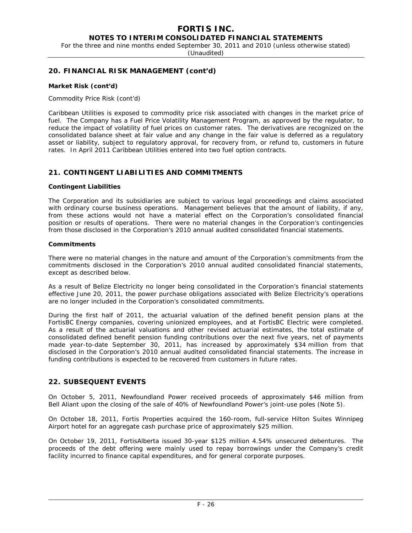#### **FORTIS INC. NOTES TO INTERIM CONSOLIDATED FINANCIAL STATEMENTS**

For the three and nine months ended September 30, 2011 and 2010 (unless otherwise stated)

(Unaudited)

## **20. FINANCIAL RISK MANAGEMENT (cont'd)**

#### **Market Risk (cont'd)**

#### *Commodity Price Risk (cont'd)*

Caribbean Utilities is exposed to commodity price risk associated with changes in the market price of fuel. The Company has a Fuel Price Volatility Management Program, as approved by the regulator, to reduce the impact of volatility of fuel prices on customer rates. The derivatives are recognized on the consolidated balance sheet at fair value and any change in the fair value is deferred as a regulatory asset or liability, subject to regulatory approval, for recovery from, or refund to, customers in future rates. In April 2011 Caribbean Utilities entered into two fuel option contracts.

### **21. CONTINGENT LIABILITIES AND COMMITMENTS**

#### **Contingent Liabilities**

The Corporation and its subsidiaries are subject to various legal proceedings and claims associated with ordinary course business operations. Management believes that the amount of liability, if any, from these actions would not have a material effect on the Corporation's consolidated financial position or results of operations. There were no material changes in the Corporation's contingencies from those disclosed in the Corporation's 2010 annual audited consolidated financial statements.

#### **Commitments**

There were no material changes in the nature and amount of the Corporation's commitments from the commitments disclosed in the Corporation's 2010 annual audited consolidated financial statements, except as described below.

As a result of Belize Electricity no longer being consolidated in the Corporation's financial statements effective June 20, 2011, the power purchase obligations associated with Belize Electricity's operations are no longer included in the Corporation's consolidated commitments.

During the first half of 2011, the actuarial valuation of the defined benefit pension plans at the FortisBC Energy companies, covering unionized employees, and at FortisBC Electric were completed. As a result of the actuarial valuations and other revised actuarial estimates, the total estimate of consolidated defined benefit pension funding contributions over the next five years, net of payments made year-to-date September 30, 2011, has increased by approximately \$34 million from that disclosed in the Corporation's 2010 annual audited consolidated financial statements. The increase in funding contributions is expected to be recovered from customers in future rates.

## **22. SUBSEQUENT EVENTS**

On October 5, 2011, Newfoundland Power received proceeds of approximately \$46 million from Bell Aliant upon the closing of the sale of 40% of Newfoundland Power's joint-use poles (Note 5).

On October 18, 2011, Fortis Properties acquired the 160-room, full-service Hilton Suites Winnipeg Airport hotel for an aggregate cash purchase price of approximately \$25 million.

On October 19, 2011, FortisAlberta issued 30-year \$125 million 4.54% unsecured debentures. The proceeds of the debt offering were mainly used to repay borrowings under the Company's credit facility incurred to finance capital expenditures, and for general corporate purposes.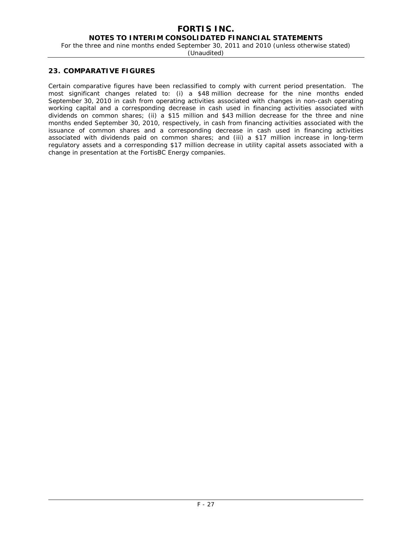# **FORTIS INC.**

## **NOTES TO INTERIM CONSOLIDATED FINANCIAL STATEMENTS**

For the three and nine months ended September 30, 2011 and 2010 (unless otherwise stated)

(Unaudited)

### **23. COMPARATIVE FIGURES**

Certain comparative figures have been reclassified to comply with current period presentation. The most significant changes related to: (i) a \$48 million decrease for the nine months ended September 30, 2010 in cash from operating activities associated with changes in non-cash operating working capital and a corresponding decrease in cash used in financing activities associated with dividends on common shares; (ii) a \$15 million and \$43 million decrease for the three and nine months ended September 30, 2010, respectively, in cash from financing activities associated with the issuance of common shares and a corresponding decrease in cash used in financing activities associated with dividends paid on common shares; and (iii) a \$17 million increase in long-term regulatory assets and a corresponding \$17 million decrease in utility capital assets associated with a change in presentation at the FortisBC Energy companies.